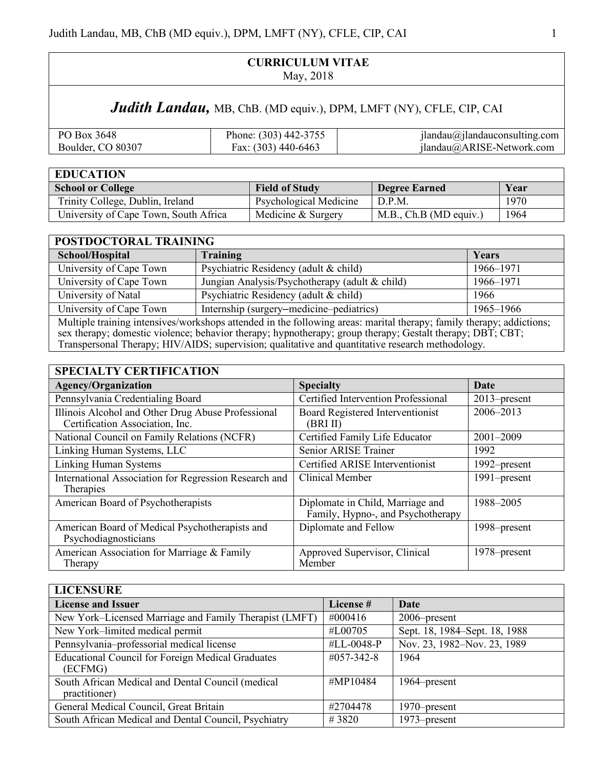## **CURRICULUM VITAE** May, 2018

# Judith Landau, MB, ChB. (MD equiv.), DPM, LMFT (NY), CFLE, CIP, CAI

| PO Box 3648       | Phone: (303) 442-3755 | $j$ landau $\omega$ $j$ landau $\omega$ onsulting.com |
|-------------------|-----------------------|-------------------------------------------------------|
| Boulder, CO 80307 | Fax: $(303)$ 440-6463 | jlandau@ARISE-Network.com                             |

| <b>EDUCATION</b>                      |                               |                         |      |
|---------------------------------------|-------------------------------|-------------------------|------|
| <b>School or College</b>              | <b>Field of Study</b>         | <b>Degree Earned</b>    | Year |
| Trinity College, Dublin, Ireland      | <b>Psychological Medicine</b> | D.P.M                   | 1970 |
| University of Cape Town, South Africa | Medicine & Surgery            | M.B., Ch.B (MD equity.) | 1964 |

| POSTDOCTORAL TRAINING                                                                                                                                                                                                                                                                                                                 |                                                |           |
|---------------------------------------------------------------------------------------------------------------------------------------------------------------------------------------------------------------------------------------------------------------------------------------------------------------------------------------|------------------------------------------------|-----------|
| School/Hospital                                                                                                                                                                                                                                                                                                                       | Training                                       | Years     |
| University of Cape Town                                                                                                                                                                                                                                                                                                               | Psychiatric Residency (adult & child)          | 1966-1971 |
| University of Cape Town                                                                                                                                                                                                                                                                                                               | Jungian Analysis/Psychotherapy (adult & child) | 1966–1971 |
| University of Natal                                                                                                                                                                                                                                                                                                                   | Psychiatric Residency (adult & child)          | 1966      |
| University of Cape Town                                                                                                                                                                                                                                                                                                               | Internship (surgery–medicine–pediatrics)       | 1965–1966 |
| Multiple training intensives/workshops attended in the following areas: marital therapy; family therapy; addictions;<br>sex therapy; domestic violence; behavior therapy; hypnotherapy; group therapy; Gestalt therapy; DBT; CBT;<br>Transpersonal Therapy; HIV/AIDS; supervision; qualitative and quantitative research methodology. |                                                |           |

## **SPECIALTY CERTIFICATION**

| я еслегі секін клівув                                                                 |                                                                       |                 |
|---------------------------------------------------------------------------------------|-----------------------------------------------------------------------|-----------------|
| <b>Agency/Organization</b>                                                            | <b>Specialty</b>                                                      | Date            |
| Pennsylvania Credentialing Board                                                      | Certified Intervention Professional                                   | $2013$ -present |
| Illinois Alcohol and Other Drug Abuse Professional<br>Certification Association, Inc. | Board Registered Interventionist<br>(BRI II)                          | 2006-2013       |
| National Council on Family Relations (NCFR)                                           | Certified Family Life Educator                                        | 2001-2009       |
| Linking Human Systems, LLC                                                            | Senior ARISE Trainer                                                  | 1992            |
| <b>Linking Human Systems</b>                                                          | Certified ARISE Interventionist                                       | 1992–present    |
| International Association for Regression Research and<br>Therapies                    | Clinical Member                                                       | 1991–present    |
| American Board of Psychotherapists                                                    | Diplomate in Child, Marriage and<br>Family, Hypno-, and Psychotherapy | 1988-2005       |
| American Board of Medical Psychotherapists and<br>Psychodiagnosticians                | Diplomate and Fellow                                                  | 1998–present    |
| American Association for Marriage & Family<br>Therapy                                 | Approved Supervisor, Clinical<br>Member                               | 1978–present    |

| <b>LICENSURE</b>                                                    |                   |                               |
|---------------------------------------------------------------------|-------------------|-------------------------------|
| <b>License and Issuer</b>                                           | License #         | Date                          |
| New York-Licensed Marriage and Family Therapist (LMFT)              | #000416           | 2006–present                  |
| New York-limited medical permit                                     | #L00705           | Sept. 18, 1984–Sept. 18, 1988 |
| Pennsylvania-professorial medical license                           | #LL-0048-P        | Nov. 23, 1982-Nov. 23, 1989   |
| <b>Educational Council for Foreign Medical Graduates</b><br>(ECFMG) | $\#057 - 342 - 8$ | 1964                          |
| South African Medical and Dental Council (medical<br>practitioner)  | #MP10484          | 1964–present                  |
| General Medical Council, Great Britain                              | #2704478          | 1970–present                  |
| South African Medical and Dental Council, Psychiatry                | #3820             | 1973–present                  |
|                                                                     |                   |                               |

 $\overline{\phantom{a}}$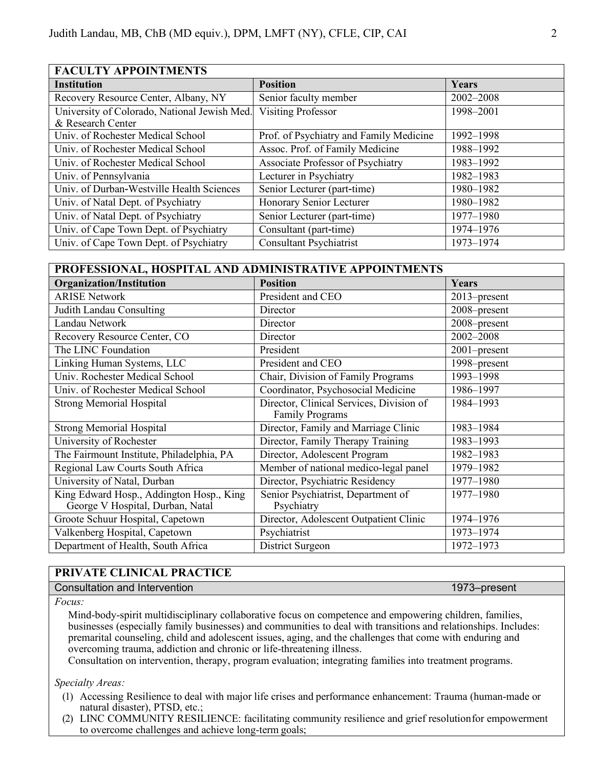| <b>FACULTY APPOINTMENTS</b>                  |                                          |           |
|----------------------------------------------|------------------------------------------|-----------|
| <b>Institution</b>                           | <b>Position</b>                          | Years     |
| Recovery Resource Center, Albany, NY         | Senior faculty member                    | 2002-2008 |
| University of Colorado, National Jewish Med. | <b>Visiting Professor</b>                | 1998-2001 |
| & Research Center                            |                                          |           |
| Univ. of Rochester Medical School            | Prof. of Psychiatry and Family Medicine  | 1992-1998 |
| Univ. of Rochester Medical School            | Assoc. Prof. of Family Medicine          | 1988-1992 |
| Univ. of Rochester Medical School            | <b>Associate Professor of Psychiatry</b> | 1983-1992 |
| Univ. of Pennsylvania                        | Lecturer in Psychiatry                   | 1982-1983 |
| Univ. of Durban-Westville Health Sciences    | Senior Lecturer (part-time)              | 1980-1982 |
| Univ. of Natal Dept. of Psychiatry           | Honorary Senior Lecturer                 | 1980-1982 |
| Univ. of Natal Dept. of Psychiatry           | Senior Lecturer (part-time)              | 1977-1980 |
| Univ. of Cape Town Dept. of Psychiatry       | Consultant (part-time)                   | 1974-1976 |
| Univ. of Cape Town Dept. of Psychiatry       | <b>Consultant Psychiatrist</b>           | 1973-1974 |

| PROFESSIONAL, HOSPITAL AND ADMINISTRATIVE APPOINTMENTS                       |                                                                    |              |
|------------------------------------------------------------------------------|--------------------------------------------------------------------|--------------|
| <b>Organization/Institution</b>                                              | <b>Position</b>                                                    | Years        |
| <b>ARISE Network</b>                                                         | President and CEO                                                  | 2013–present |
| <b>Judith Landau Consulting</b>                                              | Director                                                           | 2008-present |
| Landau Network                                                               | Director                                                           | 2008-present |
| Recovery Resource Center, CO                                                 | Director                                                           | 2002-2008    |
| The LINC Foundation                                                          | President                                                          | 2001-present |
| Linking Human Systems, LLC                                                   | President and CEO                                                  | 1998-present |
| Univ. Rochester Medical School                                               | Chair, Division of Family Programs                                 | 1993-1998    |
| Univ. of Rochester Medical School                                            | Coordinator, Psychosocial Medicine                                 | 1986-1997    |
| <b>Strong Memorial Hospital</b>                                              | Director, Clinical Services, Division of<br><b>Family Programs</b> | 1984-1993    |
| <b>Strong Memorial Hospital</b>                                              | Director, Family and Marriage Clinic                               | 1983-1984    |
| University of Rochester                                                      | Director, Family Therapy Training                                  | 1983-1993    |
| The Fairmount Institute, Philadelphia, PA                                    | Director, Adolescent Program                                       | 1982-1983    |
| Regional Law Courts South Africa                                             | Member of national medico-legal panel                              | 1979-1982    |
| University of Natal, Durban                                                  | Director, Psychiatric Residency                                    | 1977-1980    |
| King Edward Hosp., Addington Hosp., King<br>George V Hospital, Durban, Natal | Senior Psychiatrist, Department of<br>Psychiatry                   | 1977-1980    |
| Groote Schuur Hospital, Capetown                                             | Director, Adolescent Outpatient Clinic                             | 1974-1976    |
| Valkenberg Hospital, Capetown                                                | Psychiatrist                                                       | 1973-1974    |
| Department of Health, South Africa                                           | District Surgeon                                                   | 1972-1973    |

### **PRIVATE CLINICAL PRACTICE**

Consultation and Intervention 1973–present

*Focus:*

Mind-body-spirit multidisciplinary collaborative focus on competence and empowering children, families, businesses (especially family businesses) and communities to deal with transitions and relationships. Includes: premarital counseling, child and adolescent issues, aging, and the challenges that come with enduring and overcoming trauma, addiction and chronic or life-threatening illness.

Consultation on intervention, therapy, program evaluation; integrating families into treatment programs.

*Specialty Areas:*

- (1) Accessing Resilience to deal with major life crises and performance enhancement: Trauma (human-made or natural disaster), PTSD, etc.;
- (2) LINC COMMUNITY RESILIENCE: facilitating community resilience and grief resolutionfor empowerment to overcome challenges and achieve long-term goals;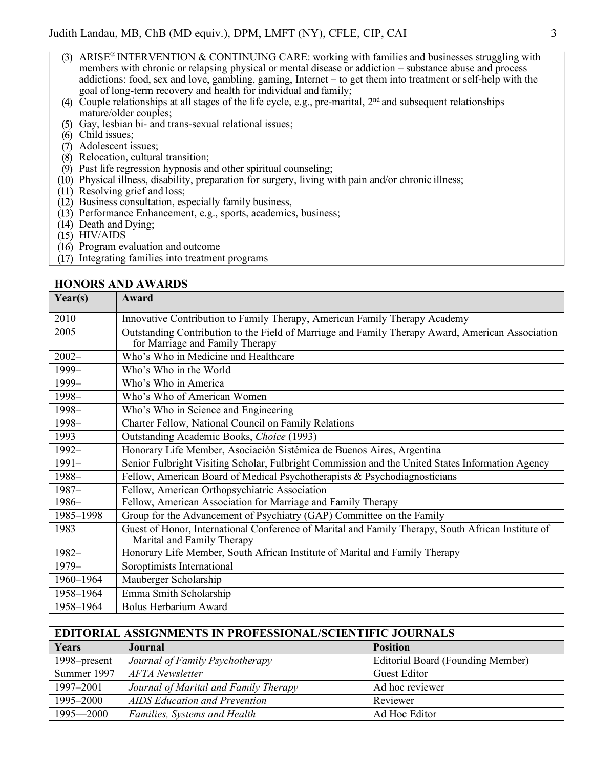- (3) ARISE® INTERVENTION & CONTINUING CARE: working with families and businesses struggling with members with chronic or relapsing physical or mental disease or addiction – substance abuse and process addictions: food, sex and love, gambling, gaming, Internet – to get them into treatment or self-help with the goal of long-term recovery and health for individual and family;
- (4) Couple relationships at all stages of the life cycle, e.g., pre-marital,  $2<sup>nd</sup>$  and subsequent relationships mature/older couples;
- Gay, lesbian bi- and trans-sexual relational issues;
- (6) Child issues;
- (7) Adolescent issues;
- $(8)$  Relocation, cultural transition;
- $(9)$  Past life regression hypnosis and other spiritual counseling;
- $(10)$  Physical illness, disability, preparation for surgery, living with pain and/or chronic illness;
- (11) Resolving grief and loss;
- $(12)$  Business consultation, especially family business,
- $(13)$  Performance Enhancement, e.g., sports, academics, business;
- (14) Death and Dying;
- $(15)$  HIV/AIDS
- $(16)$  Program evaluation and outcome
- Integrating families into treatment programs

|           | <b>HONORS AND AWARDS</b>                                                                                                            |
|-----------|-------------------------------------------------------------------------------------------------------------------------------------|
| Year(s)   | Award                                                                                                                               |
| 2010      | Innovative Contribution to Family Therapy, American Family Therapy Academy                                                          |
| 2005      | Outstanding Contribution to the Field of Marriage and Family Therapy Award, American Association<br>for Marriage and Family Therapy |
| $2002 -$  | Who's Who in Medicine and Healthcare                                                                                                |
| 1999-     | Who's Who in the World                                                                                                              |
| 1999-     | Who's Who in America                                                                                                                |
| 1998-     | Who's Who of American Women                                                                                                         |
| 1998-     | Who's Who in Science and Engineering                                                                                                |
| 1998-     | Charter Fellow, National Council on Family Relations                                                                                |
| 1993      | Outstanding Academic Books, Choice (1993)                                                                                           |
| $1992 -$  | Honorary Life Member, Asociación Sistémica de Buenos Aires, Argentina                                                               |
| $1991 -$  | Senior Fulbright Visiting Scholar, Fulbright Commission and the United States Information Agency                                    |
| 1988-     | Fellow, American Board of Medical Psychotherapists & Psychodiagnosticians                                                           |
| $1987 -$  | Fellow, American Orthopsychiatric Association                                                                                       |
| 1986-     | Fellow, American Association for Marriage and Family Therapy                                                                        |
| 1985-1998 | Group for the Advancement of Psychiatry (GAP) Committee on the Family                                                               |
| 1983      | Guest of Honor, International Conference of Marital and Family Therapy, South African Institute of<br>Marital and Family Therapy    |
| $1982 -$  | Honorary Life Member, South African Institute of Marital and Family Therapy                                                         |
| 1979-     | Soroptimists International                                                                                                          |
| 1960-1964 | Mauberger Scholarship                                                                                                               |
| 1958-1964 | Emma Smith Scholarship                                                                                                              |
| 1958-1964 | <b>Bolus Herbarium Award</b>                                                                                                        |

| <b>EDITORIAL ASSIGNMENTS IN PROFESSIONAL/SCIENTIFIC JOURNALS</b> |                                       |                                          |
|------------------------------------------------------------------|---------------------------------------|------------------------------------------|
| Years                                                            | Journal                               | <b>Position</b>                          |
| 1998–present                                                     | Journal of Family Psychotherapy       | <b>Editorial Board (Founding Member)</b> |
| Summer 1997                                                      | <b>AFTA</b> Newsletter                | <b>Guest Editor</b>                      |
| 1997–2001                                                        | Journal of Marital and Family Therapy | Ad hoc reviewer                          |
| 1995-2000                                                        | AIDS Education and Prevention         | Reviewer                                 |
| $1995 - 2000$                                                    | Families, Systems and Health          | Ad Hoc Editor                            |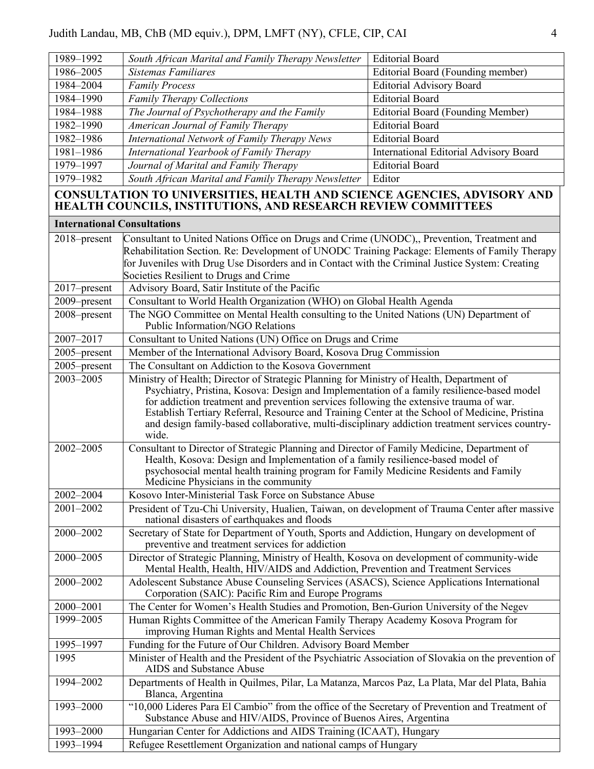| 1989-1992<br>1986-2005             | South African Marital and Family Therapy Newsletter<br><b>Sistemas Familiares</b>                                                                                                                                                                                                                                                                                                                                                                                                                                                                                                                                                                                           | <b>Editorial Board</b>                        |
|------------------------------------|-----------------------------------------------------------------------------------------------------------------------------------------------------------------------------------------------------------------------------------------------------------------------------------------------------------------------------------------------------------------------------------------------------------------------------------------------------------------------------------------------------------------------------------------------------------------------------------------------------------------------------------------------------------------------------|-----------------------------------------------|
|                                    |                                                                                                                                                                                                                                                                                                                                                                                                                                                                                                                                                                                                                                                                             | Editorial Board (Founding member)             |
| 1984-2004                          | <b>Family Process</b>                                                                                                                                                                                                                                                                                                                                                                                                                                                                                                                                                                                                                                                       | <b>Editorial Advisory Board</b>               |
| 1984-1990                          | <b>Family Therapy Collections</b>                                                                                                                                                                                                                                                                                                                                                                                                                                                                                                                                                                                                                                           | <b>Editorial Board</b>                        |
| 1984-1988                          | The Journal of Psychotherapy and the Family                                                                                                                                                                                                                                                                                                                                                                                                                                                                                                                                                                                                                                 | <b>Editorial Board (Founding Member)</b>      |
| 1982-1990                          | American Journal of Family Therapy                                                                                                                                                                                                                                                                                                                                                                                                                                                                                                                                                                                                                                          | <b>Editorial Board</b>                        |
| 1982-1986                          | International Network of Family Therapy News                                                                                                                                                                                                                                                                                                                                                                                                                                                                                                                                                                                                                                | <b>Editorial Board</b>                        |
| 1981-1986                          | International Yearbook of Family Therapy                                                                                                                                                                                                                                                                                                                                                                                                                                                                                                                                                                                                                                    | <b>International Editorial Advisory Board</b> |
| 1979-1997                          | Journal of Marital and Family Therapy                                                                                                                                                                                                                                                                                                                                                                                                                                                                                                                                                                                                                                       | <b>Editorial Board</b>                        |
| 1979-1982                          | South African Marital and Family Therapy Newsletter                                                                                                                                                                                                                                                                                                                                                                                                                                                                                                                                                                                                                         | Editor                                        |
|                                    | CONSULTATION TO UNIVERSITIES, HEALTH AND SCIENCE AGENCIES, ADVISORY AND<br>HEALTH COUNCILS, INSTITUTIONS, AND RESEARCH REVIEW COMMITTEES                                                                                                                                                                                                                                                                                                                                                                                                                                                                                                                                    |                                               |
| <b>International Consultations</b> |                                                                                                                                                                                                                                                                                                                                                                                                                                                                                                                                                                                                                                                                             |                                               |
| 2018–present                       | Consultant to United Nations Office on Drugs and Crime (UNODC), Prevention, Treatment and                                                                                                                                                                                                                                                                                                                                                                                                                                                                                                                                                                                   |                                               |
|                                    | Rehabilitation Section. Re: Development of UNODC Training Package: Elements of Family Therapy                                                                                                                                                                                                                                                                                                                                                                                                                                                                                                                                                                               |                                               |
|                                    | for Juveniles with Drug Use Disorders and in Contact with the Criminal Justice System: Creating                                                                                                                                                                                                                                                                                                                                                                                                                                                                                                                                                                             |                                               |
|                                    | Societies Resilient to Drugs and Crime                                                                                                                                                                                                                                                                                                                                                                                                                                                                                                                                                                                                                                      |                                               |
| 2017-present                       | Advisory Board, Satir Institute of the Pacific                                                                                                                                                                                                                                                                                                                                                                                                                                                                                                                                                                                                                              |                                               |
| 2009-present                       | Consultant to World Health Organization (WHO) on Global Health Agenda                                                                                                                                                                                                                                                                                                                                                                                                                                                                                                                                                                                                       |                                               |
| 2008-present                       | The NGO Committee on Mental Health consulting to the United Nations (UN) Department of<br>Public Information/NGO Relations                                                                                                                                                                                                                                                                                                                                                                                                                                                                                                                                                  |                                               |
| 2007-2017                          | Consultant to United Nations (UN) Office on Drugs and Crime                                                                                                                                                                                                                                                                                                                                                                                                                                                                                                                                                                                                                 |                                               |
| 2005–present                       | Member of the International Advisory Board, Kosova Drug Commission                                                                                                                                                                                                                                                                                                                                                                                                                                                                                                                                                                                                          |                                               |
| 2005-present                       | The Consultant on Addiction to the Kosova Government                                                                                                                                                                                                                                                                                                                                                                                                                                                                                                                                                                                                                        |                                               |
| 2003-2005                          | Ministry of Health; Director of Strategic Planning for Ministry of Health, Department of                                                                                                                                                                                                                                                                                                                                                                                                                                                                                                                                                                                    |                                               |
| 2002-2005                          | Psychiatry, Pristina, Kosova: Design and Implementation of a family resilience-based model<br>for addiction treatment and prevention services following the extensive trauma of war.<br>Establish Tertiary Referral, Resource and Training Center at the School of Medicine, Pristina<br>and design family-based collaborative, multi-disciplinary addiction treatment services country-<br>wide.<br>Consultant to Director of Strategic Planning and Director of Family Medicine, Department of<br>Health, Kosova: Design and Implementation of a family resilience-based model of<br>psychosocial mental health training program for Family Medicine Residents and Family |                                               |
|                                    | Medicine Physicians in the community                                                                                                                                                                                                                                                                                                                                                                                                                                                                                                                                                                                                                                        |                                               |
| 2002-2004                          | Kosovo Inter-Ministerial Task Force on Substance Abuse                                                                                                                                                                                                                                                                                                                                                                                                                                                                                                                                                                                                                      |                                               |
| 2001-2002                          | President of Tzu-Chi University, Hualien, Taiwan, on development of Trauma Center after massive                                                                                                                                                                                                                                                                                                                                                                                                                                                                                                                                                                             |                                               |
|                                    | national disasters of earthquakes and floods                                                                                                                                                                                                                                                                                                                                                                                                                                                                                                                                                                                                                                |                                               |
| 2000-2002                          | Secretary of State for Department of Youth, Sports and Addiction, Hungary on development of<br>preventive and treatment services for addiction                                                                                                                                                                                                                                                                                                                                                                                                                                                                                                                              |                                               |
| 2000-2005                          | Director of Strategic Planning, Ministry of Health, Kosova on development of community-wide<br>Mental Health, Health, HIV/AIDS and Addiction, Prevention and Treatment Services                                                                                                                                                                                                                                                                                                                                                                                                                                                                                             |                                               |
| 2000-2002                          | Adolescent Substance Abuse Counseling Services (ASACS), Science Applications International<br>Corporation (SAIC): Pacific Rim and Europe Programs                                                                                                                                                                                                                                                                                                                                                                                                                                                                                                                           |                                               |
| 2000-2001                          | The Center for Women's Health Studies and Promotion, Ben-Gurion University of the Negev                                                                                                                                                                                                                                                                                                                                                                                                                                                                                                                                                                                     |                                               |
| 1999-2005                          | Human Rights Committee of the American Family Therapy Academy Kosova Program for<br>improving Human Rights and Mental Health Services                                                                                                                                                                                                                                                                                                                                                                                                                                                                                                                                       |                                               |
| 1995-1997                          | Funding for the Future of Our Children. Advisory Board Member                                                                                                                                                                                                                                                                                                                                                                                                                                                                                                                                                                                                               |                                               |
| 1995                               | Minister of Health and the President of the Psychiatric Association of Slovakia on the prevention of<br>AIDS and Substance Abuse                                                                                                                                                                                                                                                                                                                                                                                                                                                                                                                                            |                                               |
| 1994-2002                          | Departments of Health in Quilmes, Pilar, La Matanza, Marcos Paz, La Plata, Mar del Plata, Bahia<br>Blanca, Argentina                                                                                                                                                                                                                                                                                                                                                                                                                                                                                                                                                        |                                               |
| 1993-2000                          | "10,000 Lideres Para El Cambio" from the office of the Secretary of Prevention and Treatment of                                                                                                                                                                                                                                                                                                                                                                                                                                                                                                                                                                             |                                               |
|                                    | Substance Abuse and HIV/AIDS, Province of Buenos Aires, Argentina                                                                                                                                                                                                                                                                                                                                                                                                                                                                                                                                                                                                           |                                               |
| 1993-2000                          | Hungarian Center for Addictions and AIDS Training (ICAAT), Hungary                                                                                                                                                                                                                                                                                                                                                                                                                                                                                                                                                                                                          |                                               |
| 1993-1994                          | Refugee Resettlement Organization and national camps of Hungary                                                                                                                                                                                                                                                                                                                                                                                                                                                                                                                                                                                                             |                                               |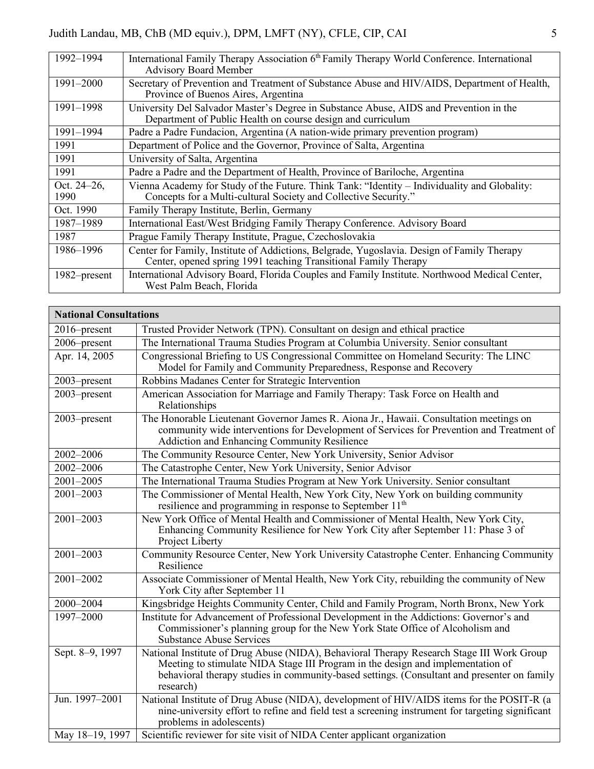| International Family Therapy Association 6 <sup>th</sup> Family Therapy World Conference. International |
|---------------------------------------------------------------------------------------------------------|
| <b>Advisory Board Member</b>                                                                            |
| Secretary of Prevention and Treatment of Substance Abuse and HIV/AIDS, Department of Health,            |
| Province of Buenos Aires, Argentina                                                                     |
| University Del Salvador Master's Degree in Substance Abuse, AIDS and Prevention in the                  |
| Department of Public Health on course design and curriculum                                             |
| Padre a Padre Fundacion, Argentina (A nation-wide primary prevention program)                           |
| Department of Police and the Governor, Province of Salta, Argentina                                     |
| University of Salta, Argentina                                                                          |
| Padre a Padre and the Department of Health, Province of Bariloche, Argentina                            |
| Vienna Academy for Study of the Future. Think Tank: "Identity – Individuality and Globality:            |
| Concepts for a Multi-cultural Society and Collective Security."                                         |
| Family Therapy Institute, Berlin, Germany                                                               |
| International East/West Bridging Family Therapy Conference. Advisory Board                              |
| Prague Family Therapy Institute, Prague, Czechoslovakia                                                 |
| Center for Family, Institute of Addictions, Belgrade, Yugoslavia. Design of Family Therapy              |
| Center, opened spring 1991 teaching Transitional Family Therapy                                         |
| International Advisory Board, Florida Couples and Family Institute. Northwood Medical Center,           |
| West Palm Beach, Florida                                                                                |
|                                                                                                         |

| <b>National Consultations</b> |                                                                                                                                                                                                                                                                                          |
|-------------------------------|------------------------------------------------------------------------------------------------------------------------------------------------------------------------------------------------------------------------------------------------------------------------------------------|
| 2016–present                  | Trusted Provider Network (TPN). Consultant on design and ethical practice                                                                                                                                                                                                                |
| 2006–present                  | The International Trauma Studies Program at Columbia University. Senior consultant                                                                                                                                                                                                       |
| Apr. 14, 2005                 | Congressional Briefing to US Congressional Committee on Homeland Security: The LINC<br>Model for Family and Community Preparedness, Response and Recovery                                                                                                                                |
| 2003-present                  | Robbins Madanes Center for Strategic Intervention                                                                                                                                                                                                                                        |
| 2003-present                  | American Association for Marriage and Family Therapy: Task Force on Health and<br>Relationships                                                                                                                                                                                          |
| 2003-present                  | The Honorable Lieutenant Governor James R. Aiona Jr., Hawaii. Consultation meetings on<br>community wide interventions for Development of Services for Prevention and Treatment of<br>Addiction and Enhancing Community Resilience                                                       |
| 2002-2006                     | The Community Resource Center, New York University, Senior Advisor                                                                                                                                                                                                                       |
| 2002-2006                     | The Catastrophe Center, New York University, Senior Advisor                                                                                                                                                                                                                              |
| 2001-2005                     | The International Trauma Studies Program at New York University. Senior consultant                                                                                                                                                                                                       |
| $2001 - 2003$                 | The Commissioner of Mental Health, New York City, New York on building community<br>resilience and programming in response to September 11 <sup>th</sup>                                                                                                                                 |
| $2001 - 2003$                 | New York Office of Mental Health and Commissioner of Mental Health, New York City,<br>Enhancing Community Resilience for New York City after September 11: Phase 3 of<br>Project Liberty                                                                                                 |
| $2001 - 2003$                 | Community Resource Center, New York University Catastrophe Center. Enhancing Community<br>Resilience                                                                                                                                                                                     |
| 2001-2002                     | Associate Commissioner of Mental Health, New York City, rebuilding the community of New<br>York City after September 11                                                                                                                                                                  |
| 2000-2004                     | Kingsbridge Heights Community Center, Child and Family Program, North Bronx, New York                                                                                                                                                                                                    |
| 1997-2000                     | Institute for Advancement of Professional Development in the Addictions: Governor's and<br>Commissioner's planning group for the New York State Office of Alcoholism and<br><b>Substance Abuse Services</b>                                                                              |
| Sept. 8-9, 1997               | National Institute of Drug Abuse (NIDA), Behavioral Therapy Research Stage III Work Group<br>Meeting to stimulate NIDA Stage III Program in the design and implementation of<br>behavioral therapy studies in community-based settings. (Consultant and presenter on family<br>research) |
| Jun. 1997-2001                | National Institute of Drug Abuse (NIDA), development of HIV/AIDS items for the POSIT-R (a<br>nine-university effort to refine and field test a screening instrument for targeting significant<br>problems in adolescents)                                                                |
| May 18-19, 1997               | Scientific reviewer for site visit of NIDA Center applicant organization                                                                                                                                                                                                                 |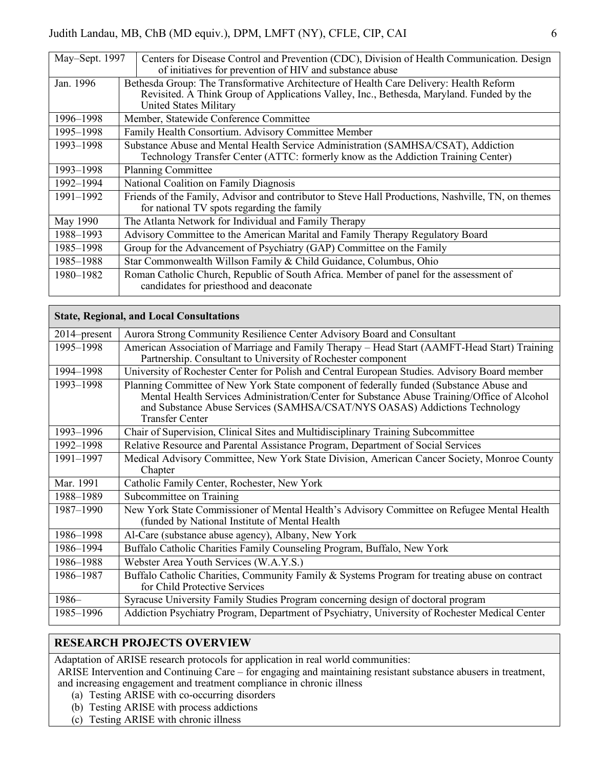| May-Sept. 1997 | Centers for Disease Control and Prevention (CDC), Division of Health Communication. Design<br>of initiatives for prevention of HIV and substance abuse |
|----------------|--------------------------------------------------------------------------------------------------------------------------------------------------------|
|                |                                                                                                                                                        |
| Jan. 1996      | Bethesda Group: The Transformative Architecture of Health Care Delivery: Health Reform                                                                 |
|                | Revisited. A Think Group of Applications Valley, Inc., Bethesda, Maryland. Funded by the                                                               |
|                | <b>United States Military</b>                                                                                                                          |
|                |                                                                                                                                                        |
| 1996–1998      | Member, Statewide Conference Committee                                                                                                                 |
| 1995-1998      | Family Health Consortium. Advisory Committee Member                                                                                                    |
| 1993–1998      | Substance Abuse and Mental Health Service Administration (SAMHSA/CSAT), Addiction                                                                      |
|                | Technology Transfer Center (ATTC: formerly know as the Addiction Training Center)                                                                      |
| 1993–1998      | <b>Planning Committee</b>                                                                                                                              |
| 1992–1994      | National Coalition on Family Diagnosis                                                                                                                 |
| 1991–1992      | Friends of the Family, Advisor and contributor to Steve Hall Productions, Nashville, TN, on themes                                                     |
|                | for national TV spots regarding the family                                                                                                             |
| May 1990       | The Atlanta Network for Individual and Family Therapy                                                                                                  |
| 1988-1993      | Advisory Committee to the American Marital and Family Therapy Regulatory Board                                                                         |
| 1985–1998      | Group for the Advancement of Psychiatry (GAP) Committee on the Family                                                                                  |
| 1985–1988      | Star Commonwealth Willson Family & Child Guidance, Columbus, Ohio                                                                                      |
| 1980–1982      | Roman Catholic Church, Republic of South Africa. Member of panel for the assessment of<br>candidates for priesthood and deaconate                      |

|                 | <b>State, Regional, and Local Consultations</b>                                                                                                                                                                                                                                                |
|-----------------|------------------------------------------------------------------------------------------------------------------------------------------------------------------------------------------------------------------------------------------------------------------------------------------------|
| $2014$ -present | Aurora Strong Community Resilience Center Advisory Board and Consultant                                                                                                                                                                                                                        |
| 1995-1998       | American Association of Marriage and Family Therapy – Head Start (AAMFT-Head Start) Training<br>Partnership. Consultant to University of Rochester component                                                                                                                                   |
| 1994-1998       | University of Rochester Center for Polish and Central European Studies. Advisory Board member                                                                                                                                                                                                  |
| 1993-1998       | Planning Committee of New York State component of federally funded (Substance Abuse and<br>Mental Health Services Administration/Center for Substance Abuse Training/Office of Alcohol<br>and Substance Abuse Services (SAMHSA/CSAT/NYS OASAS) Addictions Technology<br><b>Transfer Center</b> |
| 1993-1996       | Chair of Supervision, Clinical Sites and Multidisciplinary Training Subcommittee                                                                                                                                                                                                               |
| 1992-1998       | Relative Resource and Parental Assistance Program, Department of Social Services                                                                                                                                                                                                               |
| 1991-1997       | Medical Advisory Committee, New York State Division, American Cancer Society, Monroe County<br>Chapter                                                                                                                                                                                         |
| Mar. 1991       | Catholic Family Center, Rochester, New York                                                                                                                                                                                                                                                    |
| 1988-1989       | Subcommittee on Training                                                                                                                                                                                                                                                                       |
| 1987-1990       | New York State Commissioner of Mental Health's Advisory Committee on Refugee Mental Health<br>(funded by National Institute of Mental Health                                                                                                                                                   |
| 1986-1998       | Al-Care (substance abuse agency), Albany, New York                                                                                                                                                                                                                                             |
| 1986-1994       | Buffalo Catholic Charities Family Counseling Program, Buffalo, New York                                                                                                                                                                                                                        |
| 1986-1988       | Webster Area Youth Services (W.A.Y.S.)                                                                                                                                                                                                                                                         |
| 1986-1987       | Buffalo Catholic Charities, Community Family & Systems Program for treating abuse on contract<br>for Child Protective Services                                                                                                                                                                 |
| $1986-$         | Syracuse University Family Studies Program concerning design of doctoral program                                                                                                                                                                                                               |
| 1985-1996       | Addiction Psychiatry Program, Department of Psychiatry, University of Rochester Medical Center                                                                                                                                                                                                 |

## **RESEARCH PROJECTS OVERVIEW**

Adaptation of ARISE research protocols for application in real world communities:

ARISE Intervention and Continuing Care – for engaging and maintaining resistant substance abusers in treatment, and increasing engagement and treatment compliance in chronic illness

- (a) Testing ARISE with co-occurring disorders
- (b) Testing ARISE with process addictions
- (c) Testing ARISE with chronic illness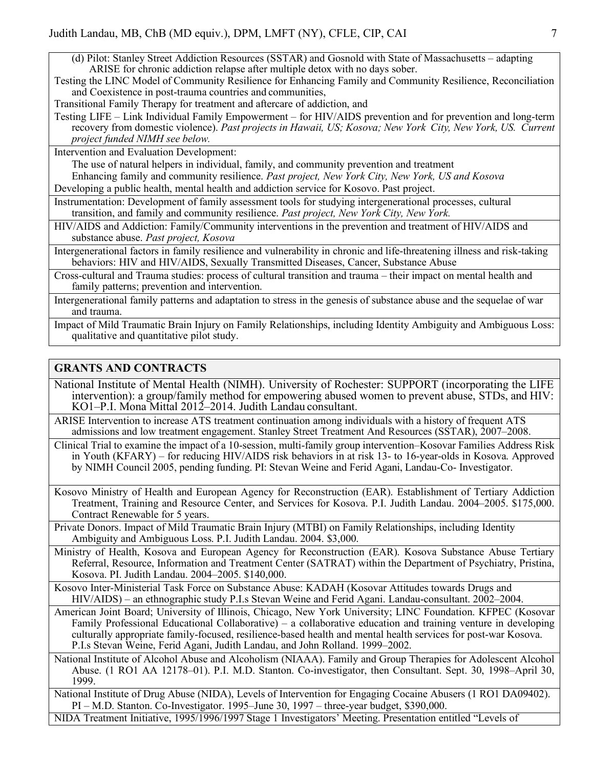(d) Pilot: Stanley Street Addiction Resources (SSTAR) and Gosnold with State of Massachusetts – adapting ARISE for chronic addiction relapse after multiple detox with no days sober.

Testing the LINC Model of Community Resilience for Enhancing Family and Community Resilience, Reconciliation and Coexistence in post-trauma countries and communities,

Transitional Family Therapy for treatment and aftercare of addiction, and

Testing LIFE – Link Individual Family Empowerment – for HIV/AIDS prevention and for prevention and long-term recovery from domestic violence). *Past projects in Hawaii, US; Kosova; New York City, New York, US. Current project funded NIMH see below.*

Intervention and Evaluation Development:

The use of natural helpers in individual, family, and community prevention and treatment

Enhancing family and community resilience. *Past project, New York City, New York, US and Kosova* Developing a public health, mental health and addiction service for Kosovo. Past project.

Instrumentation: Development of family assessment tools for studying intergenerational processes, cultural transition, and family and community resilience. *Past project, New York City, New York.*

HIV/AIDS and Addiction: Family/Community interventions in the prevention and treatment of HIV/AIDS and substance abuse. *Past project, Kosova*

Intergenerational factors in family resilience and vulnerability in chronic and life-threatening illness and risk-taking behaviors: HIV and HIV/AIDS, Sexually Transmitted Diseases, Cancer, Substance Abuse

Cross-cultural and Trauma studies: process of cultural transition and trauma – their impact on mental health and family patterns; prevention and intervention.

Intergenerational family patterns and adaptation to stress in the genesis of substance abuse and the sequelae of war and trauma.

Impact of Mild Traumatic Brain Injury on Family Relationships, including Identity Ambiguity and Ambiguous Loss: qualitative and quantitative pilot study.

## **GRANTS AND CONTRACTS**

- National Institute of Mental Health (NIMH). University of Rochester: SUPPORT (incorporating the LIFE intervention): a group/family method for empowering abused women to prevent abuse, STDs, and HIV: KO1–P.I. Mona Mittal 2012–2014. Judith Landau consultant.
- ARISE Intervention to increase ATS treatment continuation among individuals with a history of frequent ATS admissions and low treatment engagement. Stanley Street Treatment And Resources (SSTAR), 2007–2008.

Clinical Trial to examine the impact of a 10-session, multi-family group intervention–Kosovar Families Address Risk in Youth (KFARY) – for reducing HIV/AIDS risk behaviors in at risk 13- to 16-year-olds in Kosova. Approved by NIMH Council 2005, pending funding. PI: Stevan Weine and Ferid Agani, Landau-Co- Investigator.

Kosovo Ministry of Health and European Agency for Reconstruction (EAR). Establishment of Tertiary Addiction Treatment, Training and Resource Center, and Services for Kosova. P.I. Judith Landau. 2004–2005. \$175,000. Contract Renewable for 5 years.

Private Donors. Impact of Mild Traumatic Brain Injury (MTBI) on Family Relationships, including Identity Ambiguity and Ambiguous Loss. P.I. Judith Landau. 2004. \$3,000.

Ministry of Health, Kosova and European Agency for Reconstruction (EAR). Kosova Substance Abuse Tertiary Referral, Resource, Information and Treatment Center (SATRAT) within the Department of Psychiatry, Pristina, Kosova. PI. Judith Landau. 2004–2005. \$140,000.

Kosovo Inter-Ministerial Task Force on Substance Abuse: KADAH (Kosovar Attitudes towards Drugs and HIV/AIDS) – an ethnographic study P.I.s Stevan Weine and Ferid Agani. Landau-consultant. 2002–2004.

American Joint Board; University of Illinois, Chicago, New York University; LINC Foundation. KFPEC (Kosovar Family Professional Educational Collaborative) – a collaborative education and training venture in developing culturally appropriate family-focused, resilience-based health and mental health services for post-war Kosova. P.I.s Stevan Weine, Ferid Agani, Judith Landau, and John Rolland. 1999–2002.

National Institute of Alcohol Abuse and Alcoholism (NIAAA). Family and Group Therapies for Adolescent Alcohol Abuse. (1 RO1 AA 12178–01). P.I. M.D. Stanton. Co-investigator, then Consultant. Sept. 30, 1998–April 30, 1999.

National Institute of Drug Abuse (NIDA), Levels of Intervention for Engaging Cocaine Abusers (1 RO1 DA09402). PI – M.D. Stanton. Co-Investigator. 1995–June 30, 1997 – three-year budget, \$390,000.

NIDA Treatment Initiative, 1995/1996/1997 Stage 1 Investigators' Meeting. Presentation entitled "Levels of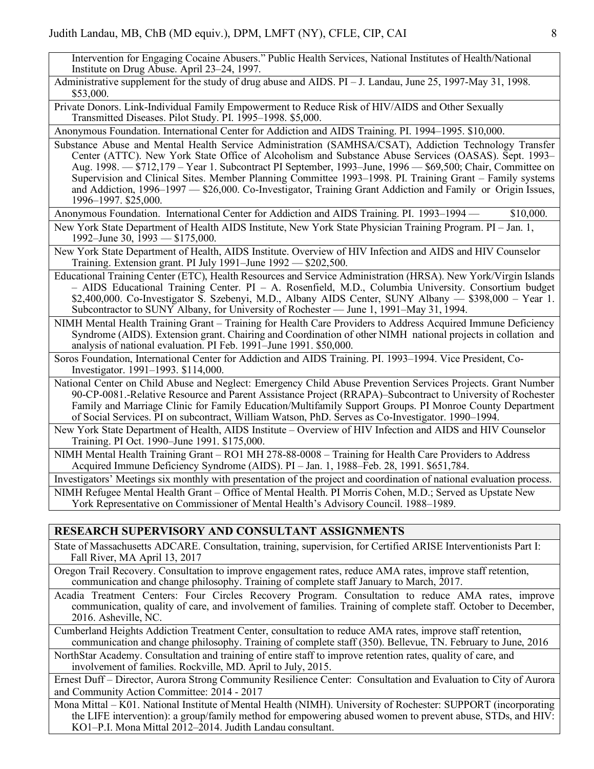Intervention for Engaging Cocaine Abusers." Public Health Services, National Institutes of Health/National Institute on Drug Abuse. April 23–24, 1997.

Administrative supplement for the study of drug abuse and AIDS. PI – J. Landau, June 25, 1997-May 31, 1998. \$53,000.

Private Donors. Link-Individual Family Empowerment to Reduce Risk of HIV/AIDS and Other Sexually Transmitted Diseases. Pilot Study. PI. 1995–1998. \$5,000.

Anonymous Foundation. International Center for Addiction and AIDS Training. PI. 1994–1995. \$10,000.

- Substance Abuse and Mental Health Service Administration (SAMHSA/CSAT), Addiction Technology Transfer Center (ATTC). New York State Office of Alcoholism and Substance Abuse Services (OASAS). Sept. 1993– Aug. 1998. — \$712,179 – Year 1. Subcontract PI September, 1993–June, 1996 — \$69,500; Chair, Committee on Supervision and Clinical Sites. Member Planning Committee 1993–1998. PI. Training Grant – Family systems and Addiction, 1996–1997 — \$26,000. Co-Investigator, Training Grant Addiction and Family or Origin Issues, 1996–1997. \$25,000.
- Anonymous Foundation. International Center for Addiction and AIDS Training. PI. 1993–1994 \$10,000.
- New York State Department of Health AIDS Institute, New York State Physician Training Program. PI Jan. 1, 1992–June 30, 1993 — \$175,000.

New York State Department of Health, AIDS Institute. Overview of HIV Infection and AIDS and HIV Counselor Training. Extension grant. PI July 1991–June 1992 — \$202,500.

Educational Training Center (ETC), Health Resources and Service Administration (HRSA). New York/Virgin Islands – AIDS Educational Training Center. PI – A. Rosenfield, M.D., Columbia University. Consortium budget \$2,400,000. Co-Investigator S. Szebenyi, M.D., Albany AIDS Center, SUNY Albany — \$398,000 – Year 1. Subcontractor to SUNY Albany, for University of Rochester — June 1, 1991–May 31, 1994.

NIMH Mental Health Training Grant – Training for Health Care Providers to Address Acquired Immune Deficiency Syndrome (AIDS). Extension grant. Chairing and Coordination of other NIMH national projects in collation and analysis of national evaluation. PI Feb. 1991–June 1991. \$50,000.

Soros Foundation, International Center for Addiction and AIDS Training. PI. 1993–1994. Vice President, Co-Investigator. 1991–1993. \$114,000.

National Center on Child Abuse and Neglect: Emergency Child Abuse Prevention Services Projects. Grant Number 90-CP-0081.-Relative Resource and Parent Assistance Project (RRAPA)–Subcontract to University of Rochester Family and Marriage Clinic for Family Education/Multifamily Support Groups. PI Monroe County Department of Social Services. PI on subcontract, William Watson, PhD. Serves as Co-Investigator. 1990–1994.

New York State Department of Health, AIDS Institute – Overview of HIV Infection and AIDS and HIV Counselor Training. PI Oct. 1990–June 1991. \$175,000.

NIMH Mental Health Training Grant – RO1 MH 278-88-0008 – Training for Health Care Providers to Address Acquired Immune Deficiency Syndrome (AIDS). PI – Jan. 1, 1988–Feb. 28, 1991. \$651,784.

Investigators' Meetings six monthly with presentation of the project and coordination of national evaluation process.

NIMH Refugee Mental Health Grant – Office of Mental Health. PI Morris Cohen, M.D.; Served as Upstate New York Representative on Commissioner of Mental Health's Advisory Council. 1988–1989.

## **RESEARCH SUPERVISORY AND CONSULTANT ASSIGNMENTS**

State of Massachusetts ADCARE. Consultation, training, supervision, for Certified ARISE Interventionists Part I: Fall River, MA April 13, 2017

Oregon Trail Recovery. Consultation to improve engagement rates, reduce AMA rates, improve staff retention, communication and change philosophy. Training of complete staff January to March, 2017.

Acadia Treatment Centers: Four Circles Recovery Program. Consultation to reduce AMA rates, improve communication, quality of care, and involvement of families. Training of complete staff. October to December, 2016. Asheville, NC.

Cumberland Heights Addiction Treatment Center, consultation to reduce AMA rates, improve staff retention, communication and change philosophy. Training of complete staff (350). Bellevue, TN. February to June, 2016

NorthStar Academy. Consultation and training of entire staff to improve retention rates, quality of care, and involvement of families. Rockville, MD. April to July, 2015.

Ernest Duff – Director, Aurora Strong Community Resilience Center: Consultation and Evaluation to City of Aurora and Community Action Committee: 2014 - 2017

Mona Mittal – K01. National Institute of Mental Health (NIMH). University of Rochester: SUPPORT (incorporating the LIFE intervention): a group/family method for empowering abused women to prevent abuse, STDs, and HIV: KO1–P.I. Mona Mittal 2012–2014. Judith Landau consultant.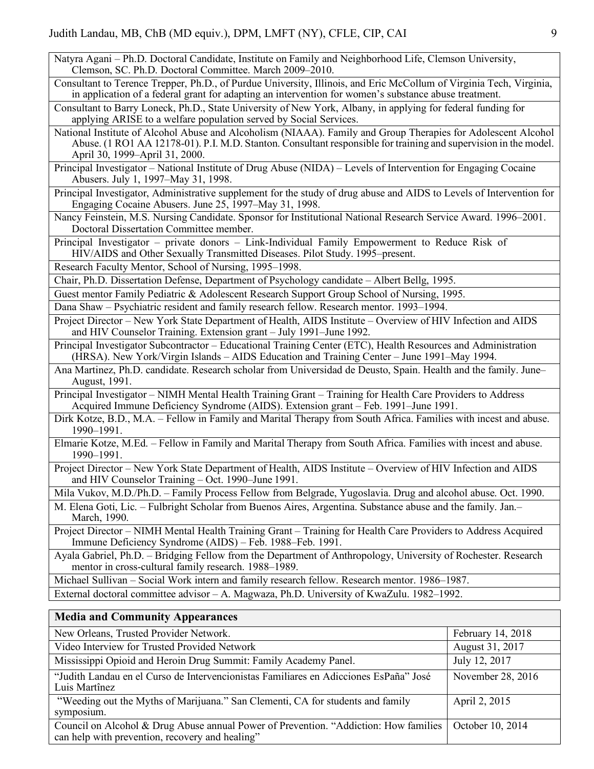Natyra Agani – Ph.D. Doctoral Candidate, Institute on Family and Neighborhood Life, Clemson University, Clemson, SC. Ph.D. Doctoral Committee. March 2009–2010.

Consultant to Terence Trepper, Ph.D., of Purdue University, Illinois, and Eric McCollum of Virginia Tech, Virginia, in application of a federal grant for adapting an intervention for women's substance abuse treatment.

Consultant to Barry Loneck, Ph.D., State University of New York, Albany, in applying for federal funding for applying ARISE to a welfare population served by Social Services.

National Institute of Alcohol Abuse and Alcoholism (NIAAA). Family and Group Therapies for Adolescent Alcohol Abuse. (1 RO1 AA 12178-01). P.I. M.D. Stanton. Consultant responsible for training and supervision in the model. April 30, 1999–April 31, 2000.

Principal Investigator – National Institute of Drug Abuse (NIDA) – Levels of Intervention for Engaging Cocaine Abusers. July 1, 1997–May 31, 1998.

Principal Investigator, Administrative supplement for the study of drug abuse and AIDS to Levels of Intervention for Engaging Cocaine Abusers. June 25, 1997–May 31, 1998.

Nancy Feinstein, M.S. Nursing Candidate. Sponsor for Institutional National Research Service Award. 1996–2001. Doctoral Dissertation Committee member.

Principal Investigator – private donors – Link-Individual Family Empowerment to Reduce Risk of HIV/AIDS and Other Sexually Transmitted Diseases. Pilot Study. 1995–present.

Research Faculty Mentor, School of Nursing, 1995–1998.

Chair, Ph.D. Dissertation Defense, Department of Psychology candidate – Albert Bellg, 1995.

Guest mentor Family Pediatric & Adolescent Research Support Group School of Nursing, 1995.

Dana Shaw – Psychiatric resident and family research fellow. Research mentor. 1993–1994.

Project Director – New York State Department of Health, AIDS Institute – Overview of HIV Infection and AIDS and HIV Counselor Training. Extension grant – July 1991–June 1992.

Principal Investigator Subcontractor – Educational Training Center (ETC), Health Resources and Administration (HRSA). New York/Virgin Islands – AIDS Education and Training Center – June 1991–May 1994.

Ana Martinez, Ph.D. candidate. Research scholar from Universidad de Deusto, Spain. Health and the family. June– August, 1991.

Principal Investigator – NIMH Mental Health Training Grant – Training for Health Care Providers to Address Acquired Immune Deficiency Syndrome (AIDS). Extension grant – Feb. 1991–June 1991.

Dirk Kotze, B.D., M.A. – Fellow in Family and Marital Therapy from South Africa. Families with incest and abuse. 1990–1991.

Elmarie Kotze, M.Ed. – Fellow in Family and Marital Therapy from South Africa. Families with incest and abuse. 1990–1991.

Project Director – New York State Department of Health, AIDS Institute – Overview of HIV Infection and AIDS and HIV Counselor Training – Oct. 1990–June 1991.

Mila Vukov, M.D./Ph.D. – Family Process Fellow from Belgrade, Yugoslavia. Drug and alcohol abuse. Oct. 1990.

M. Elena Goti, Lic. – Fulbright Scholar from Buenos Aires, Argentina. Substance abuse and the family. Jan.– March, 1990.

Project Director – NIMH Mental Health Training Grant – Training for Health Care Providers to Address Acquired Immune Deficiency Syndrome (AIDS) – Feb. 1988–Feb. 1991.

Ayala Gabriel, Ph.D. – Bridging Fellow from the Department of Anthropology, University of Rochester. Research mentor in cross-cultural family research. 1988–1989.

Michael Sullivan – Social Work intern and family research fellow. Research mentor. 1986–1987. External doctoral committee advisor – A. Magwaza, Ph.D. University of KwaZulu. 1982–1992.

## **Media and Community Appearances**

| February 14, 2018 |
|-------------------|
| August 31, 2017   |
| July 12, 2017     |
| November 28, 2016 |
| April 2, 2015     |
| October 10, 2014  |
|                   |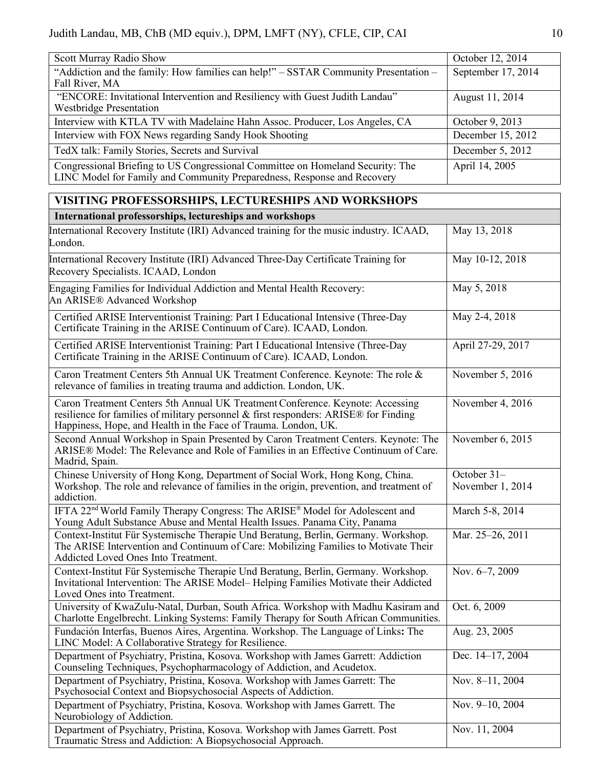| Scott Murray Radio Show                                                                                                                                   | October 12, 2014   |
|-----------------------------------------------------------------------------------------------------------------------------------------------------------|--------------------|
| "Addiction and the family: How families can help!" – SSTAR Community Presentation –<br>Fall River, MA                                                     | September 17, 2014 |
| "ENCORE: Invitational Intervention and Resiliency with Guest Judith Landau"<br><b>Westbridge Presentation</b>                                             | August 11, 2014    |
| Interview with KTLA TV with Madelaine Hahn Assoc. Producer, Los Angeles, CA                                                                               | October 9, 2013    |
| Interview with FOX News regarding Sandy Hook Shooting                                                                                                     | December 15, 2012  |
| TedX talk: Family Stories, Secrets and Survival                                                                                                           | December 5, 2012   |
| Congressional Briefing to US Congressional Committee on Homeland Security: The<br>LINC Model for Family and Community Preparedness, Response and Recovery | April 14, 2005     |

# **VISITING PROFESSORSHIPS, LECTURESHIPS AND WORKSHOPS**

| International professorships, lectureships and workshops                                                                                                                                                                                 |                                 |  |
|------------------------------------------------------------------------------------------------------------------------------------------------------------------------------------------------------------------------------------------|---------------------------------|--|
| International Recovery Institute (IRI) Advanced training for the music industry. ICAAD,<br>London.                                                                                                                                       | May 13, 2018                    |  |
| International Recovery Institute (IRI) Advanced Three-Day Certificate Training for<br>Recovery Specialists. ICAAD, London                                                                                                                | May 10-12, 2018                 |  |
| Engaging Families for Individual Addiction and Mental Health Recovery:<br>An ARISE® Advanced Workshop                                                                                                                                    | May 5, 2018                     |  |
| Certified ARISE Interventionist Training: Part I Educational Intensive (Three-Day<br>Certificate Training in the ARISE Continuum of Care). ICAAD, London.                                                                                | May 2-4, 2018                   |  |
| Certified ARISE Interventionist Training: Part I Educational Intensive (Three-Day<br>Certificate Training in the ARISE Continuum of Care). ICAAD, London.                                                                                | April 27-29, 2017               |  |
| Caron Treatment Centers 5th Annual UK Treatment Conference. Keynote: The role &<br>relevance of families in treating trauma and addiction. London, UK.                                                                                   | November 5, 2016                |  |
| Caron Treatment Centers 5th Annual UK Treatment Conference. Keynote: Accessing<br>resilience for families of military personnel & first responders: ARISE® for Finding<br>Happiness, Hope, and Health in the Face of Trauma. London, UK. | November 4, 2016                |  |
| Second Annual Workshop in Spain Presented by Caron Treatment Centers. Keynote: The<br>ARISE® Model: The Relevance and Role of Families in an Effective Continuum of Care.<br>Madrid, Spain.                                              | November 6, 2015                |  |
| Chinese University of Hong Kong, Department of Social Work, Hong Kong, China.<br>Workshop. The role and relevance of families in the origin, prevention, and treatment of<br>addiction.                                                  | October 31-<br>November 1, 2014 |  |
| IFTA 22 <sup>nd</sup> World Family Therapy Congress: The ARISE® Model for Adolescent and<br>Young Adult Substance Abuse and Mental Health Issues. Panama City, Panama                                                                    | March 5-8, 2014                 |  |
| Context-Institut Für Systemische Therapie Und Beratung, Berlin, Germany. Workshop.<br>The ARISE Intervention and Continuum of Care: Mobilizing Families to Motivate Their<br>Addicted Loved Ones Into Treatment.                         | Mar. 25-26, 2011                |  |
| Context-Institut Für Systemische Therapie Und Beratung, Berlin, Germany. Workshop.<br>Invitational Intervention: The ARISE Model– Helping Families Motivate their Addicted<br>Loved Ones into Treatment.                                 | Nov. 6-7, 2009                  |  |
| University of KwaZulu-Natal, Durban, South Africa. Workshop with Madhu Kasiram and<br>Charlotte Engelbrecht. Linking Systems: Family Therapy for South African Communities.                                                              | Oct. 6, 2009                    |  |
| Fundación Interfas, Buenos Aires, Argentina. Workshop. The Language of Links: The<br>LINC Model: A Collaborative Strategy for Resilience.                                                                                                | Aug. 23, 2005                   |  |
| Department of Psychiatry, Pristina, Kosova. Workshop with James Garrett: Addiction<br>Counseling Techniques, Psychopharmacology of Addiction, and Acudetox.                                                                              | Dec. 14-17, 2004                |  |
| Department of Psychiatry, Pristina, Kosova. Workshop with James Garrett: The<br>Psychosocial Context and Biopsychosocial Aspects of Addiction.                                                                                           | Nov. 8-11, 2004                 |  |
| Department of Psychiatry, Pristina, Kosova. Workshop with James Garrett. The<br>Neurobiology of Addiction.                                                                                                                               | Nov. 9-10, 2004                 |  |
| Department of Psychiatry, Pristina, Kosova. Workshop with James Garrett. Post<br>Traumatic Stress and Addiction: A Biopsychosocial Approach.                                                                                             | Nov. 11, 2004                   |  |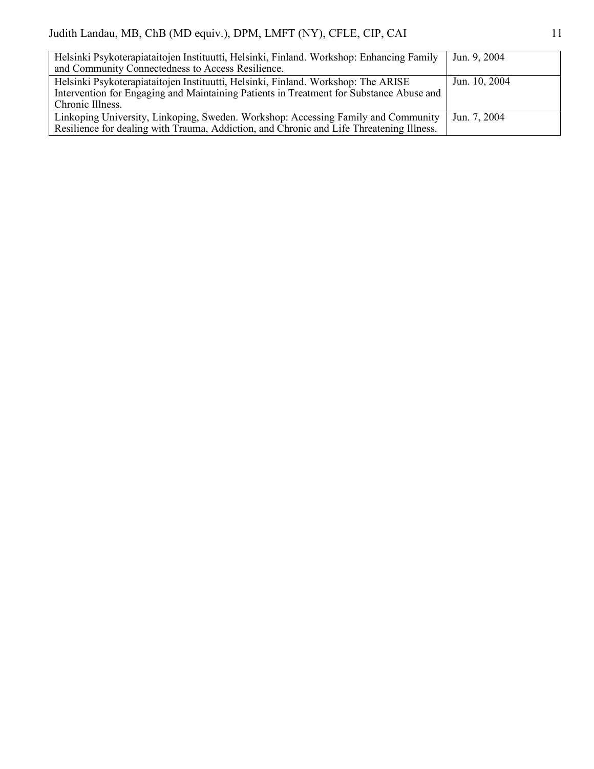| Helsinki Psykoterapiataitojen Instituutti, Helsinki, Finland. Workshop: Enhancing Family | Jun. 9, 2004  |
|------------------------------------------------------------------------------------------|---------------|
| and Community Connectedness to Access Resilience.                                        |               |
| Helsinki Psykoterapiataitojen Instituutti, Helsinki, Finland. Workshop: The ARISE        | Jun. 10, 2004 |
| Intervention for Engaging and Maintaining Patients in Treatment for Substance Abuse and  |               |
| Chronic Illness.                                                                         |               |
| Linkoping University, Linkoping, Sweden. Workshop: Accessing Family and Community        | Jun. 7, 2004  |
| Resilience for dealing with Trauma, Addiction, and Chronic and Life Threatening Illness. |               |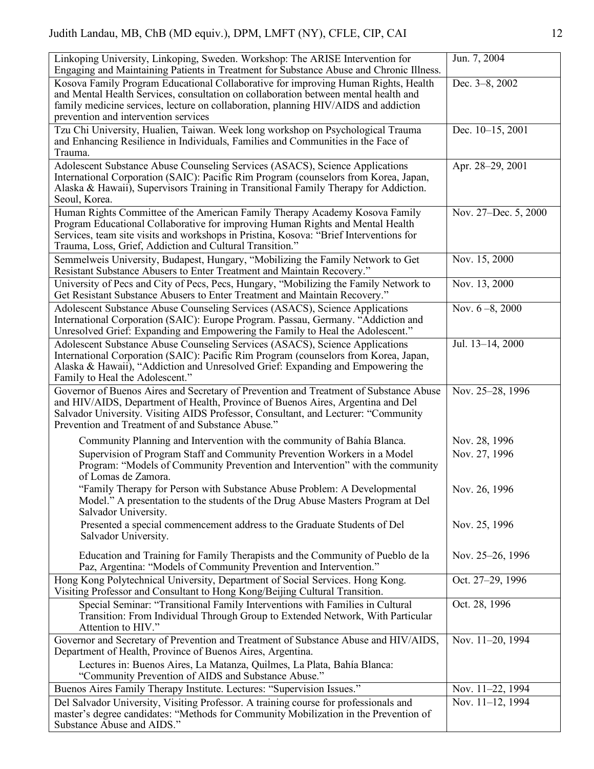| Linkoping University, Linkoping, Sweden. Workshop: The ARISE Intervention for<br>Engaging and Maintaining Patients in Treatment for Substance Abuse and Chronic Illness.                                                                                                                                            | Jun. 7, 2004         |
|---------------------------------------------------------------------------------------------------------------------------------------------------------------------------------------------------------------------------------------------------------------------------------------------------------------------|----------------------|
| Kosova Family Program Educational Collaborative for improving Human Rights, Health<br>and Mental Health Services, consultation on collaboration between mental health and<br>family medicine services, lecture on collaboration, planning HIV/AIDS and addiction<br>prevention and intervention services            | Dec. 3-8, 2002       |
| Tzu Chi University, Hualien, Taiwan. Week long workshop on Psychological Trauma<br>and Enhancing Resilience in Individuals, Families and Communities in the Face of<br>Trauma.                                                                                                                                      | Dec. 10-15, 2001     |
| Adolescent Substance Abuse Counseling Services (ASACS), Science Applications<br>International Corporation (SAIC): Pacific Rim Program (counselors from Korea, Japan,<br>Alaska & Hawaii), Supervisors Training in Transitional Family Therapy for Addiction.<br>Seoul, Korea.                                       | Apr. 28-29, 2001     |
| Human Rights Committee of the American Family Therapy Academy Kosova Family<br>Program Educational Collaborative for improving Human Rights and Mental Health<br>Services, team site visits and workshops in Pristina, Kosova: "Brief Interventions for<br>Trauma, Loss, Grief, Addiction and Cultural Transition." | Nov. 27–Dec. 5, 2000 |
| Semmelweis University, Budapest, Hungary, "Mobilizing the Family Network to Get<br>Resistant Substance Abusers to Enter Treatment and Maintain Recovery."                                                                                                                                                           | Nov. 15, 2000        |
| University of Pecs and City of Pecs, Pecs, Hungary, "Mobilizing the Family Network to<br>Get Resistant Substance Abusers to Enter Treatment and Maintain Recovery."                                                                                                                                                 | Nov. 13, 2000        |
| Adolescent Substance Abuse Counseling Services (ASACS), Science Applications<br>International Corporation (SAIC): Europe Program. Passau, Germany. "Addiction and<br>Unresolved Grief: Expanding and Empowering the Family to Heal the Adolescent."                                                                 | Nov. $6-8$ , 2000    |
| Adolescent Substance Abuse Counseling Services (ASACS), Science Applications<br>International Corporation (SAIC): Pacific Rim Program (counselors from Korea, Japan,<br>Alaska & Hawaii), "Addiction and Unresolved Grief: Expanding and Empowering the<br>Family to Heal the Adolescent."                          | Jul. 13-14, 2000     |
| Governor of Buenos Aires and Secretary of Prevention and Treatment of Substance Abuse<br>and HIV/AIDS, Department of Health, Province of Buenos Aires, Argentina and Del<br>Salvador University. Visiting AIDS Professor, Consultant, and Lecturer: "Community<br>Prevention and Treatment of and Substance Abuse." | Nov. 25-28, 1996     |
| Community Planning and Intervention with the community of Bahía Blanca.                                                                                                                                                                                                                                             | Nov. 28, 1996        |
| Supervision of Program Staff and Community Prevention Workers in a Model<br>Program: "Models of Community Prevention and Intervention" with the community<br>of Lomas de Zamora.                                                                                                                                    | Nov. 27, 1996        |
| 'Family Therapy for Person with Substance Abuse Problem: A Developmental<br>Model." A presentation to the students of the Drug Abuse Masters Program at Del<br>Salvador University.                                                                                                                                 | Nov. 26, 1996        |
| Presented a special commencement address to the Graduate Students of Del<br>Salvador University.                                                                                                                                                                                                                    | Nov. 25, 1996        |
| Education and Training for Family Therapists and the Community of Pueblo de la<br>Paz, Argentina: "Models of Community Prevention and Intervention."                                                                                                                                                                | Nov. 25–26, 1996     |
| Hong Kong Polytechnical University, Department of Social Services. Hong Kong.<br>Visiting Professor and Consultant to Hong Kong/Beijing Cultural Transition.                                                                                                                                                        | Oct. 27-29, 1996     |
| Special Seminar: "Transitional Family Interventions with Families in Cultural<br>Transition: From Individual Through Group to Extended Network, With Particular<br>Attention to HIV."                                                                                                                               | Oct. 28, 1996        |
| Governor and Secretary of Prevention and Treatment of Substance Abuse and HIV/AIDS,<br>Department of Health, Province of Buenos Aires, Argentina.                                                                                                                                                                   | Nov. 11-20, 1994     |
| Lectures in: Buenos Aires, La Matanza, Quilmes, La Plata, Bahía Blanca:<br>"Community Prevention of AIDS and Substance Abuse."                                                                                                                                                                                      |                      |
| Buenos Aires Family Therapy Institute. Lectures: "Supervision Issues."                                                                                                                                                                                                                                              | Nov. 11-22, 1994     |
| Del Salvador University, Visiting Professor. A training course for professionals and<br>master's degree candidates: "Methods for Community Mobilization in the Prevention of                                                                                                                                        | Nov. 11-12, 1994     |
| Substance Abuse and AIDS."                                                                                                                                                                                                                                                                                          |                      |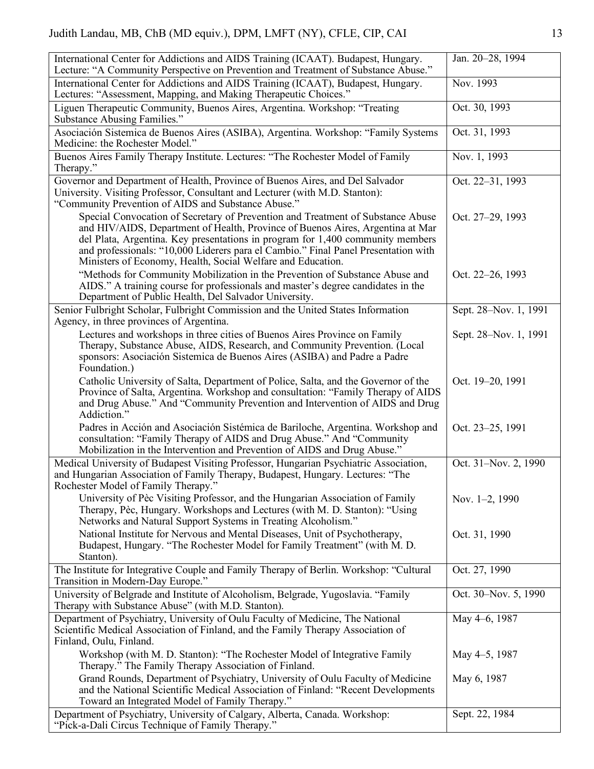| International Center for Addictions and AIDS Training (ICAAT). Budapest, Hungary.<br>Lecture: "A Community Perspective on Prevention and Treatment of Substance Abuse."                                                                                                                                                                                                                                  | Jan. 20-28, 1994      |
|----------------------------------------------------------------------------------------------------------------------------------------------------------------------------------------------------------------------------------------------------------------------------------------------------------------------------------------------------------------------------------------------------------|-----------------------|
| International Center for Addictions and AIDS Training (ICAAT), Budapest, Hungary.<br>Lectures: "Assessment, Mapping, and Making Therapeutic Choices."                                                                                                                                                                                                                                                    | Nov. 1993             |
| Liguen Therapeutic Community, Buenos Aires, Argentina. Workshop: "Treating<br>Substance Abusing Families."                                                                                                                                                                                                                                                                                               | Oct. 30, 1993         |
| Asociación Sistemica de Buenos Aires (ASIBA), Argentina. Workshop: "Family Systems<br>Medicine: the Rochester Model."                                                                                                                                                                                                                                                                                    | Oct. 31, 1993         |
| Buenos Aires Family Therapy Institute. Lectures: "The Rochester Model of Family<br>Therapy."                                                                                                                                                                                                                                                                                                             | Nov. 1, 1993          |
| Governor and Department of Health, Province of Buenos Aires, and Del Salvador<br>University. Visiting Professor, Consultant and Lecturer (with M.D. Stanton):<br>"Community Prevention of AIDS and Substance Abuse."                                                                                                                                                                                     | Oct. 22-31, 1993      |
| Special Convocation of Secretary of Prevention and Treatment of Substance Abuse<br>and HIV/AIDS, Department of Health, Province of Buenos Aires, Argentina at Mar<br>del Plata, Argentina. Key presentations in program for 1,400 community members<br>and professionals: "10,000 Liderers para el Cambio." Final Panel Presentation with<br>Ministers of Economy, Health, Social Welfare and Education. | Oct. 27-29, 1993      |
| "Methods for Community Mobilization in the Prevention of Substance Abuse and<br>AIDS." A training course for professionals and master's degree candidates in the<br>Department of Public Health, Del Salvador University.                                                                                                                                                                                | Oct. 22-26, 1993      |
| Senior Fulbright Scholar, Fulbright Commission and the United States Information<br>Agency, in three provinces of Argentina.                                                                                                                                                                                                                                                                             | Sept. 28-Nov. 1, 1991 |
| Lectures and workshops in three cities of Buenos Aires Province on Family<br>Therapy, Substance Abuse, AIDS, Research, and Community Prevention. (Local<br>sponsors: Asociación Sistemica de Buenos Aires (ASIBA) and Padre a Padre<br>Foundation.)                                                                                                                                                      | Sept. 28–Nov. 1, 1991 |
| Catholic University of Salta, Department of Police, Salta, and the Governor of the<br>Province of Salta, Argentina. Workshop and consultation: "Family Therapy of AIDS<br>and Drug Abuse." And "Community Prevention and Intervention of AIDS and Drug<br>Addiction."                                                                                                                                    | Oct. 19-20, 1991      |
| Padres in Acción and Asociación Sistémica de Bariloche, Argentina. Workshop and<br>consultation: "Family Therapy of AIDS and Drug Abuse." And "Community<br>Mobilization in the Intervention and Prevention of AIDS and Drug Abuse."                                                                                                                                                                     | Oct. 23-25, 1991      |
| Medical University of Budapest Visiting Professor, Hungarian Psychiatric Association,<br>and Hungarian Association of Family Therapy, Budapest, Hungary. Lectures: "The<br>Rochester Model of Family Therapy.                                                                                                                                                                                            | Oct. 31-Nov. 2, 1990  |
| University of Pèc Visiting Professor, and the Hungarian Association of Family<br>Therapy, Pèc, Hungary. Workshops and Lectures (with M. D. Stanton): "Using<br>Networks and Natural Support Systems in Treating Alcoholism."                                                                                                                                                                             | Nov. 1-2, 1990        |
| National Institute for Nervous and Mental Diseases, Unit of Psychotherapy,<br>Budapest, Hungary. "The Rochester Model for Family Treatment" (with M. D.<br>Stanton).                                                                                                                                                                                                                                     | Oct. 31, 1990         |
| The Institute for Integrative Couple and Family Therapy of Berlin. Workshop: "Cultural<br>Transition in Modern-Day Europe."                                                                                                                                                                                                                                                                              | Oct. 27, 1990         |
| University of Belgrade and Institute of Alcoholism, Belgrade, Yugoslavia. "Family<br>Therapy with Substance Abuse" (with M.D. Stanton).                                                                                                                                                                                                                                                                  | Oct. 30-Nov. 5, 1990  |
| Department of Psychiatry, University of Oulu Faculty of Medicine, The National<br>Scientific Medical Association of Finland, and the Family Therapy Association of<br>Finland, Oulu, Finland.                                                                                                                                                                                                            | May 4-6, 1987         |
| Workshop (with M. D. Stanton): "The Rochester Model of Integrative Family<br>Therapy." The Family Therapy Association of Finland.                                                                                                                                                                                                                                                                        | May 4-5, 1987         |
| Grand Rounds, Department of Psychiatry, University of Oulu Faculty of Medicine<br>and the National Scientific Medical Association of Finland: "Recent Developments<br>Toward an Integrated Model of Family Therapy."                                                                                                                                                                                     | May 6, 1987           |
| Department of Psychiatry, University of Calgary, Alberta, Canada. Workshop:<br>"Pick-a-Dali Circus Technique of Family Therapy."                                                                                                                                                                                                                                                                         | Sept. 22, 1984        |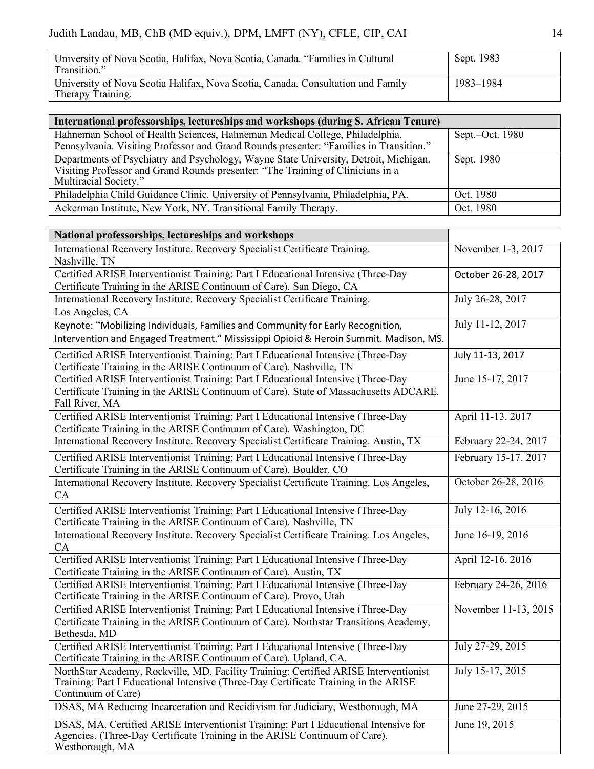| University of Nova Scotia, Halifax, Nova Scotia, Canada. "Families in Cultural<br>Transition."       | Sept. 1983 |
|------------------------------------------------------------------------------------------------------|------------|
| University of Nova Scotia Halifax, Nova Scotia, Canada. Consultation and Family<br>Therapy Training. | 1983–1984  |

| International professorships, lectureships and workshops (during S. African Tenure)                                                                                                              |                 |
|--------------------------------------------------------------------------------------------------------------------------------------------------------------------------------------------------|-----------------|
| Hahneman School of Health Sciences, Hahneman Medical College, Philadelphia,<br>Pennsylvania. Visiting Professor and Grand Rounds presenter: "Families in Transition."                            | Sept.-Oct. 1980 |
| Departments of Psychiatry and Psychology, Wayne State University, Detroit, Michigan.<br>Visiting Professor and Grand Rounds presenter: "The Training of Clinicians in a<br>Multiracial Society." | Sept. 1980      |
| Philadelphia Child Guidance Clinic, University of Pennsylvania, Philadelphia, PA.                                                                                                                | Oct. 1980       |
| Ackerman Institute, New York, NY. Transitional Family Therapy.                                                                                                                                   | Oct. 1980       |

| National professorships, lectureships and workshops                                                                                                                                               |                      |
|---------------------------------------------------------------------------------------------------------------------------------------------------------------------------------------------------|----------------------|
| International Recovery Institute. Recovery Specialist Certificate Training.<br>Nashville, TN                                                                                                      | November 1-3, 2017   |
| Certified ARISE Interventionist Training: Part I Educational Intensive (Three-Day<br>Certificate Training in the ARISE Continuum of Care). San Diego, CA                                          | October 26-28, 2017  |
| International Recovery Institute. Recovery Specialist Certificate Training.<br>Los Angeles, CA                                                                                                    | July 26-28, 2017     |
| Keynote: "Mobilizing Individuals, Families and Community for Early Recognition,<br>Intervention and Engaged Treatment." Mississippi Opioid & Heroin Summit. Madison, MS.                          | July 11-12, 2017     |
| Certified ARISE Interventionist Training: Part I Educational Intensive (Three-Day<br>Certificate Training in the ARISE Continuum of Care). Nashville, TN                                          | July 11-13, 2017     |
| Certified ARISE Interventionist Training: Part I Educational Intensive (Three-Day<br>Certificate Training in the ARISE Continuum of Care). State of Massachusetts ADCARE.<br>Fall River, MA       | June 15-17, 2017     |
| Certified ARISE Interventionist Training: Part I Educational Intensive (Three-Day<br>Certificate Training in the ARISE Continuum of Care). Washington, DC                                         | April 11-13, 2017    |
| International Recovery Institute. Recovery Specialist Certificate Training. Austin, TX                                                                                                            | February 22-24, 2017 |
| Certified ARISE Interventionist Training: Part I Educational Intensive (Three-Day<br>Certificate Training in the ARISE Continuum of Care). Boulder, CO                                            | February 15-17, 2017 |
| International Recovery Institute. Recovery Specialist Certificate Training. Los Angeles,<br>CA                                                                                                    | October 26-28, 2016  |
| Certified ARISE Interventionist Training: Part I Educational Intensive (Three-Day<br>Certificate Training in the ARISE Continuum of Care). Nashville, TN                                          | July 12-16, 2016     |
| International Recovery Institute. Recovery Specialist Certificate Training. Los Angeles,<br>CA                                                                                                    | June 16-19, 2016     |
| Certified ARISE Interventionist Training: Part I Educational Intensive (Three-Day<br>Certificate Training in the ARISE Continuum of Care). Austin, TX                                             | April 12-16, 2016    |
| Certified ARISE Interventionist Training: Part I Educational Intensive (Three-Day<br>Certificate Training in the ARISE Continuum of Care). Provo, Utah                                            | February 24-26, 2016 |
| Certified ARISE Interventionist Training: Part I Educational Intensive (Three-Day<br>Certificate Training in the ARISE Continuum of Care). Northstar Transitions Academy,<br>Bethesda, MD         | November 11-13, 2015 |
| Certified ARISE Interventionist Training: Part I Educational Intensive (Three-Day<br>Certificate Training in the ARISE Continuum of Care). Upland, CA.                                            | July 27-29, 2015     |
| NorthStar Academy, Rockville, MD. Facility Training: Certified ARISE Interventionist<br>Training: Part I Educational Intensive (Three-Day Certificate Training in the ARISE<br>Continuum of Care) | July 15-17, 2015     |
| DSAS, MA Reducing Incarceration and Recidivism for Judiciary, Westborough, MA                                                                                                                     | June 27-29, 2015     |
| DSAS, MA. Certified ARISE Interventionist Training: Part I Educational Intensive for<br>Agencies. (Three-Day Certificate Training in the ARISE Continuum of Care).<br>Westborough, MA             | June 19, 2015        |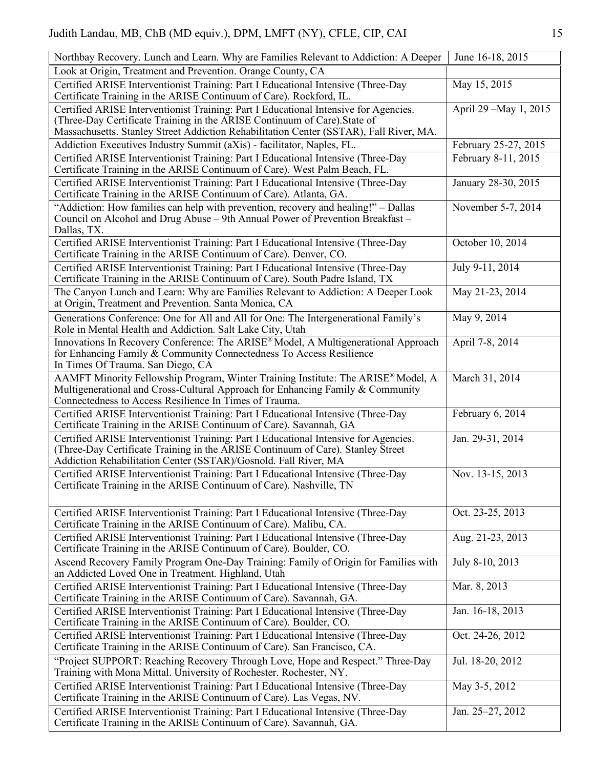| Northbay Recovery. Lunch and Learn. Why are Families Relevant to Addiction: A Deeper                                                                                                                                                       | June 16-18, 2015       |
|--------------------------------------------------------------------------------------------------------------------------------------------------------------------------------------------------------------------------------------------|------------------------|
| Look at Origin, Treatment and Prevention. Orange County, CA                                                                                                                                                                                |                        |
| Certified ARISE Interventionist Training: Part I Educational Intensive (Three-Day<br>Certificate Training in the ARISE Continuum of Care). Rockford, IL.                                                                                   | May 15, 2015           |
| Certified ARISE Interventionist Training: Part I Educational Intensive for Agencies.<br>(Three-Day Certificate Training in the ARISE Continuum of Care). State of                                                                          | April 29 - May 1, 2015 |
| Massachusetts. Stanley Street Addiction Rehabilitation Center (SSTAR), Fall River, MA.                                                                                                                                                     |                        |
| Addiction Executives Industry Summit (aXis) - facilitator, Naples, FL.                                                                                                                                                                     | February 25-27, 2015   |
| Certified ARISE Interventionist Training: Part I Educational Intensive (Three-Day<br>Certificate Training in the ARISE Continuum of Care). West Palm Beach, FL.                                                                            | February 8-11, 2015    |
| Certified ARISE Interventionist Training: Part I Educational Intensive (Three-Day<br>Certificate Training in the ARISE Continuum of Care). Atlanta, GA.                                                                                    | January 28-30, 2015    |
| "Addiction: How families can help with prevention, recovery and healing!" – Dallas<br>Council on Alcohol and Drug Abuse - 9th Annual Power of Prevention Breakfast -<br>Dallas, TX.                                                        | November 5-7, 2014     |
| Certified ARISE Interventionist Training: Part I Educational Intensive (Three-Day<br>Certificate Training in the ARISE Continuum of Care). Denver, CO.                                                                                     | October 10, 2014       |
| Certified ARISE Interventionist Training: Part I Educational Intensive (Three-Day<br>Certificate Training in the ARISE Continuum of Care). South Padre Island, TX                                                                          | July 9-11, 2014        |
| The Canyon Lunch and Learn: Why are Families Relevant to Addiction: A Deeper Look<br>at Origin, Treatment and Prevention. Santa Monica, CA                                                                                                 | May 21-23, 2014        |
| Generations Conference: One for All and All for One: The Intergenerational Family's<br>Role in Mental Health and Addiction. Salt Lake City, Utah                                                                                           | May 9, 2014            |
| Innovations In Recovery Conference: The ARISE® Model, A Multigenerational Approach<br>for Enhancing Family & Community Connectedness To Access Resilience<br>In Times Of Trauma. San Diego, CA                                             | April 7-8, 2014        |
| AAMFT Minority Fellowship Program, Winter Training Institute: The ARISE® Model, A<br>Multigenerational and Cross-Cultural Approach for Enhancing Family & Community<br>Connectedness to Access Resilience In Times of Trauma.              | March 31, 2014         |
| Certified ARISE Interventionist Training: Part I Educational Intensive (Three-Day<br>Certificate Training in the ARISE Continuum of Care). Savannah, GA                                                                                    | February 6, 2014       |
| Certified ARISE Interventionist Training: Part I Educational Intensive for Agencies.<br>(Three-Day Certificate Training in the ARISE Continuum of Care). Stanley Street<br>Addiction Rehabilitation Center (SSTAR)/Gosnold. Fall River, MA | Jan. 29-31, 2014       |
| Certified ARISE Interventionist Training: Part I Educational Intensive (Three-Day<br>Certificate Training in the ARISE Continuum of Care). Nashville, TN                                                                                   | Nov. 13-15, 2013       |
| Certified ARISE Interventionist Training: Part I Educational Intensive (Three-Day<br>Certificate Training in the ARISE Continuum of Care). Malibu, CA.                                                                                     | Oct. 23-25, 2013       |
| Certified ARISE Interventionist Training: Part I Educational Intensive (Three-Day<br>Certificate Training in the ARISE Continuum of Care). Boulder, CO.                                                                                    | Aug. 21-23, 2013       |
| Ascend Recovery Family Program One-Day Training: Family of Origin for Families with<br>an Addicted Loved One in Treatment. Highland, Utah                                                                                                  | July 8-10, 2013        |
| Certified ARISE Interventionist Training: Part I Educational Intensive (Three-Day<br>Certificate Training in the ARISE Continuum of Care). Savannah, GA.                                                                                   | Mar. 8, 2013           |
| Certified ARISE Interventionist Training: Part I Educational Intensive (Three-Day<br>Certificate Training in the ARISE Continuum of Care). Boulder, CO.                                                                                    | Jan. 16-18, 2013       |
| Certified ARISE Interventionist Training: Part I Educational Intensive (Three-Day<br>Certificate Training in the ARISE Continuum of Care). San Francisco, CA.                                                                              | Oct. 24-26, 2012       |
| "Project SUPPORT: Reaching Recovery Through Love, Hope and Respect." Three-Day<br>Training with Mona Mittal. University of Rochester. Rochester, NY.                                                                                       | Jul. 18-20, 2012       |
| Certified ARISE Interventionist Training: Part I Educational Intensive (Three-Day<br>Certificate Training in the ARISE Continuum of Care). Las Vegas, NV.                                                                                  | May 3-5, 2012          |
| Certified ARISE Interventionist Training: Part I Educational Intensive (Three-Day<br>Certificate Training in the ARISE Continuum of Care). Savannah, GA.                                                                                   | Jan. 25–27, 2012       |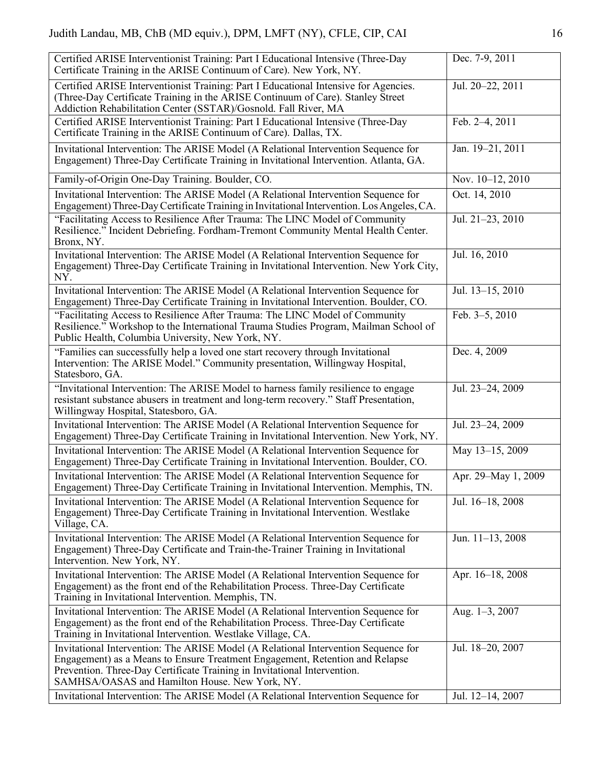| Certified ARISE Interventionist Training: Part I Educational Intensive (Three-Day<br>Certificate Training in the ARISE Continuum of Care). New York, NY.                                                                                                                                         | Dec. 7-9, 2011      |
|--------------------------------------------------------------------------------------------------------------------------------------------------------------------------------------------------------------------------------------------------------------------------------------------------|---------------------|
| Certified ARISE Interventionist Training: Part I Educational Intensive for Agencies.<br>(Three-Day Certificate Training in the ARISE Continuum of Care). Stanley Street<br>Addiction Rehabilitation Center (SSTAR)/Gosnold. Fall River, MA                                                       | Jul. 20-22, 2011    |
| Certified ARISE Interventionist Training: Part I Educational Intensive (Three-Day<br>Certificate Training in the ARISE Continuum of Care). Dallas, TX.                                                                                                                                           | Feb. 2-4, 2011      |
| Invitational Intervention: The ARISE Model (A Relational Intervention Sequence for<br>Engagement) Three-Day Certificate Training in Invitational Intervention. Atlanta, GA.                                                                                                                      | Jan. 19-21, 2011    |
| Family-of-Origin One-Day Training. Boulder, CO.                                                                                                                                                                                                                                                  | Nov. 10-12, 2010    |
| Invitational Intervention: The ARISE Model (A Relational Intervention Sequence for<br>Engagement) Three-Day Certificate Training in Invitational Intervention. Los Angeles, CA.                                                                                                                  | Oct. 14, 2010       |
| "Facilitating Access to Resilience After Trauma: The LINC Model of Community<br>Resilience." Incident Debriefing. Fordham-Tremont Community Mental Health Center.<br>Bronx, NY.                                                                                                                  | Jul. 21-23, 2010    |
| Invitational Intervention: The ARISE Model (A Relational Intervention Sequence for<br>Engagement) Three-Day Certificate Training in Invitational Intervention. New York City,<br>NY.                                                                                                             | Jul. 16, 2010       |
| Invitational Intervention: The ARISE Model (A Relational Intervention Sequence for<br>Engagement) Three-Day Certificate Training in Invitational Intervention. Boulder, CO.                                                                                                                      | Jul. 13-15, 2010    |
| "Facilitating Access to Resilience After Trauma: The LINC Model of Community<br>Resilience." Workshop to the International Trauma Studies Program, Mailman School of<br>Public Health, Columbia University, New York, NY.                                                                        | Feb. 3-5, 2010      |
| "Families can successfully help a loved one start recovery through Invitational<br>Intervention: The ARISE Model." Community presentation, Willingway Hospital,<br>Statesboro, GA.                                                                                                               | Dec. 4, 2009        |
| "Invitational Intervention: The ARISE Model to harness family resilience to engage<br>resistant substance abusers in treatment and long-term recovery." Staff Presentation,<br>Willingway Hospital, Statesboro, GA.                                                                              | Jul. 23-24, 2009    |
| Invitational Intervention: The ARISE Model (A Relational Intervention Sequence for<br>Engagement) Three-Day Certificate Training in Invitational Intervention. New York, NY.                                                                                                                     | Jul. 23-24, 2009    |
| Invitational Intervention: The ARISE Model (A Relational Intervention Sequence for<br>Engagement) Three-Day Certificate Training in Invitational Intervention. Boulder, CO.                                                                                                                      | May 13-15, 2009     |
| Invitational Intervention: The ARISE Model (A Relational Intervention Sequence for<br>Engagement) Three-Day Certificate Training in Invitational Intervention. Memphis, TN.                                                                                                                      | Apr. 29-May 1, 2009 |
| Invitational Intervention: The ARISE Model (A Relational Intervention Sequence for<br>Engagement) Three-Day Certificate Training in Invitational Intervention. Westlake<br>Village, CA.                                                                                                          | Jul. 16-18, 2008    |
| Invitational Intervention: The ARISE Model (A Relational Intervention Sequence for<br>Engagement) Three-Day Certificate and Train-the-Trainer Training in Invitational<br>Intervention. New York, NY.                                                                                            | Jun. 11-13, 2008    |
| Invitational Intervention: The ARISE Model (A Relational Intervention Sequence for<br>Engagement) as the front end of the Rehabilitation Process. Three-Day Certificate<br>Training in Invitational Intervention. Memphis, TN.                                                                   | Apr. 16-18, 2008    |
| Invitational Intervention: The ARISE Model (A Relational Intervention Sequence for<br>Engagement) as the front end of the Rehabilitation Process. Three-Day Certificate<br>Training in Invitational Intervention. Westlake Village, CA.                                                          | Aug. 1-3, 2007      |
| Invitational Intervention: The ARISE Model (A Relational Intervention Sequence for<br>Engagement) as a Means to Ensure Treatment Engagement, Retention and Relapse<br>Prevention. Three-Day Certificate Training in Invitational Intervention.<br>SAMHSA/OASAS and Hamilton House. New York, NY. | Jul. 18-20, 2007    |
| Invitational Intervention: The ARISE Model (A Relational Intervention Sequence for                                                                                                                                                                                                               | Jul. 12-14, 2007    |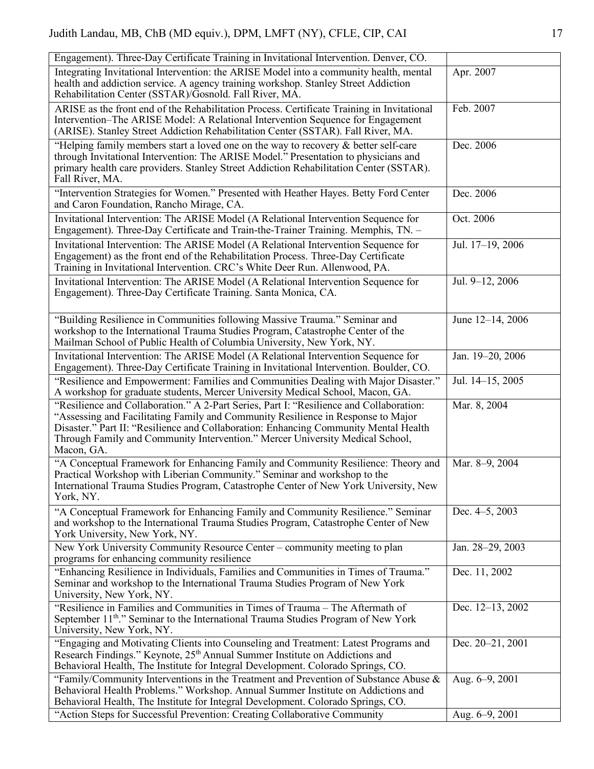| Engagement). Three-Day Certificate Training in Invitational Intervention. Denver, CO.                                                                                                                                                                                                                                                                              |                  |
|--------------------------------------------------------------------------------------------------------------------------------------------------------------------------------------------------------------------------------------------------------------------------------------------------------------------------------------------------------------------|------------------|
| Integrating Invitational Intervention: the ARISE Model into a community health, mental<br>health and addiction service. A agency training workshop. Stanley Street Addiction<br>Rehabilitation Center (SSTAR)/Gosnold. Fall River, MA.                                                                                                                             | Apr. 2007        |
| ARISE as the front end of the Rehabilitation Process. Certificate Training in Invitational<br>Intervention–The ARISE Model: A Relational Intervention Sequence for Engagement<br>(ARISE). Stanley Street Addiction Rehabilitation Center (SSTAR). Fall River, MA.                                                                                                  | Feb. 2007        |
| "Helping family members start a loved one on the way to recovery $\&$ better self-care<br>through Invitational Intervention: The ARISE Model." Presentation to physicians and<br>primary health care providers. Stanley Street Addiction Rehabilitation Center (SSTAR).<br>Fall River, MA.                                                                         | Dec. 2006        |
| "Intervention Strategies for Women." Presented with Heather Hayes. Betty Ford Center<br>and Caron Foundation, Rancho Mirage, CA.                                                                                                                                                                                                                                   | Dec. 2006        |
| Invitational Intervention: The ARISE Model (A Relational Intervention Sequence for<br>Engagement). Three-Day Certificate and Train-the-Trainer Training. Memphis, TN. -                                                                                                                                                                                            | Oct. 2006        |
| Invitational Intervention: The ARISE Model (A Relational Intervention Sequence for<br>Engagement) as the front end of the Rehabilitation Process. Three-Day Certificate<br>Training in Invitational Intervention. CRC's White Deer Run. Allenwood, PA.                                                                                                             | Jul. 17-19, 2006 |
| Invitational Intervention: The ARISE Model (A Relational Intervention Sequence for<br>Engagement). Three-Day Certificate Training. Santa Monica, CA.                                                                                                                                                                                                               | Jul. 9-12, 2006  |
| "Building Resilience in Communities following Massive Trauma." Seminar and<br>workshop to the International Trauma Studies Program, Catastrophe Center of the<br>Mailman School of Public Health of Columbia University, New York, NY.                                                                                                                             | June 12-14, 2006 |
| Invitational Intervention: The ARISE Model (A Relational Intervention Sequence for<br>Engagement). Three-Day Certificate Training in Invitational Intervention. Boulder, CO.                                                                                                                                                                                       | Jan. 19-20, 2006 |
| "Resilience and Empowerment: Families and Communities Dealing with Major Disaster."<br>A workshop for graduate students, Mercer University Medical School, Macon, GA.                                                                                                                                                                                              | Jul. 14-15, 2005 |
| "Resilience and Collaboration." A 2-Part Series, Part I: "Resilience and Collaboration:<br>"Assessing and Facilitating Family and Community Resilience in Response to Major<br>Disaster." Part II: "Resilience and Collaboration: Enhancing Community Mental Health<br>Through Family and Community Intervention." Mercer University Medical School,<br>Macon, GA. | Mar. 8, 2004     |
| "A Conceptual Framework for Enhancing Family and Community Resilience: Theory and<br>Practical Workshop with Liberian Community." Seminar and workshop to the<br>International Trauma Studies Program, Catastrophe Center of New York University, New<br>York, NY.                                                                                                 | Mar. 8-9, 2004   |
| "A Conceptual Framework for Enhancing Family and Community Resilience." Seminar<br>and workshop to the International Trauma Studies Program, Catastrophe Center of New<br>York University, New York, NY.                                                                                                                                                           | Dec. 4–5, 2003   |
| New York University Community Resource Center – community meeting to plan<br>programs for enhancing community resilience                                                                                                                                                                                                                                           | Jan. 28-29, 2003 |
| "Enhancing Resilience in Individuals, Families and Communities in Times of Trauma."<br>Seminar and workshop to the International Trauma Studies Program of New York<br>University, New York, NY.                                                                                                                                                                   | Dec. 11, 2002    |
| "Resilience in Families and Communities in Times of Trauma - The Aftermath of<br>September 11 <sup>th</sup> ." Seminar to the International Trauma Studies Program of New York<br>University, New York, NY.                                                                                                                                                        | Dec. 12-13, 2002 |
| "Engaging and Motivating Clients into Counseling and Treatment: Latest Programs and<br>Research Findings." Keynote, 25 <sup>th</sup> Annual Summer Institute on Addictions and<br>Behavioral Health, The Institute for Integral Development. Colorado Springs, CO.                                                                                                 | Dec. 20-21, 2001 |
| "Family/Community Interventions in the Treatment and Prevention of Substance Abuse $\&$<br>Behavioral Health Problems." Workshop. Annual Summer Institute on Addictions and<br>Behavioral Health, The Institute for Integral Development. Colorado Springs, CO.                                                                                                    | Aug. 6-9, 2001   |
| "Action Steps for Successful Prevention: Creating Collaborative Community                                                                                                                                                                                                                                                                                          | Aug. 6-9, 2001   |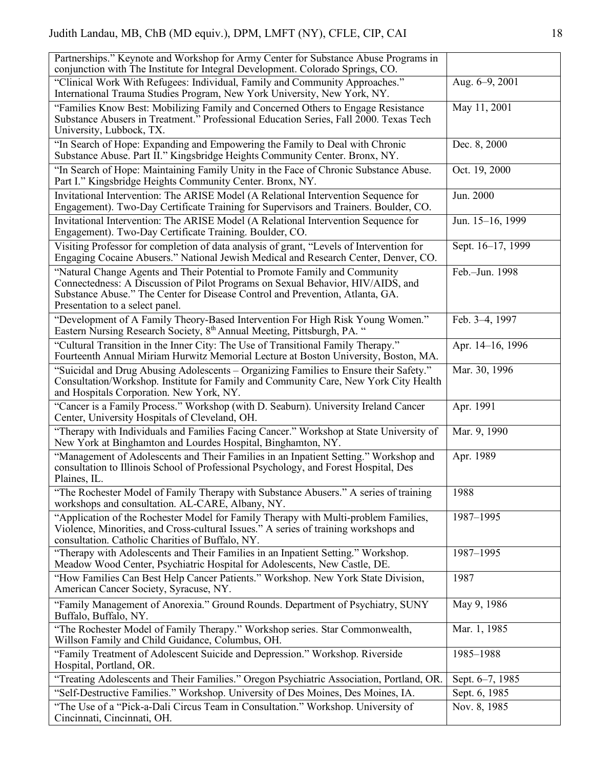| Partnerships." Keynote and Workshop for Army Center for Substance Abuse Programs in<br>conjunction with The Institute for Integral Development. Colorado Springs, CO.                                                                                                             |                   |
|-----------------------------------------------------------------------------------------------------------------------------------------------------------------------------------------------------------------------------------------------------------------------------------|-------------------|
| "Clinical Work With Refugees: Individual, Family and Community Approaches."<br>International Trauma Studies Program, New York University, New York, NY.                                                                                                                           | Aug. 6-9, 2001    |
| "Families Know Best: Mobilizing Family and Concerned Others to Engage Resistance<br>Substance Abusers in Treatment." Professional Education Series, Fall 2000. Texas Tech<br>University, Lubbock, TX.                                                                             | May 11, 2001      |
| "In Search of Hope: Expanding and Empowering the Family to Deal with Chronic<br>Substance Abuse. Part II." Kingsbridge Heights Community Center. Bronx, NY.                                                                                                                       | Dec. 8, 2000      |
| "In Search of Hope: Maintaining Family Unity in the Face of Chronic Substance Abuse.<br>Part I." Kingsbridge Heights Community Center. Bronx, NY.                                                                                                                                 | Oct. 19, 2000     |
| Invitational Intervention: The ARISE Model (A Relational Intervention Sequence for<br>Engagement). Two-Day Certificate Training for Supervisors and Trainers. Boulder, CO.                                                                                                        | Jun. 2000         |
| Invitational Intervention: The ARISE Model (A Relational Intervention Sequence for<br>Engagement). Two-Day Certificate Training. Boulder, CO.                                                                                                                                     | Jun. 15-16, 1999  |
| Visiting Professor for completion of data analysis of grant, "Levels of Intervention for<br>Engaging Cocaine Abusers." National Jewish Medical and Research Center, Denver, CO.                                                                                                   | Sept. 16-17, 1999 |
| "Natural Change Agents and Their Potential to Promote Family and Community<br>Connectedness: A Discussion of Pilot Programs on Sexual Behavior, HIV/AIDS, and<br>Substance Abuse." The Center for Disease Control and Prevention, Atlanta, GA.<br>Presentation to a select panel. | Feb.-Jun. 1998    |
| "Development of A Family Theory-Based Intervention For High Risk Young Women."<br>Eastern Nursing Research Society, 8 <sup>th</sup> Annual Meeting, Pittsburgh, PA. "                                                                                                             | Feb. 3-4, 1997    |
| "Cultural Transition in the Inner City: The Use of Transitional Family Therapy."<br>Fourteenth Annual Miriam Hurwitz Memorial Lecture at Boston University, Boston, MA.                                                                                                           | Apr. 14-16, 1996  |
| "Suicidal and Drug Abusing Adolescents – Organizing Families to Ensure their Safety."<br>Consultation/Workshop. Institute for Family and Community Care, New York City Health<br>and Hospitals Corporation. New York, NY.                                                         | Mar. 30, 1996     |
| "Cancer is a Family Process." Workshop (with D. Seaburn). University Ireland Cancer<br>Center, University Hospitals of Cleveland, OH.                                                                                                                                             | Apr. 1991         |
| "Therapy with Individuals and Families Facing Cancer." Workshop at State University of<br>New York at Binghamton and Lourdes Hospital, Binghamton, NY.                                                                                                                            | Mar. 9, 1990      |
| "Management of Adolescents and Their Families in an Inpatient Setting." Workshop and<br>consultation to Illinois School of Professional Psychology, and Forest Hospital, Des<br>Plaines, IL.                                                                                      | Apr. 1989         |
| "The Rochester Model of Family Therapy with Substance Abusers." A series of training<br>workshops and consultation. AL-CARE, Albany, NY.                                                                                                                                          | 1988              |
| "Application of the Rochester Model for Family Therapy with Multi-problem Families,<br>Violence, Minorities, and Cross-cultural Issues." A series of training workshops and<br>consultation. Catholic Charities of Buffalo, NY.                                                   | 1987-1995         |
| "Therapy with Adolescents and Their Families in an Inpatient Setting." Workshop.<br>Meadow Wood Center, Psychiatric Hospital for Adolescents, New Castle, DE.                                                                                                                     | 1987-1995         |
| "How Families Can Best Help Cancer Patients." Workshop. New York State Division,<br>American Cancer Society, Syracuse, NY.                                                                                                                                                        | 1987              |
| "Family Management of Anorexia." Ground Rounds. Department of Psychiatry, SUNY<br>Buffalo, Buffalo, NY.                                                                                                                                                                           | May 9, 1986       |
| "The Rochester Model of Family Therapy." Workshop series. Star Commonwealth,<br>Willson Family and Child Guidance, Columbus, OH.                                                                                                                                                  | Mar. 1, 1985      |
| "Family Treatment of Adolescent Suicide and Depression." Workshop. Riverside<br>Hospital, Portland, OR.                                                                                                                                                                           | 1985-1988         |
| "Treating Adolescents and Their Families." Oregon Psychiatric Association, Portland, OR.                                                                                                                                                                                          | Sept. 6–7, 1985   |
| "Self-Destructive Families." Workshop. University of Des Moines, Des Moines, IA.                                                                                                                                                                                                  | Sept. 6, 1985     |
| "The Use of a "Pick-a-Dali Circus Team in Consultation." Workshop. University of<br>Cincinnati, Cincinnati, OH.                                                                                                                                                                   | Nov. 8, 1985      |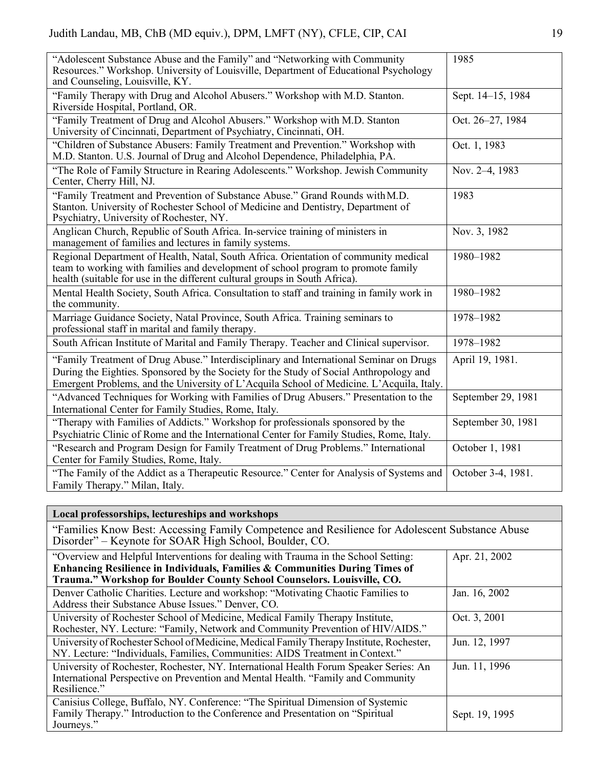| "Adolescent Substance Abuse and the Family" and "Networking with Community<br>Resources." Workshop. University of Louisville, Department of Educational Psychology<br>and Counseling, Louisville, KY.                                                                        | 1985               |
|------------------------------------------------------------------------------------------------------------------------------------------------------------------------------------------------------------------------------------------------------------------------------|--------------------|
| "Family Therapy with Drug and Alcohol Abusers." Workshop with M.D. Stanton.<br>Riverside Hospital, Portland, OR.                                                                                                                                                             | Sept. 14-15, 1984  |
| "Family Treatment of Drug and Alcohol Abusers." Workshop with M.D. Stanton<br>University of Cincinnati, Department of Psychiatry, Cincinnati, OH.                                                                                                                            | Oct. 26-27, 1984   |
| "Children of Substance Abusers: Family Treatment and Prevention." Workshop with<br>M.D. Stanton. U.S. Journal of Drug and Alcohol Dependence, Philadelphia, PA.                                                                                                              | Oct. 1, 1983       |
| "The Role of Family Structure in Rearing Adolescents." Workshop. Jewish Community<br>Center, Cherry Hill, NJ.                                                                                                                                                                | Nov. 2-4, 1983     |
| "Family Treatment and Prevention of Substance Abuse." Grand Rounds with M.D.<br>Stanton. University of Rochester School of Medicine and Dentistry, Department of<br>Psychiatry, University of Rochester, NY.                                                                 | 1983               |
| Anglican Church, Republic of South Africa. In-service training of ministers in<br>management of families and lectures in family systems.                                                                                                                                     | Nov. 3, 1982       |
| Regional Department of Health, Natal, South Africa. Orientation of community medical<br>team to working with families and development of school program to promote family<br>health (suitable for use in the different cultural groups in South Africa).                     | 1980-1982          |
| Mental Health Society, South Africa. Consultation to staff and training in family work in<br>the community.                                                                                                                                                                  | 1980-1982          |
| Marriage Guidance Society, Natal Province, South Africa. Training seminars to<br>professional staff in marital and family therapy.                                                                                                                                           | 1978-1982          |
| South African Institute of Marital and Family Therapy. Teacher and Clinical supervisor.                                                                                                                                                                                      | 1978-1982          |
| "Family Treatment of Drug Abuse." Interdisciplinary and International Seminar on Drugs<br>During the Eighties. Sponsored by the Society for the Study of Social Anthropology and<br>Emergent Problems, and the University of L'Acquila School of Medicine. L'Acquila, Italy. | April 19, 1981.    |
| "Advanced Techniques for Working with Families of Drug Abusers." Presentation to the<br>International Center for Family Studies, Rome, Italy.                                                                                                                                | September 29, 1981 |
| "Therapy with Families of Addicts." Workshop for professionals sponsored by the<br>Psychiatric Clinic of Rome and the International Center for Family Studies, Rome, Italy.                                                                                                  | September 30, 1981 |
| "Research and Program Design for Family Treatment of Drug Problems." International<br>Center for Family Studies, Rome, Italy.                                                                                                                                                | October 1, 1981    |
| "The Family of the Addict as a Therapeutic Resource." Center for Analysis of Systems and<br>Family Therapy." Milan, Italy.                                                                                                                                                   | October 3-4, 1981. |

# **Local professorships, lectureships and workshops**

"Families Know Best: Accessing Family Competence and Resilience for Adolescent Substance Abuse Disorder" – Keynote for SOAR High School, Boulder, CO.

| "Overview and Helpful Interventions for dealing with Trauma in the School Setting:                                                                                                        | Apr. 21, 2002  |
|-------------------------------------------------------------------------------------------------------------------------------------------------------------------------------------------|----------------|
| Enhancing Resilience in Individuals, Families & Communities During Times of<br>Trauma." Workshop for Boulder County School Counselors. Louisville, CO.                                    |                |
| Denver Catholic Charities. Lecture and workshop: "Motivating Chaotic Families to<br>Address their Substance Abuse Issues." Denver, CO.                                                    | Jan. 16, 2002  |
| University of Rochester School of Medicine, Medical Family Therapy Institute,<br>Rochester, NY. Lecture: "Family, Network and Community Prevention of HIV/AIDS."                          | Oct. 3, 2001   |
| University of Rochester School of Medicine, Medical Family Therapy Institute, Rochester,<br>NY. Lecture: "Individuals, Families, Communities: AIDS Treatment in Context."                 | Jun. 12, 1997  |
| University of Rochester, Rochester, NY. International Health Forum Speaker Series: An<br>International Perspective on Prevention and Mental Health. "Family and Community<br>Resilience." | Jun. 11, 1996  |
| Canisius College, Buffalo, NY. Conference: "The Spiritual Dimension of Systemic<br>Family Therapy." Introduction to the Conference and Presentation on "Spiritual<br>Journeys."           | Sept. 19, 1995 |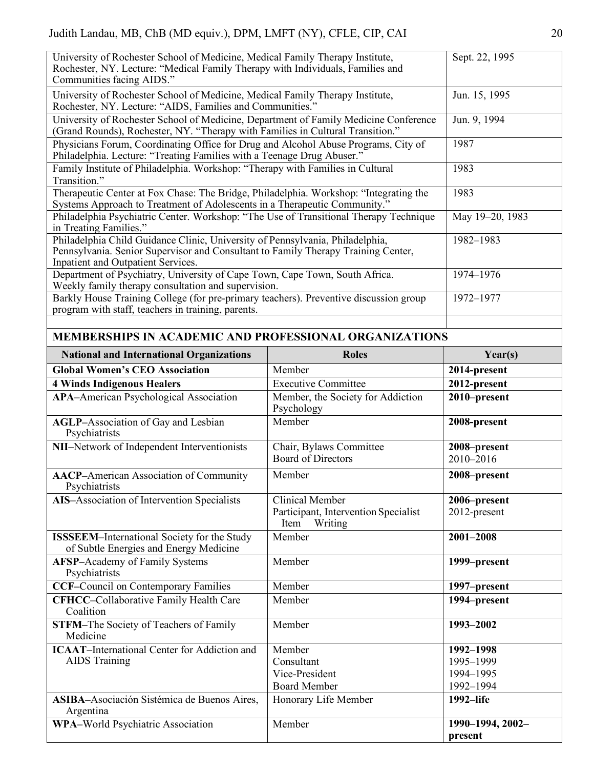| University of Rochester School of Medicine, Medical Family Therapy Institute,<br>Rochester, NY. Lecture: "Medical Family Therapy with Individuals, Families and<br>Communities facing AIDS."             |                                                         | Sept. 22, 1995                |  |
|----------------------------------------------------------------------------------------------------------------------------------------------------------------------------------------------------------|---------------------------------------------------------|-------------------------------|--|
| University of Rochester School of Medicine, Medical Family Therapy Institute,<br>Rochester, NY. Lecture: "AIDS, Families and Communities."                                                               |                                                         | Jun. 15, 1995                 |  |
| University of Rochester School of Medicine, Department of Family Medicine Conference<br>(Grand Rounds), Rochester, NY. "Therapy with Families in Cultural Transition."                                   |                                                         | Jun. 9, 1994                  |  |
| Physicians Forum, Coordinating Office for Drug and Alcohol Abuse Programs, City of<br>Philadelphia. Lecture: "Treating Families with a Teenage Drug Abuser."                                             |                                                         | 1987                          |  |
| Family Institute of Philadelphia. Workshop: "Therapy with Families in Cultural<br>Transition."                                                                                                           |                                                         | 1983                          |  |
| Therapeutic Center at Fox Chase: The Bridge, Philadelphia. Workshop: "Integrating the<br>Systems Approach to Treatment of Adolescents in a Therapeutic Community."                                       |                                                         | 1983                          |  |
| Philadelphia Psychiatric Center. Workshop: "The Use of Transitional Therapy Technique<br>in Treating Families."                                                                                          |                                                         | May 19-20, 1983               |  |
| Philadelphia Child Guidance Clinic, University of Pennsylvania, Philadelphia,<br>Pennsylvania. Senior Supervisor and Consultant to Family Therapy Training Center,<br>Inpatient and Outpatient Services. |                                                         | 1982-1983                     |  |
| Department of Psychiatry, University of Cape Town, Cape Town, South Africa.<br>Weekly family therapy consultation and supervision.                                                                       |                                                         | 1974-1976                     |  |
| Barkly House Training College (for pre-primary teachers). Preventive discussion group<br>program with staff, teachers in training, parents.                                                              |                                                         | 1972-1977                     |  |
|                                                                                                                                                                                                          |                                                         |                               |  |
| <b>MEMBERSHIPS IN ACADEMIC AND PROFESSIONAL ORGANIZATIONS</b>                                                                                                                                            |                                                         |                               |  |
| <b>National and International Organizations</b>                                                                                                                                                          | <b>Roles</b>                                            | Year(s)                       |  |
| <b>Global Women's CEO Association</b>                                                                                                                                                                    | Member                                                  | 2014-present                  |  |
| <b>4 Winds Indigenous Healers</b>                                                                                                                                                                        | <b>Executive Committee</b>                              | 2012-present                  |  |
| <b>APA-American Psychological Association</b>                                                                                                                                                            | Member, the Society for Addiction                       | 2010-present                  |  |
|                                                                                                                                                                                                          | Psychology                                              |                               |  |
| <b>AGLP-Association of Gay and Lesbian</b><br>Psychiatrists                                                                                                                                              | Member                                                  | 2008-present                  |  |
| NII-Network of Independent Interventionists                                                                                                                                                              | Chair, Bylaws Committee<br><b>Board of Directors</b>    | 2008-present<br>2010-2016     |  |
| <b>AACP-American Association of Community</b><br>Psychiatrists                                                                                                                                           | Member                                                  | 2008-present                  |  |
| <b>AIS-Association of Intervention Specialists</b>                                                                                                                                                       | <b>Clinical Member</b>                                  | 2006-present                  |  |
|                                                                                                                                                                                                          | Participant, Intervention Specialist<br>Item<br>Writing | 2012-present                  |  |
| <b>ISSSEEM-International Society for the Study</b><br>of Subtle Energies and Energy Medicine                                                                                                             | Member                                                  | 2001-2008                     |  |
| <b>AFSP-Academy of Family Systems</b><br>Psychiatrists                                                                                                                                                   | Member                                                  | 1999-present                  |  |
| <b>CCF-Council on Contemporary Families</b>                                                                                                                                                              | Member                                                  | 1997–present                  |  |
| <b>CFHCC-Collaborative Family Health Care</b><br>Coalition                                                                                                                                               | Member                                                  | 1994–present                  |  |
| <b>STFM-The Society of Teachers of Family</b><br>Medicine                                                                                                                                                | Member                                                  | 1993-2002                     |  |
| <b>ICAAT-International Center for Addiction and</b>                                                                                                                                                      | Member                                                  | 1992-1998                     |  |
| <b>AIDS</b> Training                                                                                                                                                                                     | Consultant                                              | 1995-1999                     |  |
|                                                                                                                                                                                                          | Vice-President                                          | 1994-1995                     |  |
|                                                                                                                                                                                                          | <b>Board Member</b>                                     | 1992-1994                     |  |
| ASIBA-Asociación Sistémica de Buenos Aires,<br>Argentina<br><b>WPA-World Psychiatric Association</b>                                                                                                     | Honorary Life Member                                    | 1992-life<br>1990-1994, 2002- |  |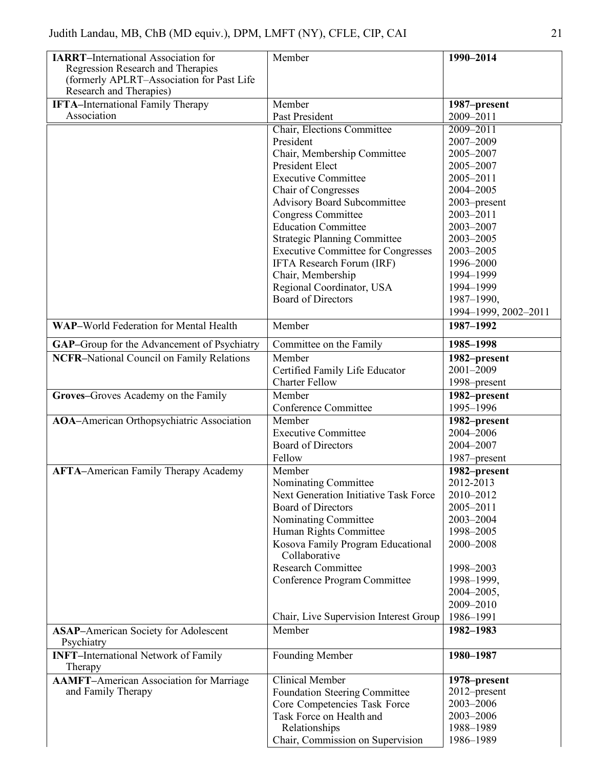| <b>IARRT-International Association for</b><br>Regression Research and Therapies<br>(formerly APLRT-Association for Past Life<br>Research and Therapies) | Member                                             | 1990-2014                 |
|---------------------------------------------------------------------------------------------------------------------------------------------------------|----------------------------------------------------|---------------------------|
| <b>IFTA-International Family Therapy</b><br>Association                                                                                                 | Member<br>Past President                           | 1987-present<br>2009-2011 |
|                                                                                                                                                         | Chair, Elections Committee                         | 2009-2011                 |
|                                                                                                                                                         | President                                          | 2007-2009                 |
|                                                                                                                                                         | Chair, Membership Committee                        | 2005-2007                 |
|                                                                                                                                                         | President Elect                                    | 2005-2007                 |
|                                                                                                                                                         | <b>Executive Committee</b>                         | 2005-2011                 |
|                                                                                                                                                         | Chair of Congresses                                | 2004-2005                 |
|                                                                                                                                                         | <b>Advisory Board Subcommittee</b>                 | 2003-present              |
|                                                                                                                                                         | <b>Congress Committee</b>                          | 2003-2011                 |
|                                                                                                                                                         | <b>Education Committee</b>                         | 2003-2007                 |
|                                                                                                                                                         | <b>Strategic Planning Committee</b>                | 2003-2005                 |
|                                                                                                                                                         | <b>Executive Committee for Congresses</b>          | 2003-2005                 |
|                                                                                                                                                         | IFTA Research Forum (IRF)                          | 1996-2000                 |
|                                                                                                                                                         | Chair, Membership                                  | 1994-1999                 |
|                                                                                                                                                         | Regional Coordinator, USA                          | 1994-1999                 |
|                                                                                                                                                         | <b>Board of Directors</b>                          | 1987-1990,                |
|                                                                                                                                                         |                                                    | 1994-1999, 2002-2011      |
| <b>WAP-World Federation for Mental Health</b>                                                                                                           | Member                                             | 1987-1992                 |
| <b>GAP-Group for the Advancement of Psychiatry</b>                                                                                                      | Committee on the Family                            | 1985-1998                 |
| <b>NCFR-National Council on Family Relations</b>                                                                                                        | Member                                             | 1982-present              |
|                                                                                                                                                         | Certified Family Life Educator                     | 2001-2009                 |
|                                                                                                                                                         | <b>Charter Fellow</b>                              | 1998–present              |
| Groves-Groves Academy on the Family                                                                                                                     | Member                                             | 1982-present              |
|                                                                                                                                                         | Conference Committee                               | 1995-1996                 |
| <b>AOA-American Orthopsychiatric Association</b>                                                                                                        | Member                                             | 1982-present              |
|                                                                                                                                                         | <b>Executive Committee</b>                         | 2004-2006                 |
|                                                                                                                                                         | <b>Board of Directors</b>                          | 2004-2007                 |
|                                                                                                                                                         | Fellow                                             | 1987-present              |
| <b>AFTA-American Family Therapy Academy</b>                                                                                                             | Member                                             | 1982-present              |
|                                                                                                                                                         | Nominating Committee                               | 2012-2013                 |
|                                                                                                                                                         | <b>Next Generation Initiative Task Force</b>       | 2010-2012                 |
|                                                                                                                                                         | <b>Board of Directors</b>                          | 2005-2011                 |
|                                                                                                                                                         | Nominating Committee                               | 2003-2004                 |
|                                                                                                                                                         | Human Rights Committee                             | 1998-2005                 |
|                                                                                                                                                         | Kosova Family Program Educational<br>Collaborative | 2000-2008                 |
|                                                                                                                                                         | <b>Research Committee</b>                          | 1998-2003                 |
|                                                                                                                                                         | Conference Program Committee                       | 1998-1999,                |
|                                                                                                                                                         |                                                    | 2004-2005,                |
|                                                                                                                                                         |                                                    | 2009-2010                 |
|                                                                                                                                                         | Chair, Live Supervision Interest Group             | 1986-1991                 |
| <b>ASAP-American Society for Adolescent</b>                                                                                                             | Member                                             | 1982-1983                 |
| Psychiatry                                                                                                                                              |                                                    |                           |
| <b>INFT-International Network of Family</b><br>Therapy                                                                                                  | Founding Member                                    | 1980-1987                 |
| <b>AAMFT-American Association for Marriage</b>                                                                                                          | <b>Clinical Member</b>                             | 1978–present              |
| and Family Therapy                                                                                                                                      | <b>Foundation Steering Committee</b>               | 2012–present              |
|                                                                                                                                                         | Core Competencies Task Force                       | 2003-2006                 |
|                                                                                                                                                         | Task Force on Health and                           | 2003-2006                 |
|                                                                                                                                                         | Relationships                                      | 1988-1989                 |
|                                                                                                                                                         | Chair, Commission on Supervision                   | 1986-1989                 |
|                                                                                                                                                         |                                                    |                           |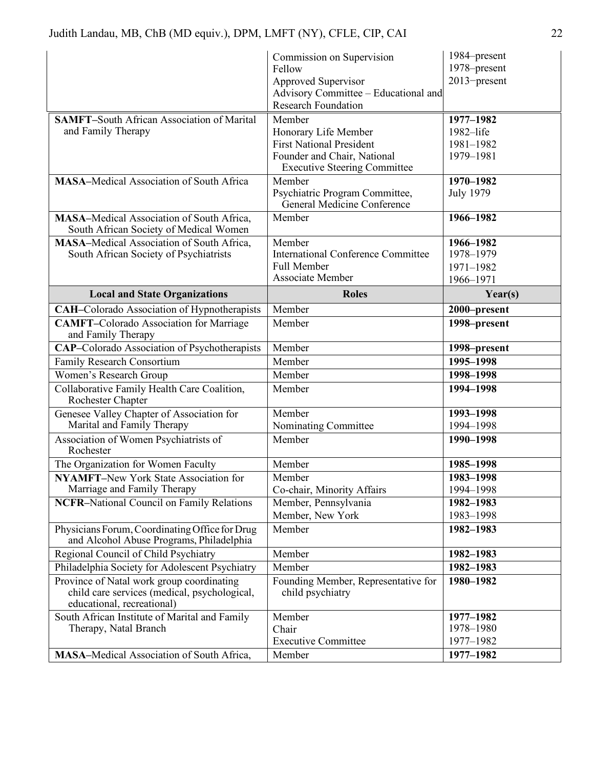|                                                                                                                         | Commission on Supervision                                     | 1984–present           |
|-------------------------------------------------------------------------------------------------------------------------|---------------------------------------------------------------|------------------------|
|                                                                                                                         | Fellow                                                        | 1978–present           |
|                                                                                                                         | Approved Supervisor                                           | 2013-present           |
|                                                                                                                         | Advisory Committee - Educational and                          |                        |
|                                                                                                                         | <b>Research Foundation</b>                                    |                        |
| <b>SAMFT-South African Association of Marital</b>                                                                       | Member                                                        | 1977-1982              |
| and Family Therapy                                                                                                      | Honorary Life Member<br><b>First National President</b>       | 1982-life              |
|                                                                                                                         | Founder and Chair, National                                   | 1981-1982<br>1979-1981 |
|                                                                                                                         | <b>Executive Steering Committee</b>                           |                        |
| <b>MASA-Medical Association of South Africa</b>                                                                         | Member                                                        | 1970-1982              |
|                                                                                                                         | Psychiatric Program Committee,<br>General Medicine Conference | <b>July 1979</b>       |
| <b>MASA-Medical Association of South Africa,</b><br>South African Society of Medical Women                              | Member                                                        | 1966-1982              |
| <b>MASA-Medical Association of South Africa,</b>                                                                        | Member                                                        | 1966-1982              |
| South African Society of Psychiatrists                                                                                  | <b>International Conference Committee</b>                     | 1978-1979              |
|                                                                                                                         | Full Member                                                   | 1971-1982              |
|                                                                                                                         | Associate Member                                              | 1966-1971              |
| <b>Local and State Organizations</b>                                                                                    | <b>Roles</b>                                                  | Year(s)                |
| <b>CAH-Colorado Association of Hypnotherapists</b>                                                                      | Member                                                        | 2000-present           |
| <b>CAMFT-Colorado Association for Marriage</b><br>and Family Therapy                                                    | Member                                                        | 1998-present           |
| <b>CAP-Colorado Association of Psychotherapists</b>                                                                     | Member                                                        | 1998-present           |
| Family Research Consortium                                                                                              | Member                                                        | 1995-1998              |
| Women's Research Group                                                                                                  | Member                                                        | 1998-1998              |
| Collaborative Family Health Care Coalition,<br>Rochester Chapter                                                        | Member                                                        | 1994-1998              |
| Genesee Valley Chapter of Association for                                                                               | Member                                                        | 1993-1998              |
| Marital and Family Therapy                                                                                              | Nominating Committee                                          | 1994-1998              |
| Association of Women Psychiatrists of<br>Rochester                                                                      | Member                                                        | 1990-1998              |
| The Organization for Women Faculty                                                                                      | Member                                                        | 1985-1998              |
| <b>NYAMFT-New York State Association for</b>                                                                            | Member                                                        | 1983-1998              |
| Marriage and Family Therapy                                                                                             | Co-chair, Minority Affairs                                    | 1994-1998              |
| <b>NCFR-National Council on Family Relations</b>                                                                        | Member, Pennsylvania                                          | 1982-1983              |
|                                                                                                                         | Member, New York                                              | 1983-1998              |
| Physicians Forum, Coordinating Office for Drug<br>and Alcohol Abuse Programs, Philadelphia                              | Member                                                        | 1982-1983              |
| Regional Council of Child Psychiatry                                                                                    | Member                                                        | 1982-1983              |
| Philadelphia Society for Adolescent Psychiatry                                                                          | Member                                                        | 1982-1983              |
| Province of Natal work group coordinating<br>child care services (medical, psychological,<br>educational, recreational) | Founding Member, Representative for<br>child psychiatry       | 1980-1982              |
| South African Institute of Marital and Family                                                                           |                                                               |                        |
|                                                                                                                         | Member                                                        | 1977-1982              |
| Therapy, Natal Branch                                                                                                   | Chair                                                         | 1978-1980              |
| <b>MASA-Medical Association of South Africa,</b>                                                                        | <b>Executive Committee</b><br>Member                          | 1977-1982<br>1977-1982 |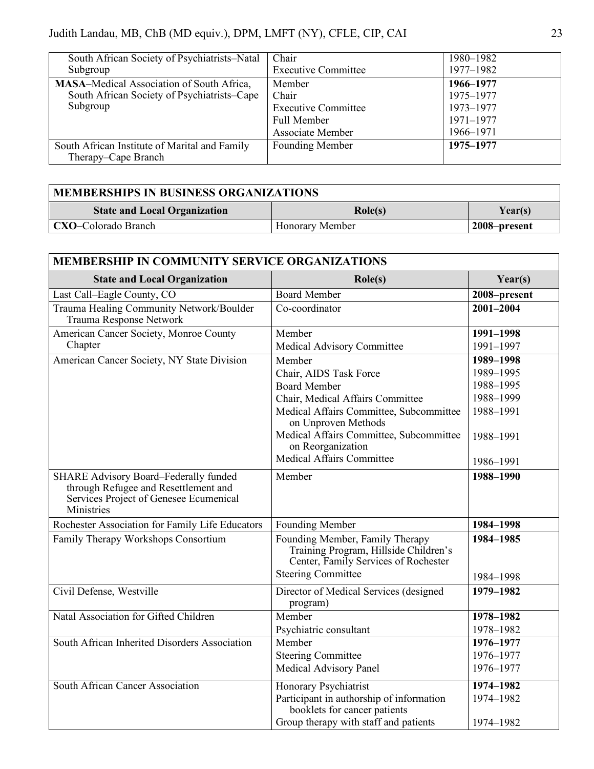| South African Society of Psychiatrists–Natal<br>Subgroup                                                    | Chair<br><b>Executive Committee</b>                                                            | 1980-1982<br>1977-1982                                        |
|-------------------------------------------------------------------------------------------------------------|------------------------------------------------------------------------------------------------|---------------------------------------------------------------|
| <b>MASA-Medical Association of South Africa,</b><br>South African Society of Psychiatrists–Cape<br>Subgroup | Member<br>Chair<br><b>Executive Committee</b><br><b>Full Member</b><br><b>Associate Member</b> | 1966-1977<br>1975-1977<br>1973-1977<br>1971-1977<br>1966-1971 |
| South African Institute of Marital and Family<br>Therapy–Cape Branch                                        | Founding Member                                                                                | 1975-1977                                                     |

| <b>MEMBERSHIPS IN BUSINESS ORGANIZATIONS</b> |                        |              |
|----------------------------------------------|------------------------|--------------|
| <b>State and Local Organization</b>          | $\text{Role}(s)$       | Year(s)      |
| <b>CXO-Colorado Branch</b>                   | <b>Honorary Member</b> | 2008-present |

| <b>MEMBERSHIP IN COMMUNITY SERVICE ORGANIZATIONS</b>                                                                                         |                                                                                                                                               |                        |
|----------------------------------------------------------------------------------------------------------------------------------------------|-----------------------------------------------------------------------------------------------------------------------------------------------|------------------------|
| <b>State and Local Organization</b>                                                                                                          | $\text{Role}(s)$                                                                                                                              | Year(s)                |
| Last Call-Eagle County, CO                                                                                                                   | <b>Board Member</b>                                                                                                                           | 2008-present           |
| Trauma Healing Community Network/Boulder<br>Trauma Response Network                                                                          | Co-coordinator                                                                                                                                | 2001-2004              |
| American Cancer Society, Monroe County                                                                                                       | Member                                                                                                                                        | 1991-1998              |
| Chapter                                                                                                                                      | Medical Advisory Committee                                                                                                                    | 1991-1997              |
| American Cancer Society, NY State Division                                                                                                   | Member                                                                                                                                        | 1989-1998              |
|                                                                                                                                              | Chair, AIDS Task Force                                                                                                                        | 1989-1995              |
|                                                                                                                                              | <b>Board Member</b>                                                                                                                           | 1988-1995              |
|                                                                                                                                              | Chair, Medical Affairs Committee                                                                                                              | 1988-1999              |
|                                                                                                                                              | Medical Affairs Committee, Subcommittee<br>on Unproven Methods                                                                                | 1988-1991              |
|                                                                                                                                              | Medical Affairs Committee, Subcommittee<br>on Reorganization                                                                                  | 1988-1991              |
|                                                                                                                                              | Medical Affairs Committee                                                                                                                     | 1986-1991              |
| <b>SHARE Advisory Board-Federally funded</b><br>through Refugee and Resettlement and<br>Services Project of Genesee Ecumenical<br>Ministries | Member                                                                                                                                        | 1988-1990              |
| Rochester Association for Family Life Educators                                                                                              | Founding Member                                                                                                                               | 1984-1998              |
| Family Therapy Workshops Consortium                                                                                                          | Founding Member, Family Therapy<br>Training Program, Hillside Children's<br>Center, Family Services of Rochester<br><b>Steering Committee</b> | 1984-1985<br>1984-1998 |
| Civil Defense, Westville                                                                                                                     | Director of Medical Services (designed<br>program)                                                                                            | 1979-1982              |
| Natal Association for Gifted Children                                                                                                        | Member                                                                                                                                        | 1978-1982              |
|                                                                                                                                              | Psychiatric consultant                                                                                                                        | 1978-1982              |
| South African Inherited Disorders Association                                                                                                | Member                                                                                                                                        | 1976-1977              |
|                                                                                                                                              | <b>Steering Committee</b>                                                                                                                     | 1976-1977              |
|                                                                                                                                              | Medical Advisory Panel                                                                                                                        | 1976-1977              |
| South African Cancer Association                                                                                                             | Honorary Psychiatrist                                                                                                                         | 1974-1982              |
|                                                                                                                                              | Participant in authorship of information<br>booklets for cancer patients                                                                      | 1974-1982              |
|                                                                                                                                              | Group therapy with staff and patients                                                                                                         | 1974-1982              |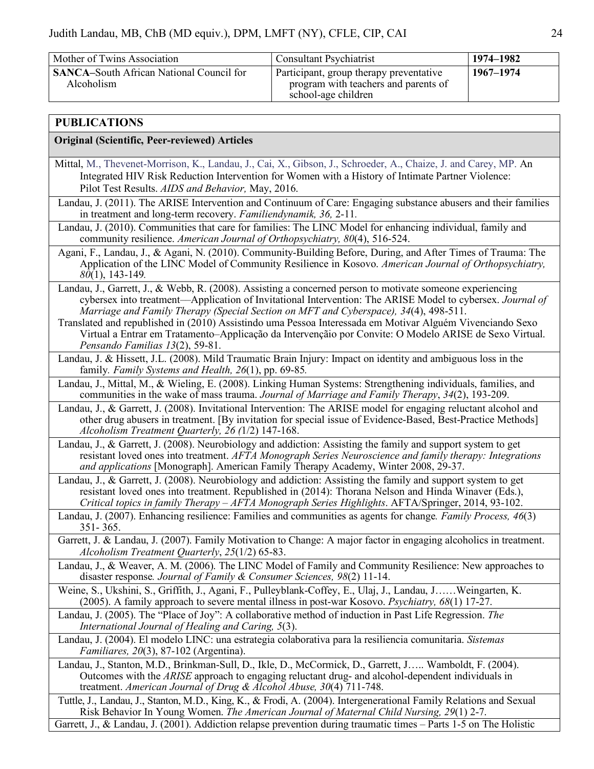| Mother of Twins Association                                   | <b>Consultant Psychiatrist</b>                                                                         | 1974–1982 |
|---------------------------------------------------------------|--------------------------------------------------------------------------------------------------------|-----------|
| <b>SANCA-South African National Council for</b><br>Alcoholism | Participant, group therapy preventative<br>program with teachers and parents of<br>school-age children | 1967–1974 |

## **PUBLICATIONS**

#### **Original (Scientific, Peer-reviewed) Articles**

- Mittal, M., Thevenet-Morrison, K., Landau, J., Cai, X., Gibson, J., Schroeder, A., Chaize, J. and Carey, MP. An Integrated HIV Risk Reduction Intervention for Women with a History of Intimate Partner Violence: Pilot Test Results. *AIDS and Behavior,* May, 2016.
- Landau, J. (2011). The ARISE Intervention and Continuum of Care: Engaging substance abusers and their families in treatment and long-term recovery. *Familiendynamik, 36,* 2-11*.*
- Landau, J. (2010). Communities that care for families: The LINC Model for enhancing individual, family and community resilience. *American Journal of Orthopsychiatry, 80*(4), 516-524.
- Agani, F., Landau, J., & Agani, N. (2010). Community-Building Before, During, and After Times of Trauma: The Application of the LINC Model of Community Resilience in Kosovo. *American Journal of Orthopsychiatry, 80*(1), 143-149*.*
- Landau, J., Garrett, J., & Webb, R. (2008). Assisting a concerned person to motivate someone experiencing cybersex into treatment––Application of Invitational Intervention: The ARISE Model to cybersex. *Journal of Marriage and Family Therapy (Special Section on MFT and Cyberspace), 34*(4), 498-511.
- Translated and republished in (2010) Assistindo uma Pessoa Interessada em Motivar Alguém Vivenciando Sexo Virtual a Entrar em Tratamento–Applicação da Intervençãio por Convite: O Modelo ARISE de Sexo Virtual. *Pensando Familias 13*(2), 59-81.
- Landau, J. & Hissett, J.L. (2008). Mild Traumatic Brain Injury: Impact on identity and ambiguous loss in the family*. Family Systems and Health, 26*(1), pp. 69-85*.*
- Landau, J., Mittal, M., & Wieling, E. (2008). Linking Human Systems: Strengthening individuals, families, and communities in the wake of mass trauma. *Journal of Marriage and Family Therapy*, *34*(2), 193-209.
- Landau, J., & Garrett, J. (2008). Invitational Intervention: The ARISE model for engaging reluctant alcohol and other drug abusers in treatment. [By invitation for special issue of Evidence-Based, Best-Practice Methods] *Alcoholism Treatment Quarterly, 26 (*1/2) 147-168.
- Landau, J., & Garrett, J. (2008). Neurobiology and addiction: Assisting the family and support system to get resistant loved ones into treatment. *AFTA Monograph Series Neuroscience and family therapy: Integrations and applications* [Monograph]. American Family Therapy Academy, Winter 2008, 29-37.
- Landau, J., & Garrett, J. (2008). Neurobiology and addiction: Assisting the family and support system to get resistant loved ones into treatment. Republished in (2014): Thorana Nelson and Hinda Winaver (Eds.), *Critical topics in family Therapy – AFTA Monograph Series Highlights*. AFTA/Springer, 2014, 93-102.
- Landau, J. (2007). Enhancing resilience: Families and communities as agents for change*. Family Process, 46*(3) 351- 365.
- Garrett, J. & Landau, J. (2007). Family Motivation to Change: A major factor in engaging alcoholics in treatment. *Alcoholism Treatment Quarterly*, *25*(1/2) 65-83.

Landau, J., & Weaver, A. M. (2006). The LINC Model of Family and Community Resilience: New approaches to disaster response*. Journal of Family & Consumer Sciences, 98*(2) 11-14.

- Weine, S., Ukshini, S., Griffith, J., Agani, F., Pulleyblank-Coffey, E., Ulaj, J., Landau, J……Weingarten, K. (2005). A family approach to severe mental illness in post-war Kosovo. *Psychiatry, 68*(1) 17-27.
- Landau, J. (2005). The "Place of Joy": A collaborative method of induction in Past Life Regression. *The International Journal of Healing and Caring, 5*(3).
- Landau, J. (2004). El modelo LINC: una estrategia colaborativa para la resiliencia comunitaria. *Sistemas Familiares, 20*(3), 87-102 (Argentina).
- Landau, J., Stanton, M.D., Brinkman-Sull, D., Ikle, D., McCormick, D., Garrett, J….. Wamboldt, F. (2004). Outcomes with the *ARISE* approach to engaging reluctant drug- and alcohol-dependent individuals in treatment. *American Journal of Drug & Alcohol Abuse, 30*(4) 711-748.
- Tuttle, J., Landau, J., Stanton, M.D., King, K., & Frodi, A. (2004). Intergenerational Family Relations and Sexual Risk Behavior In Young Women. *The American Journal of Maternal Child Nursing, 29*(1) 2-7.

Garrett, J., & Landau, J. (2001). Addiction relapse prevention during traumatic times – Parts 1-5 on The Holistic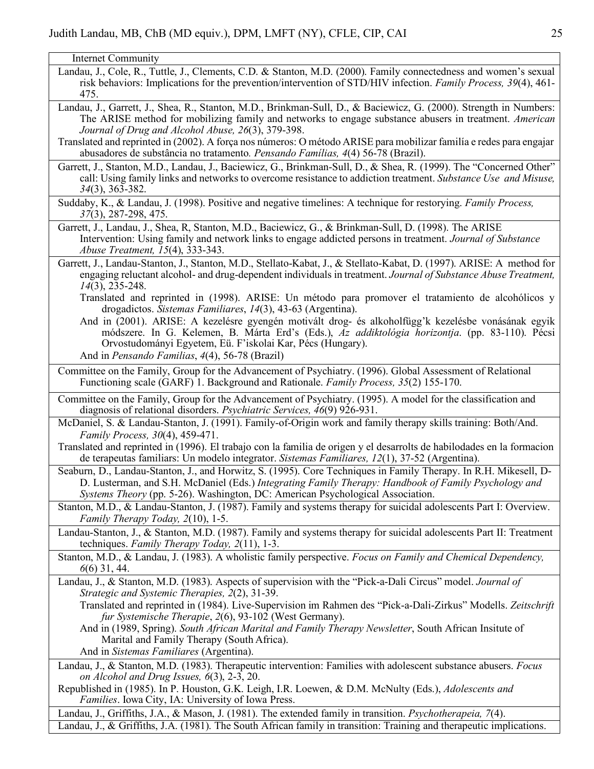Internet Community

- Landau, J., Cole, R., Tuttle, J., Clements, C.D. & Stanton, M.D. (2000). Family connectedness and women's sexual risk behaviors: Implications for the prevention/intervention of STD/HIV infection. *Family Process, 39*(4), 461- 475.
- Landau, J., Garrett, J., Shea, R., Stanton, M.D., Brinkman-Sull, D., & Baciewicz, G. (2000). Strength in Numbers: The ARISE method for mobilizing family and networks to engage substance abusers in treatment. *American Journal of Drug and Alcohol Abuse, 26*(3), 379-398.
- Translated and reprinted in (2002). A força nos números: O método ARISE para mobilizar familía e redes para engajar abusadores de substância no tratamento*. Pensando Famílias, 4*(4) 56-78 (Brazil).
- Garrett, J., Stanton, M.D., Landau, J., Baciewicz, G., Brinkman-Sull, D., & Shea, R. (1999). The "Concerned Other" call: Using family links and networks to overcome resistance to addiction treatment. *Substance Use and Misuse, 34*(3), 363-382.
- Suddaby, K., & Landau, J. (1998). Positive and negative timelines: A technique for restorying. *Family Process, 37*(3), 287-298, 475.
- Garrett, J., Landau, J., Shea, R, Stanton, M.D., Baciewicz, G., & Brinkman-Sull, D. (1998). The ARISE Intervention: Using family and network links to engage addicted persons in treatment. *Journal of Substance Abuse Treatment, 15*(4), 333-343.
- Garrett, J., Landau-Stanton, J., Stanton, M.D., Stellato-Kabat, J., & Stellato-Kabat, D. (1997). ARISE: A method for engaging reluctant alcohol- and drug-dependent individuals in treatment. *Journal of Substance Abuse Treatment, 14*(3), 235-248.
	- Translated and reprinted in (1998). ARISE: Un método para promover el tratamiento de alcohólicos y drogadictos. *Sistemas Familiares*, *14*(3), 43-63 (Argentina).
	- And in (2001). ARISE: A kezelésre gyengén motivált drog- és alkoholfügg'k kezelésbe vonásának egyik módszere. In G. Kelemen, B. Márta Erd's (Eds.), *Az addiktológia horizontja*. (pp. 83-110). Pécsi Orvostudományi Egyetem, Eü. F'iskolai Kar, Pécs (Hungary).
	- And in *Pensando Familias*, *4*(4), 56-78 (Brazil)
- Committee on the Family, Group for the Advancement of Psychiatry. (1996). Global Assessment of Relational Functioning scale (GARF) 1. Background and Rationale. *Family Process, 35*(2) 155-170.
- Committee on the Family, Group for the Advancement of Psychiatry. (1995). A model for the classification and diagnosis of relational disorders. *Psychiatric Services, 46*(9) 926-931.
- McDaniel, S. & Landau-Stanton, J. (1991). Family-of-Origin work and family therapy skills training: Both/And. *Family Process, 30*(4), 459-471.
- Translated and reprinted in (1996). El trabajo con la familia de origen y el desarrolts de habilodades en la formacion de terapeutas familiars: Un modelo integrator. *Sistemas Familiares, 12*(1), 37-52 (Argentina).
- Seaburn, D., Landau-Stanton, J., and Horwitz, S. (1995). Core Techniques in Family Therapy. In R.H. Mikesell, D-D. Lusterman, and S.H. McDaniel (Eds.) *Integrating Family Therapy: Handbook of Family Psychology and Systems Theory* (pp. 5-26). Washington, DC: American Psychological Association.
- Stanton, M.D., & Landau-Stanton, J. (1987). Family and systems therapy for suicidal adolescents Part I: Overview. *Family Therapy Today, 2*(10), 1-5.
- Landau-Stanton, J., & Stanton, M.D. (1987). Family and systems therapy for suicidal adolescents Part II: Treatment techniques. *Family Therapy Today, 2*(11), 1-3.
- Stanton, M.D., & Landau, J. (1983). A wholistic family perspective. *Focus on Family and Chemical Dependency, 6*(6) 31, 44.
- Landau, J., & Stanton, M.D. (1983). Aspects of supervision with the "Pick-a-Dali Circus" model. *Journal of Strategic and Systemic Therapies, 2*(2), 31-39.
	- Translated and reprinted in (1984). Live-Supervision im Rahmen des "Pick-a-Dali-Zirkus" Modells. *Zeitschrift fur Systemische Therapie*, *2*(6), 93-102 (West Germany).
	- And in (1989, Spring). *South African Marital and Family Therapy Newsletter*, South African Insitute of Marital and Family Therapy (South Africa).
	- And in *Sistemas Familiares* (Argentina).
- Landau, J., & Stanton, M.D. (1983). Therapeutic intervention: Families with adolescent substance abusers. *Focus on Alcohol and Drug Issues, 6*(3), 2-3, 20.
- Republished in (1985). In P. Houston, G.K. Leigh, I.R. Loewen, & D.M. McNulty (Eds.), *Adolescents and Families*. Iowa City, IA: University of Iowa Press.

Landau, J., Griffiths, J.A., & Mason, J. (1981). The extended family in transition. *Psychotherapeia, 7*(4). Landau, J., & Griffiths, J.A. (1981). The South African family in transition: Training and therapeutic implications.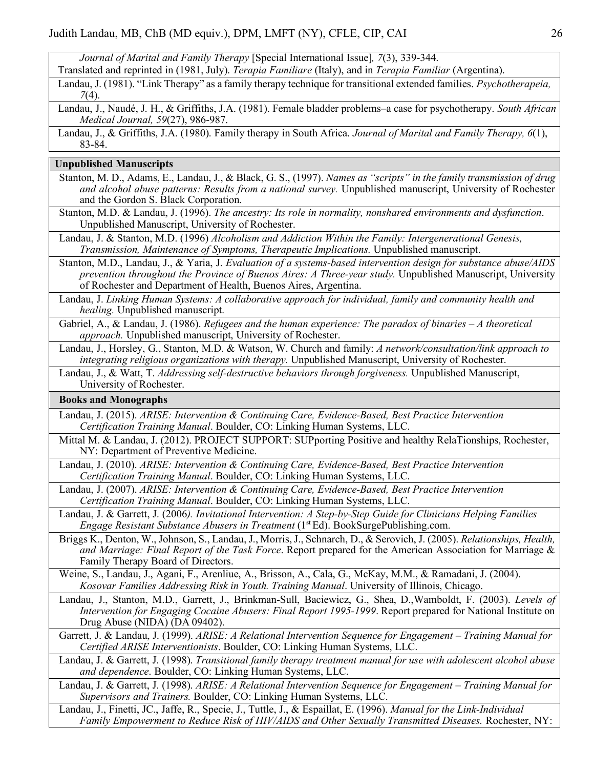*Journal of Marital and Family Therapy* [Special International Issue]*, 7*(3), 339-344.

Translated and reprinted in (1981, July). *Terapia Familiare* (Italy), and in *Terapia Familiar* (Argentina).

| Landau, J. (1981). "Link Therapy" as a family therapy technique for transitional extended families. Psychotherapeia, |  |  |  |
|----------------------------------------------------------------------------------------------------------------------|--|--|--|
| $7(4)$ .                                                                                                             |  |  |  |

Landau, J., Naudé, J. H., & Griffiths, J.A. (1981). Female bladder problems–a case for psychotherapy. *South African Medical Journal, 59*(27), 986-987.

#### **Unpublished Manuscripts**

- Stanton, M. D., Adams, E., Landau, J., & Black, G. S., (1997). *Names as "scripts" in the family transmission of drug and alcohol abuse patterns: Results from a national survey.* Unpublished manuscript, University of Rochester and the Gordon S. Black Corporation.
- Stanton, M.D. & Landau, J. (1996). *The ancestry: Its role in normality, nonshared environments and dysfunction*. Unpublished Manuscript, University of Rochester.
- Landau, J. & Stanton, M.D. (1996) *Alcoholism and Addiction Within the Family: Intergenerational Genesis, Transmission, Maintenance of Symptoms, Therapeutic Implications.* Unpublished manuscript.
- Stanton, M.D., Landau, J., & Yaria, J. *Evaluation of a systems-based intervention design for substance abuse/AIDS prevention throughout the Province of Buenos Aires: A Three-year study.* Unpublished Manuscript, University of Rochester and Department of Health, Buenos Aires, Argentina.
- Landau, J. *Linking Human Systems: A collaborative approach for individual, family and community health and healing.* Unpublished manuscript.
- Gabriel, A., & Landau, J. (1986). *Refugees and the human experience: The paradox of binaries – A theoretical approach.* Unpublished manuscript, University of Rochester.

Landau, J., Horsley, G., Stanton, M.D. & Watson, W. Church and family: *A network/consultation/link approach to integrating religious organizations with therapy.* Unpublished Manuscript, University of Rochester.

Landau, J., & Watt, T. *Addressing self-destructive behaviors through forgiveness.* Unpublished Manuscript, University of Rochester.

#### **Books and Monographs**

- Landau, J. (2015). *ARISE: Intervention & Continuing Care, Evidence-Based, Best Practice Intervention Certification Training Manual*. Boulder, CO: Linking Human Systems, LLC.
- Mittal M. & Landau, J. (2012). PROJECT SUPPORT: SUPporting Positive and healthy RelaTionships, Rochester, NY: Department of Preventive Medicine.
- Landau, J. (2010). *ARISE: Intervention & Continuing Care, Evidence-Based, Best Practice Intervention Certification Training Manual*. Boulder, CO: Linking Human Systems, LLC.
- Landau, J. (2007). *ARISE: Intervention & Continuing Care, Evidence-Based, Best Practice Intervention Certification Training Manual*. Boulder, CO: Linking Human Systems, LLC.
- Landau, J. & Garrett, J. (2006*). Invitational Intervention: A Step-by-Step Guide for Clinicians Helping Families Engage Resistant Substance Abusers in Treatment* (1<sup>st</sup> Ed). BookSurgePublishing.com.
- Briggs K., Denton, W., Johnson, S., Landau, J., Morris, J., Schnarch, D., & Serovich, J. (2005). *Relationships, Health, and Marriage: Final Report of the Task Force*. Report prepared for the American Association for Marriage & Family Therapy Board of Directors.
- Weine, S., Landau, J., Agani, F., Arenliue, A., Brisson, A., Cala, G., McKay, M.M., & Ramadani, J. (2004). *Kosovar Families Addressing Risk in Youth. Training Manual*. University of Illinois, Chicago.
- Landau, J., Stanton, M.D., Garrett, J., Brinkman-Sull, Baciewicz, G., Shea, D.,Wamboldt, F. (2003). *Levels of Intervention for Engaging Cocaine Abusers: Final Report 1995-1999*. Report prepared for National Institute on Drug Abuse (NIDA) (DA 09402).
- Garrett, J. & Landau, J. (1999). *ARISE: A Relational Intervention Sequence for Engagement – Training Manual for Certified ARISE Interventionists*. Boulder, CO: Linking Human Systems, LLC.

Landau, J. & Garrett, J. (1998). *Transitional family therapy treatment manual for use with adolescent alcohol abuse and dependence*. Boulder, CO: Linking Human Systems, LLC.

Landau, J. & Garrett, J. (1998). *ARISE: A Relational Intervention Sequence for Engagement – Training Manual for Supervisors and Trainers.* Boulder, CO: Linking Human Systems, LLC.

Landau, J., Finetti, JC., Jaffe, R., Specie, J., Tuttle, J., & Espaillat, E. (1996). *Manual for the Link-Individual Family Empowerment to Reduce Risk of HIV/AIDS and Other Sexually Transmitted Diseases.* Rochester, NY:

Landau, J., & Griffiths, J.A. (1980). Family therapy in South Africa. *Journal of Marital and Family Therapy, 6*(1), 83-84.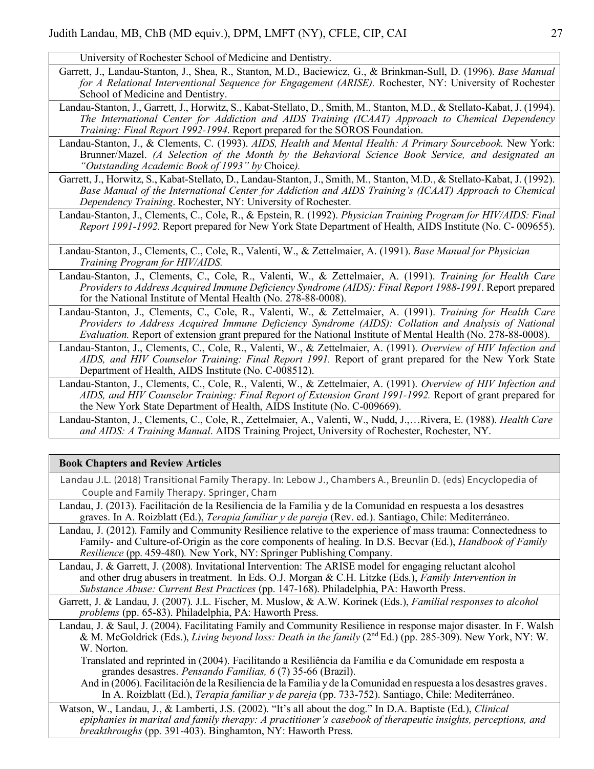University of Rochester School of Medicine and Dentistry.

- Garrett, J., Landau-Stanton, J., Shea, R., Stanton, M.D., Baciewicz, G., & Brinkman-Sull, D. (1996). *Base Manual for A Relational Interventional Sequence for Engagement (ARISE).* Rochester, NY: University of Rochester School of Medicine and Dentistry.
- Landau-Stanton, J., Garrett, J., Horwitz, S., Kabat-Stellato, D., Smith, M., Stanton, M.D., & Stellato-Kabat, J. (1994). *The International Center for Addiction and AIDS Training (ICAAT) Approach to Chemical Dependency Training: Final Report 1992-1994*. Report prepared for the SOROS Foundation.
- Landau-Stanton, J., & Clements, C. (1993). *AIDS, Health and Mental Health: A Primary Sourcebook.* New York: Brunner/Mazel. *(A Selection of the Month by the Behavioral Science Book Service, and designated an "Outstanding Academic Book of 1993" by* Choice*).*
- Garrett, J., Horwitz, S., Kabat-Stellato, D., Landau-Stanton, J., Smith, M., Stanton, M.D., & Stellato-Kabat, J. (1992). *Base Manual of the International Center for Addiction and AIDS Training's (ICAAT) Approach to Chemical Dependency Training*. Rochester, NY: University of Rochester.
- Landau-Stanton, J., Clements, C., Cole, R., & Epstein, R. (1992). *Physician Training Program for HIV/AIDS: Final Report 1991-1992.* Report prepared for New York State Department of Health, AIDS Institute (No. C- 009655).
- Landau-Stanton, J., Clements, C., Cole, R., Valenti, W., & Zettelmaier, A. (1991). *Base Manual for Physician Training Program for HIV/AIDS.*
- Landau-Stanton, J., Clements, C., Cole, R., Valenti, W., & Zettelmaier, A. (1991). *Training for Health Care Providers to Address Acquired Immune Deficiency Syndrome (AIDS): Final Report 1988-1991*. Report prepared for the National Institute of Mental Health (No. 278-88-0008).
- Landau-Stanton, J., Clements, C., Cole, R., Valenti, W., & Zettelmaier, A. (1991). *Training for Health Care Providers to Address Acquired Immune Deficiency Syndrome (AIDS): Collation and Analysis of National Evaluation.* Report of extension grant prepared for the National Institute of Mental Health (No. 278-88-0008).
- Landau-Stanton, J., Clements, C., Cole, R., Valenti, W., & Zettelmaier, A. (1991). *Overview of HIV Infection and AIDS, and HIV Counselor Training: Final Report 1991.* Report of grant prepared for the New York State Department of Health, AIDS Institute (No. C-008512).
- Landau-Stanton, J., Clements, C., Cole, R., Valenti, W., & Zettelmaier, A. (1991). *Overview of HIV Infection and AIDS, and HIV Counselor Training: Final Report of Extension Grant 1991-1992.* Report of grant prepared for the New York State Department of Health, AIDS Institute (No. C-009669).

Landau-Stanton, J., Clements, C., Cole, R., Zettelmaier, A., Valenti, W., Nudd, J.,…Rivera, E. (1988). *Health Care and AIDS: A Training Manual*. AIDS Training Project, University of Rochester, Rochester, NY.

### **Book Chapters and Review Articles**

- Landau J.L. (2018) Transitional Family Therapy. In: Lebow J., Chambers A., Breunlin D. (eds) Encyclopedia of Couple and Family Therapy. Springer, Cham
- Landau, J. (2013). Facilitación de la Resiliencia de la Familia y de la Comunidad en respuesta a los desastres graves. In A. Roizblatt (Ed.), *Terapia familiar y de pareja* (Rev. ed.). Santiago, Chile: Mediterráneo.
- Landau, J. (2012). Family and Community Resilience relative to the experience of mass trauma: Connectedness to Family- and Culture-of-Origin as the core components of healing. In D.S. Becvar (Ed.), *Handbook of Family Resilience* (pp. 459-480)*.* New York, NY: Springer Publishing Company.
- Landau, J. & Garrett, J. (2008). Invitational Intervention: The ARISE model for engaging reluctant alcohol and other drug abusers in treatment. In Eds. O.J. Morgan & C.H. Litzke (Eds.), *Family Intervention in Substance Abuse: Current Best Practices* (pp. 147-168). Philadelphia, PA: Haworth Press.
- Garrett, J. & Landau, J. (2007). J.L. Fischer, M. Muslow, & A.W. Korinek (Eds.), *Familial responses to alcohol problems* (pp. 65-83). Philadelphia, PA: Haworth Press.
- Landau, J. & Saul, J. (2004). Facilitating Family and Community Resilience in response major disaster. In F. Walsh & M. McGoldrick (Eds.), *Living beyond loss: Death in the family* (2nd Ed.) (pp. 285-309). New York, NY: W. W. Norton.
	- Translated and reprinted in (2004). Facilitando a Resiliência da Família e da Comunidade em resposta a grandes desastres. *Pensando Familias, 6* (7) 35-66 (Brazil).
	- And in (2006). Facilitación de la Resiliencia de la Familia y de la Comunidad en respuesta a los desastres graves. In A. Roizblatt (Ed.), *Terapia familiar y de pareja* (pp. 733-752). Santiago, Chile: Mediterráneo.
- Watson, W., Landau, J., & Lamberti, J.S. (2002). "It's all about the dog." In D.A. Baptiste (Ed.), *Clinical epiphanies in marital and family therapy: A practitioner's casebook of therapeutic insights, perceptions, and breakthroughs* (pp. 391-403). Binghamton, NY: Haworth Press.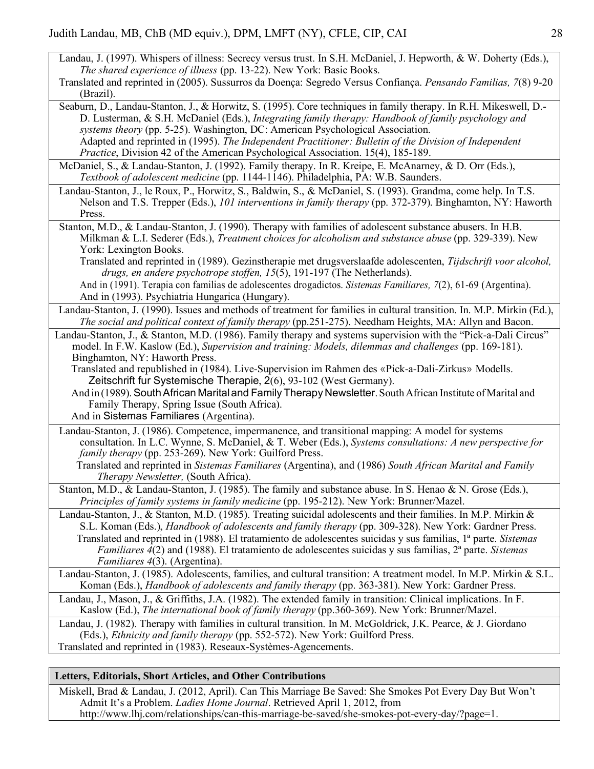- Landau, J. (1997). Whispers of illness: Secrecy versus trust. In S.H. McDaniel, J. Hepworth, & W. Doherty (Eds.), *The shared experience of illness* (pp. 13-22). New York: Basic Books.
- Translated and reprinted in (2005). Sussurros da Doença: Segredo Versus Confiança. *Pensando Familias, 7*(8) 9-20 (Brazil).
- Seaburn, D., Landau-Stanton, J., & Horwitz, S. (1995). Core techniques in family therapy. In R.H. Mikeswell, D.- D. Lusterman, & S.H. McDaniel (Eds.), *Integrating family therapy: Handbook of family psychology and systems theory* (pp. 5-25). Washington, DC: American Psychological Association. Adapted and reprinted in (1995). *The Independent Practitioner: Bulletin of the Division of Independent Practice*, Division 42 of the American Psychological Association. 15(4), 185-189.
- McDaniel, S., & Landau-Stanton, J. (1992). Family therapy. In R. Kreipe, E. McAnarney, & D. Orr (Eds.), *Textbook of adolescent medicine* (pp. 1144-1146). Philadelphia, PA: W.B. Saunders.
- Landau-Stanton, J., le Roux, P., Horwitz, S., Baldwin, S., & McDaniel, S. (1993). Grandma, come help. In T.S. Nelson and T.S. Trepper (Eds.), *101 interventions in family therapy* (pp. 372-379). Binghamton, NY: Haworth Press.
- Stanton, M.D., & Landau-Stanton, J. (1990). Therapy with families of adolescent substance abusers. In H.B. Milkman & L.I. Sederer (Eds.), *Treatment choices for alcoholism and substance abuse* (pp. 329-339). New York: Lexington Books.
	- Translated and reprinted in (1989). Gezinstherapie met drugsverslaafde adolescenten, *Tijdschrift voor alcohol, drugs, en andere psychotrope stoffen, 15*(5), 191-197 (The Netherlands).
	- And in (1991). Terapia con familias de adolescentes drogadictos. *Sistemas Familiares, 7*(2), 61-69 (Argentina). And in (1993). Psychiatria Hungarica (Hungary).
- Landau-Stanton, J. (1990). Issues and methods of treatment for families in cultural transition. In. M.P. Mirkin (Ed.), *The social and political context of family therapy* (pp.251-275). Needham Heights, MA: Allyn and Bacon.
- Landau-Stanton, J., & Stanton, M.D. (1986). Family therapy and systems supervision with the "Pick-a-Dali Circus" model. In F.W. Kaslow (Ed.), *Supervision and training: Models, dilemmas and challenges* (pp. 169-181). Binghamton, NY: Haworth Press.
	- Translated and republished in (1984). Live-Supervision im Rahmen des «Pick-a-Dali-Zirkus» Modells. Zeitschrift fur Systemische Therapie, 2(6), 93-102 (West Germany).
	- And in (1989). South African Marital and Family Therapy Newsletter. South African Institute of Marital and Family Therapy, Spring Issue (South Africa).

And in Sistemas Familiares (Argentina).

- Landau-Stanton, J. (1986). Competence, impermanence, and transitional mapping: A model for systems consultation. In L.C. Wynne, S. McDaniel, & T. Weber (Eds.), *Systems consultations: A new perspective for family therapy* (pp. 253-269). New York: Guilford Press.
	- Translated and reprinted in *Sistemas Familiares* (Argentina), and (1986) *South African Marital and Family Therapy Newsletter,* (South Africa).
- Stanton, M.D., & Landau-Stanton, J. (1985). The family and substance abuse. In S. Henao & N. Grose (Eds.), *Principles of family systems in family medicine* (pp. 195-212). New York: Brunner/Mazel.
- Landau-Stanton, J., & Stanton, M.D. (1985). Treating suicidal adolescents and their families. In M.P. Mirkin & S.L. Koman (Eds.), *Handbook of adolescents and family therapy* (pp. 309-328). New York: Gardner Press. Translated and reprinted in (1988). El tratamiento de adolescentes suicidas y sus familias, 1ª parte. *Sistemas Familiares 4*(2) and (1988). El tratamiento de adolescentes suicidas y sus familias, 2ª parte. *Sistemas Familiares 4*(3). (Argentina).
- Landau-Stanton, J. (1985). Adolescents, families, and cultural transition: A treatment model. In M.P. Mirkin & S.L. Koman (Eds.), *Handbook of adolescents and family therapy* (pp. 363-381). New York: Gardner Press.
- Landau, J., Mason, J., & Griffiths, J.A. (1982). The extended family in transition: Clinical implications. In F. Kaslow (Ed.), *The international book of family therapy* (pp.360-369). New York: Brunner/Mazel.

Landau, J. (1982). Therapy with families in cultural transition. In M. McGoldrick, J.K. Pearce, & J. Giordano (Eds.), *Ethnicity and family therapy* (pp. 552-572). New York: Guilford Press. Translated and reprinted in (1983). Reseaux-Systèmes-Agencements.

### **Letters, Editorials, Short Articles, and Other Contributions**

Miskell, Brad & Landau, J. (2012, April). Can This Marriage Be Saved: She Smokes Pot Every Day But Won't Admit It's a Problem. *Ladies Home Journal*. Retrieved April 1, 2012, from http://www.lhj.com/relationships/can-this-marriage-be-saved/she-smokes-pot-every-day/?page=1.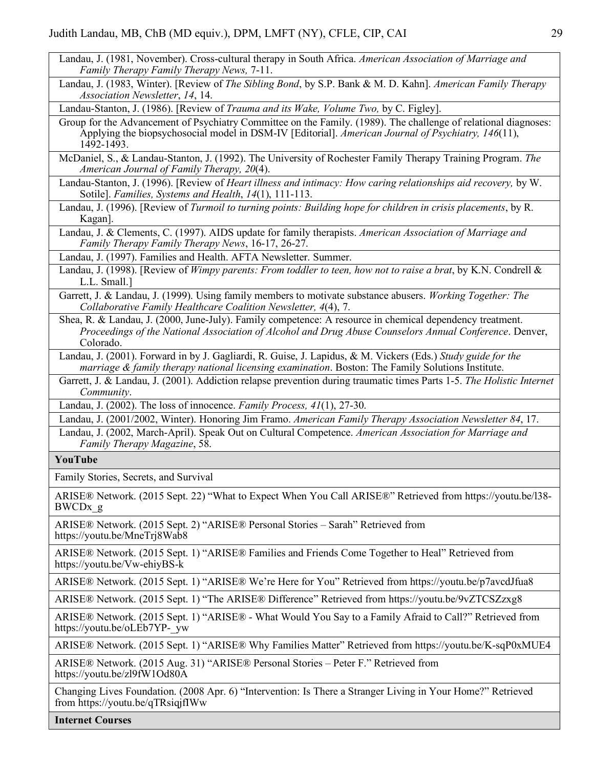- Landau, J. (1981, November). Cross-cultural therapy in South Africa. *American Association of Marriage and Family Therapy Family Therapy News,* 7-11.
- Landau, J. (1983, Winter). [Review of *The Sibling Bond*, by S.P. Bank & M. D. Kahn]. *American Family Therapy Association Newsletter*, *14*, 14.

Landau-Stanton, J. (1986). [Review of *Trauma and its Wake, Volume Two,* by C. Figley].

Group for the Advancement of Psychiatry Committee on the Family. (1989). The challenge of relational diagnoses: Applying the biopsychosocial model in DSM-IV [Editorial]. *American Journal of Psychiatry, 146*(11), 1492-1493.

McDaniel, S., & Landau-Stanton, J. (1992). The University of Rochester Family Therapy Training Program. *The American Journal of Family Therapy, 20*(4).

Landau-Stanton, J. (1996). [Review of *Heart illness and intimacy: How caring relationships aid recovery,* by W. Sotile]. *Families, Systems and Health*, *14*(1), 111-113.

Landau, J. (1996). [Review of *Turmoil to turning points: Building hope for children in crisis placements*, by R. Kagan].

Landau, J. & Clements, C. (1997). AIDS update for family therapists. *American Association of Marriage and Family Therapy Family Therapy News*, 16-17, 26-27.

Landau, J. (1997). Families and Health. AFTA Newsletter. Summer.

Landau, J. (1998). [Review of *Wimpy parents: From toddler to teen, how not to raise a brat*, by K.N. Condrell & L.L. Small.]

Garrett, J. & Landau, J. (1999). Using family members to motivate substance abusers. *Working Together: The Collaborative Family Healthcare Coalition Newsletter, 4*(4), 7.

Shea, R. & Landau, J. (2000, June-July). Family competence: A resource in chemical dependency treatment. *Proceedings of the National Association of Alcohol and Drug Abuse Counselors Annual Conference*. Denver, Colorado.

Landau, J. (2001). Forward in by J. Gagliardi, R. Guise, J. Lapidus, & M. Vickers (Eds.) *Study guide for the marriage & family therapy national licensing examination*. Boston: The Family Solutions Institute.

Garrett, J. & Landau, J. (2001). Addiction relapse prevention during traumatic times Parts 1-5. *The Holistic Internet Community*.

Landau, J. (2002). The loss of innocence. *Family Process, 41*(1), 27-30.

Landau, J. (2001/2002, Winter). Honoring Jim Framo. *American Family Therapy Association Newsletter 84*, 17.

Landau, J. (2002, March-April). Speak Out on Cultural Competence. *American Association for Marriage and Family Therapy Magazine*, 58.

#### **YouTube**

Family Stories, Secrets, and Survival

ARISE® Network. (2015 Sept. 22) "What to Expect When You Call ARISE®" Retrieved from https://youtu.be/l38- BWCDx\_g

ARISE® Network. (2015 Sept. 2) "ARISE® Personal Stories – Sarah" Retrieved from https://youtu.be/MneTrj8Wab8

ARISE® Network. (2015 Sept. 1) "ARISE® Families and Friends Come Together to Heal" Retrieved from https://youtu.be/Vw-ehiyBS-k

ARISE® Network. (2015 Sept. 1) "ARISE® We're Here for You" Retrieved from https://youtu.be/p7avcdJfua8

ARISE® Network. (2015 Sept. 1) "The ARISE® Difference" Retrieved from https://youtu.be/9vZTCSZzxg8

ARISE® Network. (2015 Sept. 1) "ARISE® - What Would You Say to a Family Afraid to Call?" Retrieved from https://youtu.be/oLEb7YP-\_yw

ARISE® Network. (2015 Sept. 1) "ARISE® Why Families Matter" Retrieved from https://youtu.be/K-sqP0xMUE4

ARISE® Network. (2015 Aug. 31) "ARISE® Personal Stories – Peter F." Retrieved from https://youtu.be/zl9fW1Od80A

Changing Lives Foundation. (2008 Apr. 6) "Intervention: Is There a Stranger Living in Your Home?" Retrieved from https://youtu.be/qTRsiqjfIWw

**Internet Courses**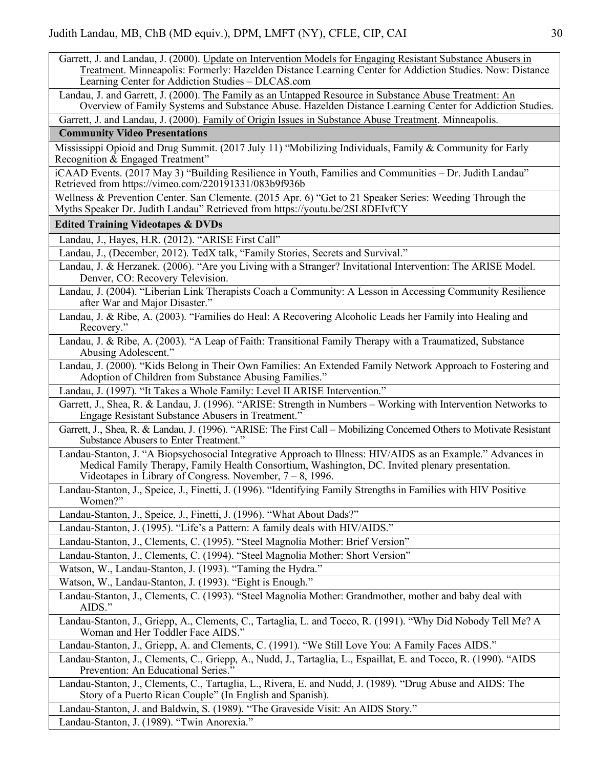Garrett, J. and Landau, J. (2000). Update on Intervention Models for Engaging Resistant Substance Abusers in Treatment. Minneapolis: Formerly: Hazelden Distance Learning Center for Addiction Studies. Now: Distance Learning Center for Addiction Studies – DLCAS.com

Landau, J. and Garrett, J. (2000). The Family as an Untapped Resource in Substance Abuse Treatment: An Overview of Family Systems and Substance Abuse. Hazelden Distance Learning Center for Addiction Studies.

Garrett, J. and Landau, J. (2000). Family of Origin Issues in Substance Abuse Treatment. Minneapolis.

## **Community Video Presentations**

Mississippi Opioid and Drug Summit. (2017 July 11) "Mobilizing Individuals, Family & Community for Early Recognition  $\&$  Engaged Treatment"

iCAAD Events. (2017 May 3) "Building Resilience in Youth, Families and Communities – Dr. Judith Landau" Retrieved from https://vimeo.com/220191331/083b9f936b

Wellness & Prevention Center. San Clemente. (2015 Apr. 6) "Get to 21 Speaker Series: Weeding Through the Myths Speaker Dr. Judith Landau" Retrieved from https://youtu.be/2SL8DEIvfCY

#### **Edited Training Videotapes & DVDs**

Landau, J., Hayes, H.R. (2012). "ARISE First Call"

Landau, J., (December, 2012). TedX talk, "Family Stories, Secrets and Survival."

Landau, J. & Herzanek. (2006). "Are you Living with a Stranger? Invitational Intervention: The ARISE Model. Denver, CO: Recovery Television.

Landau, J. (2004). "Liberian Link Therapists Coach a Community: A Lesson in Accessing Community Resilience after War and Major Disaster."

Landau, J. & Ribe, A. (2003). "Families do Heal: A Recovering Alcoholic Leads her Family into Healing and Recovery."

Landau, J. & Ribe, A. (2003). "A Leap of Faith: Transitional Family Therapy with a Traumatized, Substance Abusing Adolescent."

Landau, J. (2000). "Kids Belong in Their Own Families: An Extended Family Network Approach to Fostering and Adoption of Children from Substance Abusing Families."

Landau, J. (1997). "It Takes a Whole Family: Level II ARISE Intervention."

Garrett, J., Shea, R. & Landau, J. (1996). "ARISE: Strength in Numbers – Working with Intervention Networks to Engage Resistant Substance Abusers in Treatment."

Garrett, J., Shea, R. & Landau, J. (1996). "ARISE: The First Call – Mobilizing Concerned Others to Motivate Resistant Substance Abusers to Enter Treatment."

Landau-Stanton, J. "A Biopsychosocial Integrative Approach to Illness: HIV/AIDS as an Example." Advances in Medical Family Therapy, Family Health Consortium, Washington, DC. Invited plenary presentation. Videotapes in Library of Congress. November, 7 – 8, 1996.

Landau-Stanton, J., Speice, J., Finetti, J. (1996). "Identifying Family Strengths in Families with HIV Positive Women?"

Landau-Stanton, J., Speice, J., Finetti, J. (1996). "What About Dads?"

Landau-Stanton, J. (1995). "Life's a Pattern: A family deals with HIV/AIDS."

Landau-Stanton, J., Clements, C. (1995). "Steel Magnolia Mother: Brief Version"

Landau-Stanton, J., Clements, C. (1994). "Steel Magnolia Mother: Short Version"

Watson, W., Landau-Stanton, J. (1993). "Taming the Hydra."

Watson, W., Landau-Stanton, J. (1993). "Eight is Enough."

Landau-Stanton, J., Clements, C. (1993). "Steel Magnolia Mother: Grandmother, mother and baby deal with AIDS."

Landau-Stanton, J., Griepp, A., Clements, C., Tartaglia, L. and Tocco, R. (1991). "Why Did Nobody Tell Me? A Woman and Her Toddler Face AIDS."

Landau-Stanton, J., Griepp, A. and Clements, C. (1991). "We Still Love You: A Family Faces AIDS."

Landau-Stanton, J., Clements, C., Griepp, A., Nudd, J., Tartaglia, L., Espaillat, E. and Tocco, R. (1990). "AIDS Prevention: An Educational Series.<sup>3</sup>

Landau-Stanton, J., Clements, C., Tartaglia, L., Rivera, E. and Nudd, J. (1989). "Drug Abuse and AIDS: The Story of a Puerto Rican Couple" (In English and Spanish).

Landau-Stanton, J. and Baldwin, S. (1989). "The Graveside Visit: An AIDS Story."

Landau-Stanton, J. (1989). "Twin Anorexia."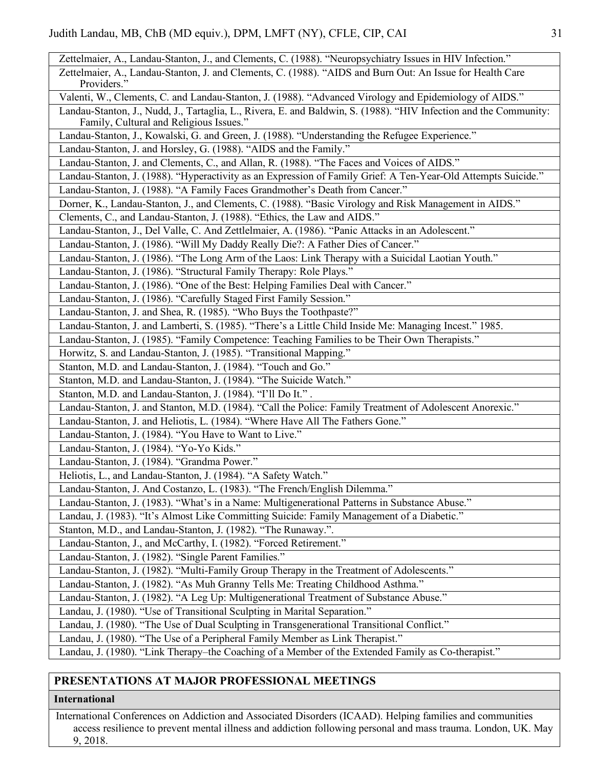| Zettelmaier, A., Landau-Stanton, J., and Clements, C. (1988). "Neuropsychiatry Issues in HIV Infection."                 |
|--------------------------------------------------------------------------------------------------------------------------|
|                                                                                                                          |
| Zettelmaier, A., Landau-Stanton, J. and Clements, C. (1988). "AIDS and Burn Out: An Issue for Health Care<br>Providers." |
| Valenti, W., Clements, C. and Landau-Stanton, J. (1988). "Advanced Virology and Epidemiology of AIDS."                   |
| Landau-Stanton, J., Nudd, J., Tartaglia, L., Rivera, E. and Baldwin, S. (1988). "HIV Infection and the Community:        |
| Family, Cultural and Religious Issues."                                                                                  |
| Landau-Stanton, J., Kowalski, G. and Green, J. (1988). "Understanding the Refugee Experience."                           |
| Landau-Stanton, J. and Horsley, G. (1988). "AIDS and the Family."                                                        |
| Landau-Stanton, J. and Clements, C., and Allan, R. (1988). "The Faces and Voices of AIDS."                               |
| Landau-Stanton, J. (1988). "Hyperactivity as an Expression of Family Grief: A Ten-Year-Old Attempts Suicide."            |
| Landau-Stanton, J. (1988). "A Family Faces Grandmother's Death from Cancer."                                             |
| Dorner, K., Landau-Stanton, J., and Clements, C. (1988). "Basic Virology and Risk Management in AIDS."                   |
| Clements, C., and Landau-Stanton, J. (1988). "Ethics, the Law and AIDS."                                                 |
| Landau-Stanton, J., Del Valle, C. And Zettlelmaier, A. (1986). "Panic Attacks in an Adolescent."                         |
| Landau-Stanton, J. (1986). "Will My Daddy Really Die?: A Father Dies of Cancer."                                         |
| Landau-Stanton, J. (1986). "The Long Arm of the Laos: Link Therapy with a Suicidal Laotian Youth."                       |
| Landau-Stanton, J. (1986). "Structural Family Therapy: Role Plays."                                                      |
| Landau-Stanton, J. (1986). "One of the Best: Helping Families Deal with Cancer."                                         |
| Landau-Stanton, J. (1986). "Carefully Staged First Family Session."                                                      |
| Landau-Stanton, J. and Shea, R. (1985). "Who Buys the Toothpaste?"                                                       |
| Landau-Stanton, J. and Lamberti, S. (1985). "There's a Little Child Inside Me: Managing Incest." 1985.                   |
| Landau-Stanton, J. (1985). "Family Competence: Teaching Families to be Their Own Therapists."                            |
| Horwitz, S. and Landau-Stanton, J. (1985). "Transitional Mapping."                                                       |
| Stanton, M.D. and Landau-Stanton, J. (1984). "Touch and Go."                                                             |
| Stanton, M.D. and Landau-Stanton, J. (1984). "The Suicide Watch."                                                        |
| Stanton, M.D. and Landau-Stanton, J. (1984). "I'll Do It.".                                                              |
| Landau-Stanton, J. and Stanton, M.D. (1984). "Call the Police: Family Treatment of Adolescent Anorexic."                 |
| Landau-Stanton, J. and Heliotis, L. (1984). "Where Have All The Fathers Gone."                                           |
| Landau-Stanton, J. (1984). "You Have to Want to Live."                                                                   |
| Landau-Stanton, J. (1984). "Yo-Yo Kids."                                                                                 |
| Landau-Stanton, J. (1984). "Grandma Power."                                                                              |
| Heliotis, L., and Landau-Stanton, J. (1984). "A Safety Watch."                                                           |
| Landau-Stanton, J. And Costanzo, L. (1983). "The French/English Dilemma."                                                |
| Landau-Stanton, J. (1983). "What's in a Name: Multigenerational Patterns in Substance Abuse."                            |
| Landau, J. (1983). "It's Almost Like Committing Suicide: Family Management of a Diabetic."                               |
| Stanton, M.D., and Landau-Stanton, J. (1982). "The Runaway.".                                                            |
| Landau-Stanton, J., and McCarthy, I. (1982). "Forced Retirement."                                                        |
| Landau-Stanton, J. (1982). "Single Parent Families."                                                                     |
| Landau-Stanton, J. (1982). "Multi-Family Group Therapy in the Treatment of Adolescents."                                 |
| Landau-Stanton, J. (1982). "As Muh Granny Tells Me: Treating Childhood Asthma."                                          |
| Landau-Stanton, J. (1982). "A Leg Up: Multigenerational Treatment of Substance Abuse."                                   |
| Landau, J. (1980). "Use of Transitional Sculpting in Marital Separation."                                                |
| Landau, J. (1980). "The Use of Dual Sculpting in Transgenerational Transitional Conflict."                               |
| Landau, J. (1980). "The Use of a Peripheral Family Member as Link Therapist."                                            |
| Landau, J. (1980). "Link Therapy-the Coaching of a Member of the Extended Family as Co-therapist."                       |

## **PRESENTATIONS AT MAJOR PROFESSIONAL MEETINGS**

#### **International**

International Conferences on Addiction and Associated Disorders (ICAAD). Helping families and communities access resilience to prevent mental illness and addiction following personal and mass trauma. London, UK. May 9, 2018.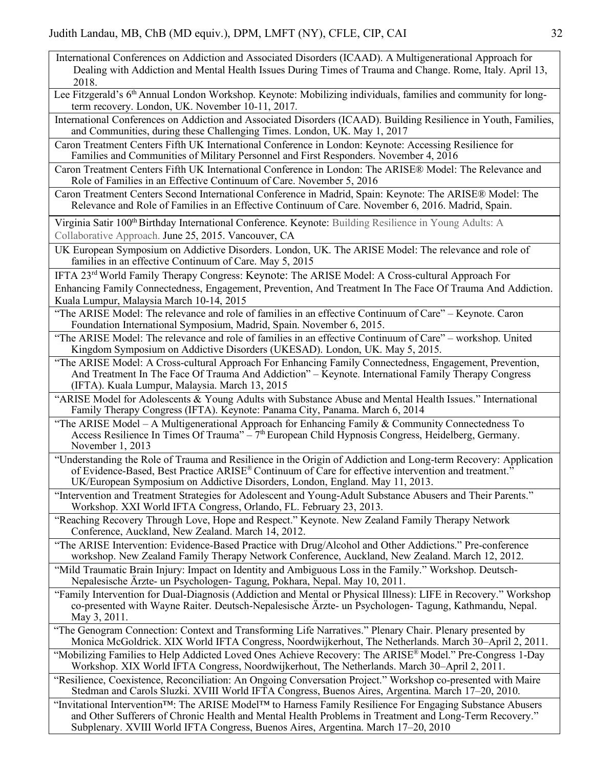- International Conferences on Addiction and Associated Disorders (ICAAD). A Multigenerational Approach for Dealing with Addiction and Mental Health Issues During Times of Trauma and Change. Rome, Italy. April 13, 2018.
- Lee Fitzgerald's 6<sup>th</sup> Annual London Workshop. Keynote: Mobilizing individuals, families and community for longterm recovery. London, UK. November 10-11, 2017.

International Conferences on Addiction and Associated Disorders (ICAAD). Building Resilience in Youth, Families, and Communities, during these Challenging Times. London, UK. May 1, 2017

Caron Treatment Centers Fifth UK International Conference in London: Keynote: Accessing Resilience for Families and Communities of Military Personnel and First Responders. November 4, 2016

Caron Treatment Centers Fifth UK International Conference in London: The ARISE® Model: The Relevance and Role of Families in an Effective Continuum of Care. November 5, 2016

Caron Treatment Centers Second International Conference in Madrid, Spain: Keynote: The ARISE® Model: The Relevance and Role of Families in an Effective Continuum of Care. November 6, 2016. Madrid, Spain.

Virginia Satir 100<sup>th</sup> Birthday International Conference. Keynote: Building Resilience in Young Adults: A Collaborative Approach. June 25, 2015. Vancouver, CA

UK European Symposium on Addictive Disorders. London, UK. The ARISE Model: The relevance and role of families in an effective Continuum of Care. May 5, 2015

IFTA 23rd World Family Therapy Congress: Keynote: The ARISE Model: A Cross-cultural Approach For Enhancing Family Connectedness, Engagement, Prevention, And Treatment In The Face Of Trauma And Addiction. Kuala Lumpur, Malaysia March 10-14, 2015

"The ARISE Model: The relevance and role of families in an effective Continuum of Care" – Keynote. Caron Foundation International Symposium, Madrid, Spain. November 6, 2015.

"The ARISE Model: The relevance and role of families in an effective Continuum of Care" – workshop. United Kingdom Symposium on Addictive Disorders (UKESAD). London, UK. May 5, 2015.

"The ARISE Model: A Cross-cultural Approach For Enhancing Family Connectedness, Engagement, Prevention, And Treatment In The Face Of Trauma And Addiction" – Keynote. International Family Therapy Congress (IFTA). Kuala Lumpur, Malaysia. March 13, 2015

"ARISE Model for Adolescents & Young Adults with Substance Abuse and Mental Health Issues." International Family Therapy Congress (IFTA). Keynote: Panama City, Panama. March 6, 2014

"The ARISE Model – A Multigenerational Approach for Enhancing Family  $\&$  Community Connectedness To Access Resilience In Times Of Trauma"  $-\frac{7}{\mu}$  European Child Hypnosis Congress, Heidelberg, Germany. November 1, 2013

"Understanding the Role of Trauma and Resilience in the Origin of Addiction and Long-term Recovery: Application of Evidence-Based, Best Practice ARISE® Continuum of Care for effective intervention and treatment." UK/European Symposium on Addictive Disorders, London, England. May 11, 2013.

"Intervention and Treatment Strategies for Adolescent and Young-Adult Substance Abusers and Their Parents." Workshop. XXI World IFTA Congress, Orlando, FL. February 23, 2013.

"Reaching Recovery Through Love, Hope and Respect." Keynote. New Zealand Family Therapy Network Conference, Auckland, New Zealand. March 14, 2012.

"The ARISE Intervention: Evidence-Based Practice with Drug/Alcohol and Other Addictions." Pre-conference workshop. New Zealand Family Therapy Network Conference, Auckland, New Zealand. March 12, 2012.

"Mild Traumatic Brain Injury: Impact on Identity and Ambiguous Loss in the Family." Workshop. Deutsch-Nepalesische Ärzte- un Psychologen- Tagung, Pokhara, Nepal. May 10, 2011.

"Family Intervention for Dual-Diagnosis (Addiction and Mental or Physical Illness): LIFE in Recovery." Workshop co-presented with Wayne Raiter. Deutsch-Nepalesische Ärzte- un Psychologen- Tagung, Kathmandu, Nepal. May 3, 2011.

"The Genogram Connection: Context and Transforming Life Narratives." Plenary Chair. Plenary presented by Monica McGoldrick. XIX World IFTA Congress, Noordwijkerhout, The Netherlands. March 30–April 2, 2011.

"Mobilizing Families to Help Addicted Loved Ones Achieve Recovery: The ARISE® Model." Pre-Congress 1-Day Workshop. XIX World IFTA Congress, Noordwijkerhout, The Netherlands. March 30–April 2, 2011.

"Resilience, Coexistence, Reconciliation: An Ongoing Conversation Project." Workshop co-presented with Maire Stedman and Carols Sluzki. XVIII World IFTA Congress, Buenos Aires, Argentina. March 17–20, 2010.

"Invitational Intervention™: The ARISE Model™ to Harness Family Resilience For Engaging Substance Abusers and Other Sufferers of Chronic Health and Mental Health Problems in Treatment and Long-Term Recovery." Subplenary. XVIII World IFTA Congress, Buenos Aires, Argentina. March 17–20, 2010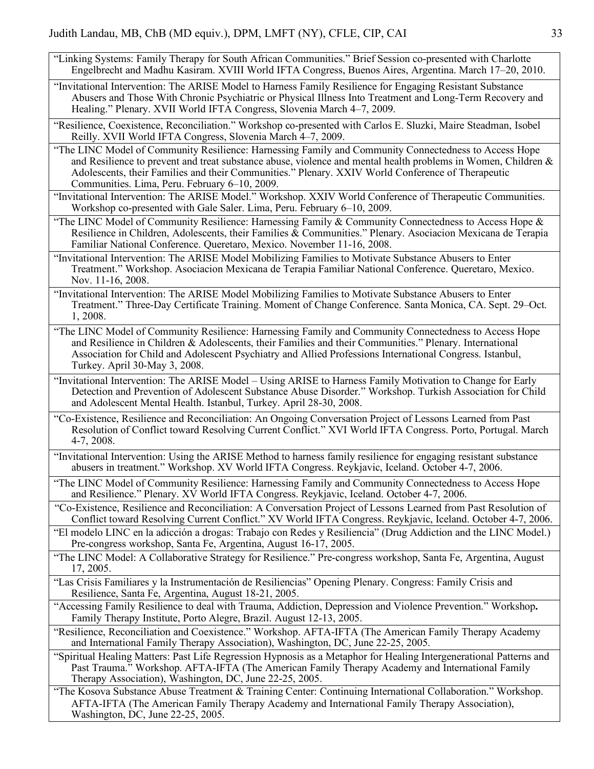- "Linking Systems: Family Therapy for South African Communities." Brief Session co-presented with Charlotte Engelbrecht and Madhu Kasiram. XVIII World IFTA Congress, Buenos Aires, Argentina. March 17–20, 2010.
- "Invitational Intervention: The ARISE Model to Harness Family Resilience for Engaging Resistant Substance Abusers and Those With Chronic Psychiatric or Physical Illness Into Treatment and Long-Term Recovery and Healing." Plenary. XVII World IFTA Congress, Slovenia March 4–7, 2009.

"Resilience, Coexistence, Reconciliation." Workshop co-presented with Carlos E. Sluzki, Maire Steadman, Isobel Reilly. XVII World IFTA Congress, Slovenia March 4–7, 2009.

"The LINC Model of Community Resilience: Harnessing Family and Community Connectedness to Access Hope and Resilience to prevent and treat substance abuse, violence and mental health problems in Women, Children & Adolescents, their Families and their Communities." Plenary. XXIV World Conference of Therapeutic Communities. Lima, Peru. February 6–10, 2009.

"Invitational Intervention: The ARISE Model." Workshop. XXIV World Conference of Therapeutic Communities. Workshop co-presented with Gale Saler. Lima, Peru. February 6–10, 2009.

"The LINC Model of Community Resilience: Harnessing Family & Community Connectedness to Access Hope  $\&$ Resilience in Children, Adolescents, their Families & Communities." Plenary. Asociacion Mexicana de Terapia Familiar National Conference. Queretaro, Mexico. November 11-16, 2008.

"Invitational Intervention: The ARISE Model Mobilizing Families to Motivate Substance Abusers to Enter Treatment." Workshop. Asociacion Mexicana de Terapia Familiar National Conference. Queretaro, Mexico. Nov. 11-16, 2008.

"Invitational Intervention: The ARISE Model Mobilizing Families to Motivate Substance Abusers to Enter Treatment." Three-Day Certificate Training. Moment of Change Conference. Santa Monica, CA. Sept. 29–Oct. 1, 2008.

- "The LINC Model of Community Resilience: Harnessing Family and Community Connectedness to Access Hope and Resilience in Children & Adolescents, their Families and their Communities." Plenary. International Association for Child and Adolescent Psychiatry and Allied Professions International Congress. Istanbul, Turkey. April 30-May 3, 2008.
- "Invitational Intervention: The ARISE Model Using ARISE to Harness Family Motivation to Change for Early Detection and Prevention of Adolescent Substance Abuse Disorder." Workshop. Turkish Association for Child and Adolescent Mental Health. Istanbul, Turkey. April 28-30, 2008.
- "Co-Existence, Resilience and Reconciliation: An Ongoing Conversation Project of Lessons Learned from Past Resolution of Conflict toward Resolving Current Conflict." XVI World IFTA Congress. Porto, Portugal. March 4-7, 2008.

"Invitational Intervention: Using the ARISE Method to harness family resilience for engaging resistant substance abusers in treatment." Workshop. XV World IFTA Congress. Reykjavic, Iceland. October 4-7, 2006.

"The LINC Model of Community Resilience: Harnessing Family and Community Connectedness to Access Hope and Resilience." Plenary. XV World IFTA Congress. Reykjavic, Iceland. October 4-7, 2006.

"Co-Existence, Resilience and Reconciliation: A Conversation Project of Lessons Learned from Past Resolution of Conflict toward Resolving Current Conflict." XV World IFTA Congress. Reykjavic, Iceland. October 4-7, 2006.

"El modelo LINC en la adicción a drogas: Trabajo con Redes y Resiliencia" (Drug Addiction and the LINC Model.) Pre-congress workshop, Santa Fe, Argentina, August 16-17, 2005.

"The LINC Model: A Collaborative Strategy for Resilience." Pre-congress workshop, Santa Fe, Argentina, August 17, 2005.

"Las Crisis Familiares y la Instrumentación de Resiliencias" Opening Plenary. Congress: Family Crisis and Resilience, Santa Fe, Argentina, August 18-21, 2005.

"Accessing Family Resilience to deal with Trauma, Addiction, Depression and Violence Prevention." Workshop**.** Family Therapy Institute, Porto Alegre, Brazil. August 12-13, 2005.

"Resilience, Reconciliation and Coexistence." Workshop. AFTA-IFTA (The American Family Therapy Academy and International Family Therapy Association), Washington, DC, June 22-25, 2005.

"Spiritual Healing Matters: Past Life Regression Hypnosis as a Metaphor for Healing Intergenerational Patterns and Past Trauma." Workshop. AFTA-IFTA (The American Family Therapy Academy and International Family Therapy Association), Washington, DC, June 22-25, 2005.

"The Kosova Substance Abuse Treatment & Training Center: Continuing International Collaboration." Workshop. AFTA-IFTA (The American Family Therapy Academy and International Family Therapy Association), Washington, DC, June 22-25, 2005.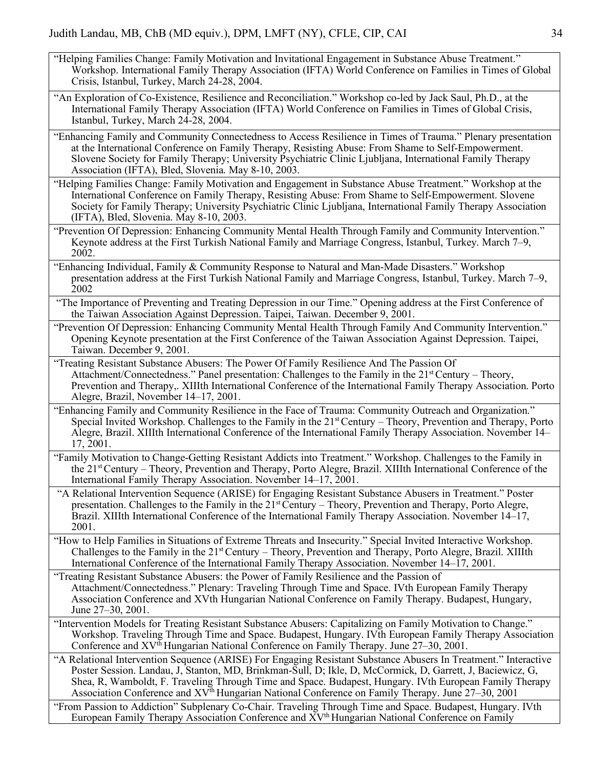- "Helping Families Change: Family Motivation and Invitational Engagement in Substance Abuse Treatment." Workshop. International Family Therapy Association (IFTA) World Conference on Families in Times of Global Crisis, Istanbul, Turkey, March 24-28, 2004.
- "An Exploration of Co-Existence, Resilience and Reconciliation." Workshop co-led by Jack Saul, Ph.D., at the International Family Therapy Association (IFTA) World Conference on Families in Times of Global Crisis, Istanbul, Turkey, March 24-28, 2004.
- "Enhancing Family and Community Connectedness to Access Resilience in Times of Trauma." Plenary presentation at the International Conference on Family Therapy, Resisting Abuse: From Shame to Self-Empowerment. Slovene Society for Family Therapy; University Psychiatric Clinic Ljubljana, International Family Therapy Association (IFTA), Bled, Slovenia. May 8-10, 2003.
- "Helping Families Change: Family Motivation and Engagement in Substance Abuse Treatment." Workshop at the International Conference on Family Therapy, Resisting Abuse: From Shame to Self-Empowerment. Slovene Society for Family Therapy; University Psychiatric Clinic Ljubljana, International Family Therapy Association (IFTA), Bled, Slovenia. May 8-10, 2003.
- "Prevention Of Depression: Enhancing Community Mental Health Through Family and Community Intervention." Keynote address at the First Turkish National Family and Marriage Congress, Istanbul, Turkey. March 7–9, 2002.
- "Enhancing Individual, Family & Community Response to Natural and Man-Made Disasters." Workshop presentation address at the First Turkish National Family and Marriage Congress, Istanbul, Turkey. March 7–9, 2002
- "The Importance of Preventing and Treating Depression in our Time." Opening address at the First Conference of the Taiwan Association Against Depression. Taipei, Taiwan. December 9, 2001.
- "Prevention Of Depression: Enhancing Community Mental Health Through Family And Community Intervention." Opening Keynote presentation at the First Conference of the Taiwan Association Against Depression. Taipei, Taiwan. December 9, 2001.
- "Treating Resistant Substance Abusers: The Power Of Family Resilience And The Passion Of Attachment/Connectedness." Panel presentation: Challenges to the Family in the  $21<sup>st</sup>$  Century – Theory, Prevention and Therapy,. XIIIth International Conference of the International Family Therapy Association. Porto Alegre, Brazil, November 14–17, 2001.
- "Enhancing Family and Community Resilience in the Face of Trauma: Community Outreach and Organization." Special Invited Workshop. Challenges to the Family in the 21<sup>st</sup> Century – Theory, Prevention and Therapy, Porto Alegre, Brazil. XIIIth International Conference of the International Family Therapy Association. November 14– 17, 2001.
- "Family Motivation to Change-Getting Resistant Addicts into Treatment." Workshop. Challenges to the Family in the 21st Century – Theory, Prevention and Therapy, Porto Alegre, Brazil. XIIIth International Conference of the International Family Therapy Association. November 14–17, 2001.
- "A Relational Intervention Sequence (ARISE) for Engaging Resistant Substance Abusers in Treatment." Poster presentation. Challenges to the Family in the 21st Century – Theory, Prevention and Therapy, Porto Alegre, Brazil. XIIIth International Conference of the International Family Therapy Association. November 14–17, 2001.
- "How to Help Families in Situations of Extreme Threats and Insecurity." Special Invited Interactive Workshop. Challenges to the Family in the  $21<sup>st</sup>$  Century – Theory, Prevention and Therapy, Porto Alegre, Brazil. XIIIth International Conference of the International Family Therapy Association. November 14–17, 2001.
- "Treating Resistant Substance Abusers: the Power of Family Resilience and the Passion of Attachment/Connectedness." Plenary: Traveling Through Time and Space. IVth European Family Therapy Association Conference and XVth Hungarian National Conference on Family Therapy. Budapest, Hungary, June 27–30, 2001.
- "Intervention Models for Treating Resistant Substance Abusers: Capitalizing on Family Motivation to Change." Workshop. Traveling Through Time and Space. Budapest, Hungary. IVth European Family Therapy Association Conference and XV<sup>th</sup> Hungarian National Conference on Family Therapy. June 27–30, 2001.
- "A Relational Intervention Sequence (ARISE) For Engaging Resistant Substance Abusers In Treatment." Interactive Poster Session. Landau, J, Stanton, MD, Brinkman-Sull, D; Ikle, D, McCormick, D, Garrett, J, Baciewicz, G, Shea, R, Wamboldt, F. Traveling Through Time and Space. Budapest, Hungary. IVth European Family Therapy Association Conference and  $XV<sup>th</sup>$  Hungarian National Conference on Family Therapy. June 27–30, 2001
- "From Passion to Addiction" Subplenary Co-Chair. Traveling Through Time and Space. Budapest, Hungary. IVth European Family Therapy Association Conference and XV<sup>th</sup> Hungarian National Conference on Family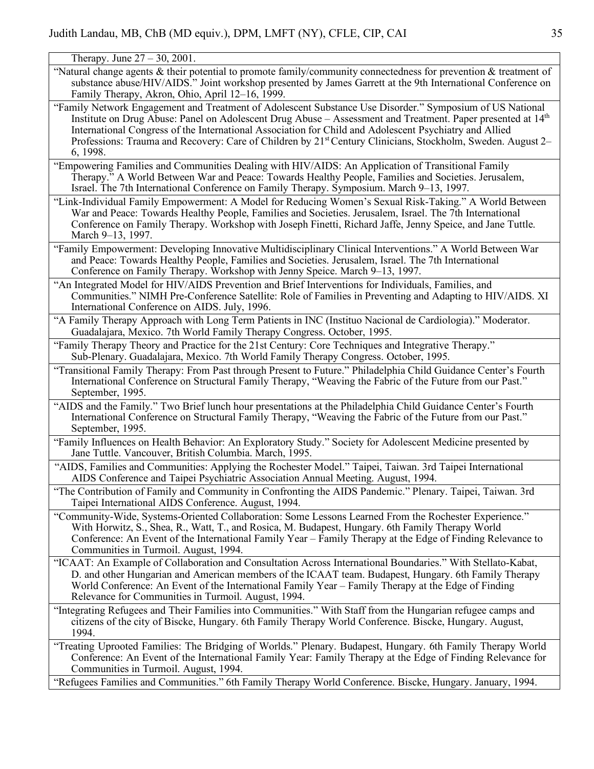Therapy. June 27 – 30, 2001.

- "Natural change agents & their potential to promote family/community connectedness for prevention  $\&$  treatment of substance abuse/HIV/AIDS." Joint workshop presented by James Garrett at the 9th International Conference on Family Therapy, Akron, Ohio, April 12–16, 1999.
- "Family Network Engagement and Treatment of Adolescent Substance Use Disorder." Symposium of US National Institute on Drug Abuse: Panel on Adolescent Drug Abuse – Assessment and Treatment. Paper presented at 14th International Congress of the International Association for Child and Adolescent Psychiatry and Allied Professions: Trauma and Recovery: Care of Children by 21<sup>st</sup> Century Clinicians, Stockholm, Sweden. August 2– 6, 1998.
- "Empowering Families and Communities Dealing with HIV/AIDS: An Application of Transitional Family Therapy." A World Between War and Peace: Towards Healthy People, Families and Societies. Jerusalem, Israel. The 7th International Conference on Family Therapy. Symposium. March 9–13, 1997.
- "Link-Individual Family Empowerment: A Model for Reducing Women's Sexual Risk-Taking." A World Between War and Peace: Towards Healthy People, Families and Societies. Jerusalem, Israel. The 7th International Conference on Family Therapy. Workshop with Joseph Finetti, Richard Jaffe, Jenny Speice, and Jane Tuttle. March 9–13, 1997.
- "Family Empowerment: Developing Innovative Multidisciplinary Clinical Interventions." A World Between War and Peace: Towards Healthy People, Families and Societies. Jerusalem, Israel. The 7th International Conference on Family Therapy. Workshop with Jenny Speice. March 9–13, 1997.
- "An Integrated Model for HIV/AIDS Prevention and Brief Interventions for Individuals, Families, and Communities." NIMH Pre-Conference Satellite: Role of Families in Preventing and Adapting to HIV/AIDS. XI International Conference on AIDS. July, 1996.
- "A Family Therapy Approach with Long Term Patients in INC (Instituo Nacional de Cardiologia)." Moderator. Guadalajara, Mexico. 7th World Family Therapy Congress. October, 1995.
- "Family Therapy Theory and Practice for the 21st Century: Core Techniques and Integrative Therapy." Sub-Plenary. Guadalajara, Mexico. 7th World Family Therapy Congress. October, 1995.
- "Transitional Family Therapy: From Past through Present to Future." Philadelphia Child Guidance Center's Fourth International Conference on Structural Family Therapy, "Weaving the Fabric of the Future from our Past." September, 1995.
- "AIDS and the Family." Two Brief lunch hour presentations at the Philadelphia Child Guidance Center's Fourth International Conference on Structural Family Therapy, "Weaving the Fabric of the Future from our Past." September, 1995.
- "Family Influences on Health Behavior: An Exploratory Study." Society for Adolescent Medicine presented by Jane Tuttle. Vancouver, British Columbia. March, 1995.
- "AIDS, Families and Communities: Applying the Rochester Model." Taipei, Taiwan. 3rd Taipei International AIDS Conference and Taipei Psychiatric Association Annual Meeting. August, 1994.
- "The Contribution of Family and Community in Confronting the AIDS Pandemic." Plenary. Taipei, Taiwan. 3rd Taipei International AIDS Conference. August, 1994.
- "Community-Wide, Systems-Oriented Collaboration: Some Lessons Learned From the Rochester Experience." With Horwitz, S., Shea, R., Watt, T., and Rosica, M. Budapest, Hungary. 6th Family Therapy World Conference: An Event of the International Family Year – Family Therapy at the Edge of Finding Relevance to Communities in Turmoil. August, 1994.
- "ICAAT: An Example of Collaboration and Consultation Across International Boundaries." With Stellato-Kabat, D. and other Hungarian and American members of the ICAAT team. Budapest, Hungary. 6th Family Therapy World Conference: An Event of the International Family Year – Family Therapy at the Edge of Finding Relevance for Communities in Turmoil. August, 1994.
- "Integrating Refugees and Their Families into Communities." With Staff from the Hungarian refugee camps and citizens of the city of Biscke, Hungary. 6th Family Therapy World Conference. Biscke, Hungary. August, 1994.
- "Treating Uprooted Families: The Bridging of Worlds." Plenary. Budapest, Hungary. 6th Family Therapy World Conference: An Event of the International Family Year: Family Therapy at the Edge of Finding Relevance for Communities in Turmoil. August, 1994.
- "Refugees Families and Communities." 6th Family Therapy World Conference. Biscke, Hungary. January, 1994.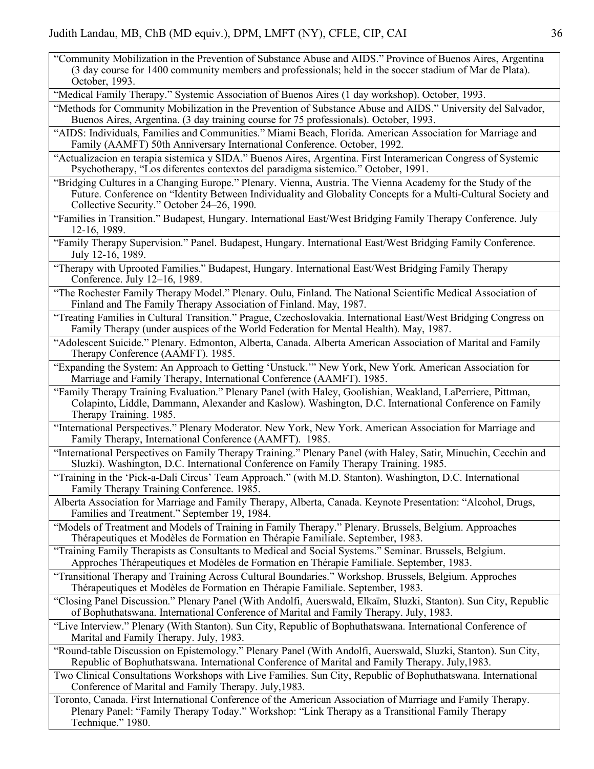"Community Mobilization in the Prevention of Substance Abuse and AIDS." Province of Buenos Aires, Argentina (3 day course for 1400 community members and professionals; held in the soccer stadium of Mar de Plata). October, 1993.

"Medical Family Therapy." Systemic Association of Buenos Aires (1 day workshop). October, 1993.

"Methods for Community Mobilization in the Prevention of Substance Abuse and AIDS." University del Salvador, Buenos Aires, Argentina. (3 day training course for 75 professionals). October, 1993.

"AIDS: Individuals, Families and Communities." Miami Beach, Florida. American Association for Marriage and Family (AAMFT) 50th Anniversary International Conference. October, 1992.

"Actualizacion en terapia sistemica y SIDA." Buenos Aires, Argentina. First Interamerican Congress of Systemic Psychotherapy, "Los diferentes contextos del paradigma sistemico." October, 1991.

- "Bridging Cultures in a Changing Europe." Plenary. Vienna, Austria. The Vienna Academy for the Study of the Future. Conference on "Identity Between Individuality and Globality Concepts for a Multi-Cultural Society and Collective Security." October 24–26, 1990.
- "Families in Transition." Budapest, Hungary. International East/West Bridging Family Therapy Conference. July 12-16, 1989.
- "Family Therapy Supervision." Panel. Budapest, Hungary. International East/West Bridging Family Conference. July 12-16, 1989.
- "Therapy with Uprooted Families." Budapest, Hungary. International East/West Bridging Family Therapy Conference. July 12–16, 1989.

"The Rochester Family Therapy Model." Plenary. Oulu, Finland. The National Scientific Medical Association of Finland and The Family Therapy Association of Finland. May, 1987.

- "Treating Families in Cultural Transition." Prague, Czechoslovakia. International East/West Bridging Congress on Family Therapy (under auspices of the World Federation for Mental Health). May, 1987.
- "Adolescent Suicide." Plenary. Edmonton, Alberta, Canada. Alberta American Association of Marital and Family Therapy Conference (AAMFT). 1985.
- "Expanding the System: An Approach to Getting 'Unstuck.'" New York, New York. American Association for Marriage and Family Therapy, International Conference (AAMFT). 1985.

"Family Therapy Training Evaluation." Plenary Panel (with Haley, Goolishian, Weakland, LaPerriere, Pittman, Colapinto, Liddle, Dammann, Alexander and Kaslow). Washington, D.C. International Conference on Family Therapy Training. 1985.

"International Perspectives." Plenary Moderator. New York, New York. American Association for Marriage and Family Therapy, International Conference (AAMFT). 1985.

"International Perspectives on Family Therapy Training." Plenary Panel (with Haley, Satir, Minuchin, Cecchin and Sluzki). Washington, D.C. International Conference on Family Therapy Training. 1985.

"Training in the 'Pick-a-Dali Circus' Team Approach." (with M.D. Stanton). Washington, D.C. International Family Therapy Training Conference. 1985.

Alberta Association for Marriage and Family Therapy, Alberta, Canada. Keynote Presentation: "Alcohol, Drugs, Families and Treatment." September 19, 1984.

- "Models of Treatment and Models of Training in Family Therapy." Plenary. Brussels, Belgium. Approaches Thérapeutiques et Modèles de Formation en Thérapie Familiale. September, 1983.
- "Training Family Therapists as Consultants to Medical and Social Systems." Seminar. Brussels, Belgium. Approches Thérapeutiques et Modèles de Formation en Thérapie Familiale. September, 1983.
- "Transitional Therapy and Training Across Cultural Boundaries." Workshop. Brussels, Belgium. Approches Thérapeutiques et Modèles de Formation en Thérapie Familiale. September, 1983.

"Closing Panel Discussion." Plenary Panel (With Andolfi, Auerswald, Elkaïm, Sluzki, Stanton). Sun City, Republic of Bophuthatswana. International Conference of Marital and Family Therapy. July, 1983.

"Live Interview." Plenary (With Stanton). Sun City, Republic of Bophuthatswana. International Conference of Marital and Family Therapy. July, 1983.

"Round-table Discussion on Epistemology." Plenary Panel (With Andolfi, Auerswald, Sluzki, Stanton). Sun City, Republic of Bophuthatswana. International Conference of Marital and Family Therapy. July,1983.

Two Clinical Consultations Workshops with Live Families. Sun City, Republic of Bophuthatswana. International Conference of Marital and Family Therapy. July,1983.

Toronto, Canada. First International Conference of the American Association of Marriage and Family Therapy. Plenary Panel: "Family Therapy Today." Workshop: "Link Therapy as a Transitional Family Therapy Technique." 1980.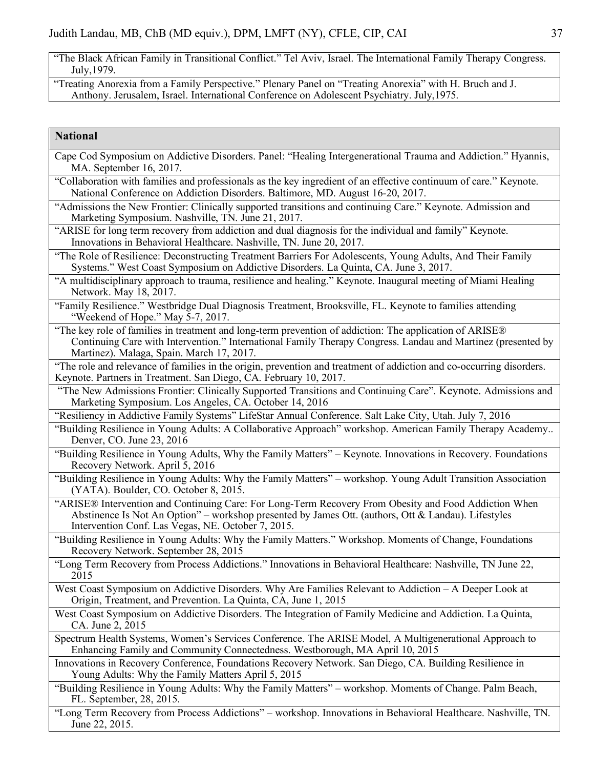"The Black African Family in Transitional Conflict." Tel Aviv, Israel. The International Family Therapy Congress. July,1979.

"Treating Anorexia from a Family Perspective." Plenary Panel on "Treating Anorexia" with H. Bruch and J. Anthony. Jerusalem, Israel. International Conference on Adolescent Psychiatry. July,1975.

## **National**

| Cape Cod Symposium on Addictive Disorders. Panel: "Healing Intergenerational Trauma and Addiction." Hyannis,<br>MA. September 16, 2017.                                                                                                                              |
|----------------------------------------------------------------------------------------------------------------------------------------------------------------------------------------------------------------------------------------------------------------------|
| "Collaboration with families and professionals as the key ingredient of an effective continuum of care." Keynote.<br>National Conference on Addiction Disorders. Baltimore, MD. August 16-20, 2017.                                                                  |
| "Admissions the New Frontier: Clinically supported transitions and continuing Care." Keynote. Admission and<br>Marketing Symposium. Nashville, TN. June 21, 2017.                                                                                                    |
| "ARISE for long term recovery from addiction and dual diagnosis for the individual and family" Keynote.<br>Innovations in Behavioral Healthcare. Nashville, TN. June 20, 2017.                                                                                       |
| "The Role of Resilience: Deconstructing Treatment Barriers For Adolescents, Young Adults, And Their Family<br>Systems." West Coast Symposium on Addictive Disorders. La Quinta, CA. June 3, 2017.                                                                    |
| "A multidisciplinary approach to trauma, resilience and healing." Keynote. Inaugural meeting of Miami Healing<br>Network. May 18, 2017.                                                                                                                              |
| "Family Resilience." Westbridge Dual Diagnosis Treatment, Brooksville, FL. Keynote to families attending<br>"Weekend of Hope." May 5-7, 2017.                                                                                                                        |
| "The key role of families in treatment and long-term prevention of addiction: The application of ARISE®<br>Continuing Care with Intervention." International Family Therapy Congress. Landau and Martinez (presented by<br>Martinez). Malaga, Spain. March 17, 2017. |
| "The role and relevance of families in the origin, prevention and treatment of addiction and co-occurring disorders.<br>Keynote. Partners in Treatment. San Diego, CA. February 10, 2017.                                                                            |
| "The New Admissions Frontier: Clinically Supported Transitions and Continuing Care". Keynote. Admissions and<br>Marketing Symposium. Los Angeles, CA. October 14, 2016                                                                                               |
| "Resiliency in Addictive Family Systems" LifeStar Annual Conference. Salt Lake City, Utah. July 7, 2016                                                                                                                                                              |
| "Building Resilience in Young Adults: A Collaborative Approach" workshop. American Family Therapy Academy<br>Denver, CO. June 23, 2016                                                                                                                               |
| "Building Resilience in Young Adults, Why the Family Matters" - Keynote. Innovations in Recovery. Foundations<br>Recovery Network. April 5, 2016                                                                                                                     |
| "Building Resilience in Young Adults: Why the Family Matters" - workshop. Young Adult Transition Association<br>(YATA). Boulder, CO. October 8, 2015.                                                                                                                |
| "ARISE® Intervention and Continuing Care: For Long-Term Recovery From Obesity and Food Addiction When<br>Abstinence Is Not An Option" – workshop presented by James Ott. (authors, Ott & Landau). Lifestyles<br>Intervention Conf. Las Vegas, NE. October 7, 2015.   |
| "Building Resilience in Young Adults: Why the Family Matters." Workshop. Moments of Change, Foundations<br>Recovery Network. September 28, 2015                                                                                                                      |
| "Long Term Recovery from Process Addictions." Innovations in Behavioral Healthcare: Nashville, TN June 22,<br>2015                                                                                                                                                   |
| West Coast Symposium on Addictive Disorders. Why Are Families Relevant to Addiction - A Deeper Look at<br>Origin, Treatment, and Prevention. La Quinta, CA, June 1, 2015                                                                                             |
| West Coast Symposium on Addictive Disorders. The Integration of Family Medicine and Addiction. La Quinta,<br>CA. June 2, 2015                                                                                                                                        |
| Spectrum Health Systems, Women's Services Conference. The ARISE Model, A Multigenerational Approach to<br>Enhancing Family and Community Connectedness. Westborough, MA April 10, 2015                                                                               |
| Innovations in Recovery Conference, Foundations Recovery Network. San Diego, CA. Building Resilience in<br>Young Adults: Why the Family Matters April 5, 2015                                                                                                        |
| "Building Resilience in Young Adults: Why the Family Matters" – workshop. Moments of Change. Palm Beach,<br>FL. September, 28, 2015.                                                                                                                                 |
| "I ang Term Recovery from Process Addictions" workshop Innovations in Repayioral Healthcare Neglylle TN                                                                                                                                                              |

"Long Term Recovery from Process Addictions" – workshop. Innovations in Behavioral Healthcare. Nashville, TN. June 22, 2015.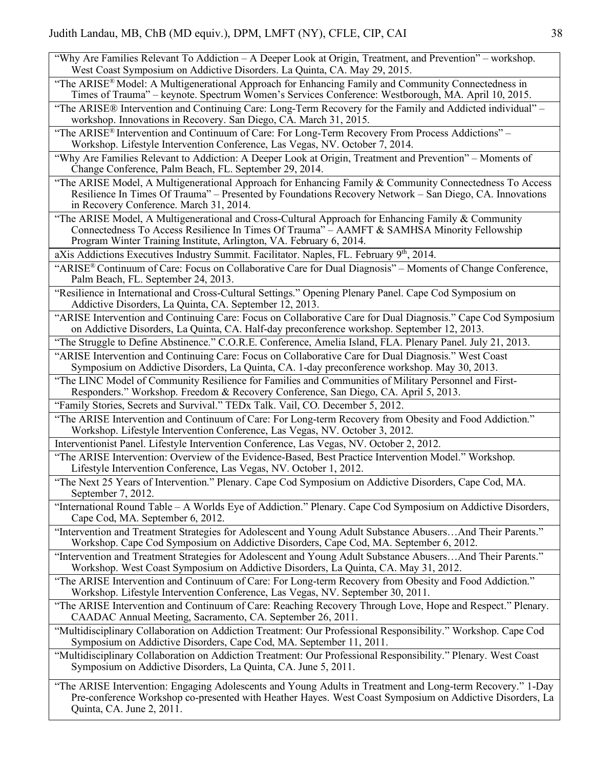- "Why Are Families Relevant To Addiction A Deeper Look at Origin, Treatment, and Prevention" workshop. West Coast Symposium on Addictive Disorders. La Quinta, CA. May 29, 2015.
- "The ARISE® Model: A Multigenerational Approach for Enhancing Family and Community Connectedness in Times of Trauma" – keynote. Spectrum Women's Services Conference: Westborough, MA. April 10, 2015.
- "The ARISE® Intervention and Continuing Care: Long-Term Recovery for the Family and Addicted individual" workshop. Innovations in Recovery. San Diego, CA. March 31, 2015.
- "The ARISE® Intervention and Continuum of Care: For Long-Term Recovery From Process Addictions" Workshop. Lifestyle Intervention Conference, Las Vegas, NV. October 7, 2014.
- "Why Are Families Relevant to Addiction: A Deeper Look at Origin, Treatment and Prevention" Moments of Change Conference, Palm Beach, FL. September 29, 2014.
- "The ARISE Model, A Multigenerational Approach for Enhancing Family & Community Connectedness To Access Resilience In Times Of Trauma" – Presented by Foundations Recovery Network – San Diego, CA. Innovations in Recovery Conference. March 31, 2014.
- "The ARISE Model, A Multigenerational and Cross-Cultural Approach for Enhancing Family & Community Connectedness To Access Resilience In Times Of Trauma" – AAMFT & SAMHSA Minority Fellowship Program Winter Training Institute, Arlington, VA. February 6, 2014.

aXis Addictions Executives Industry Summit. Facilitator. Naples, FL. February 9<sup>th</sup>, 2014.

- "ARISE® Continuum of Care: Focus on Collaborative Care for Dual Diagnosis" Moments of Change Conference, Palm Beach, FL. September 24, 2013.
- "Resilience in International and Cross-Cultural Settings." Opening Plenary Panel. Cape Cod Symposium on Addictive Disorders, La Quinta, CA. September 12, 2013.
- "ARISE Intervention and Continuing Care: Focus on Collaborative Care for Dual Diagnosis." Cape Cod Symposium on Addictive Disorders, La Quinta, CA. Half-day preconference workshop. September 12, 2013.
- "The Struggle to Define Abstinence." C.O.R.E. Conference, Amelia Island, FLA. Plenary Panel. July 21, 2013.
- "ARISE Intervention and Continuing Care: Focus on Collaborative Care for Dual Diagnosis." West Coast Symposium on Addictive Disorders, La Quinta, CA. 1-day preconference workshop. May 30, 2013.
- "The LINC Model of Community Resilience for Families and Communities of Military Personnel and First-Responders." Workshop. Freedom & Recovery Conference, San Diego, CA. April 5, 2013.

"Family Stories, Secrets and Survival." TEDx Talk. Vail, CO. December 5, 2012.

"The ARISE Intervention and Continuum of Care: For Long-term Recovery from Obesity and Food Addiction." Workshop. Lifestyle Intervention Conference, Las Vegas, NV. October 3, 2012.

Interventionist Panel. Lifestyle Intervention Conference, Las Vegas, NV. October 2, 2012.

- "The ARISE Intervention: Overview of the Evidence-Based, Best Practice Intervention Model." Workshop. Lifestyle Intervention Conference, Las Vegas, NV. October 1, 2012.
- "The Next 25 Years of Intervention." Plenary. Cape Cod Symposium on Addictive Disorders, Cape Cod, MA. September 7, 2012.
- "International Round Table A Worlds Eye of Addiction." Plenary. Cape Cod Symposium on Addictive Disorders, Cape Cod, MA. September 6, 2012.
- "Intervention and Treatment Strategies for Adolescent and Young Adult Substance Abusers…And Their Parents." Workshop. Cape Cod Symposium on Addictive Disorders, Cape Cod, MA. September 6, 2012.
- "Intervention and Treatment Strategies for Adolescent and Young Adult Substance Abusers…And Their Parents." Workshop. West Coast Symposium on Addictive Disorders, La Quinta, CA. May 31, 2012.
- "The ARISE Intervention and Continuum of Care: For Long-term Recovery from Obesity and Food Addiction." Workshop. Lifestyle Intervention Conference, Las Vegas, NV. September 30, 2011.
- "The ARISE Intervention and Continuum of Care: Reaching Recovery Through Love, Hope and Respect." Plenary. CAADAC Annual Meeting, Sacramento, CA. September 26, 2011.
- "Multidisciplinary Collaboration on Addiction Treatment: Our Professional Responsibility." Workshop. Cape Cod Symposium on Addictive Disorders, Cape Cod, MA. September 11, 2011.
- "Multidisciplinary Collaboration on Addiction Treatment: Our Professional Responsibility." Plenary. West Coast Symposium on Addictive Disorders, La Quinta, CA. June 5, 2011.
- "The ARISE Intervention: Engaging Adolescents and Young Adults in Treatment and Long-term Recovery." 1-Day Pre-conference Workshop co-presented with Heather Hayes. West Coast Symposium on Addictive Disorders, La Quinta, CA. June 2, 2011.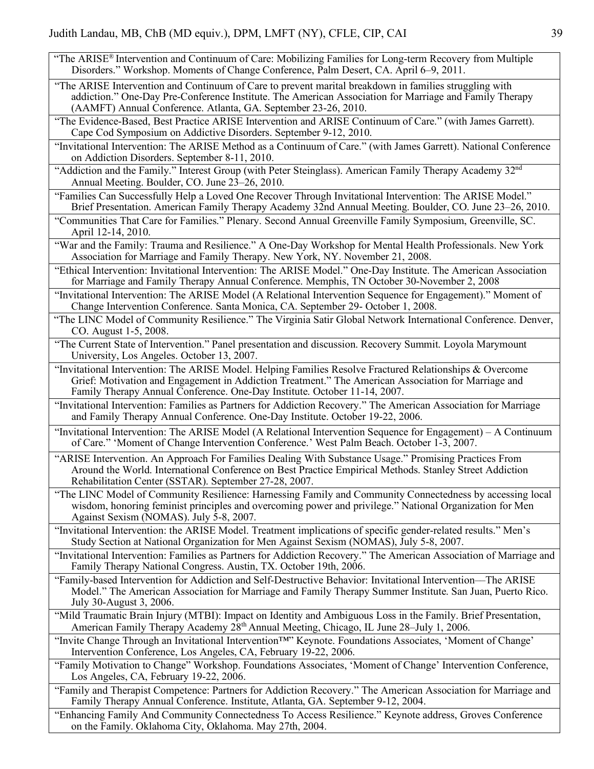- "The ARISE<sup>®</sup> Intervention and Continuum of Care: Mobilizing Families for Long-term Recovery from Multiple Disorders." Workshop. Moments of Change Conference, Palm Desert, CA. April 6–9, 2011.
- "The ARISE Intervention and Continuum of Care to prevent marital breakdown in families struggling with addiction." One-Day Pre-Conference Institute. The American Association for Marriage and Family Therapy (AAMFT) Annual Conference. Atlanta, GA. September 23-26, 2010.
- "The Evidence-Based, Best Practice ARISE Intervention and ARISE Continuum of Care." (with James Garrett). Cape Cod Symposium on Addictive Disorders. September 9-12, 2010.
- "Invitational Intervention: The ARISE Method as a Continuum of Care." (with James Garrett). National Conference on Addiction Disorders. September 8-11, 2010.
- "Addiction and the Family." Interest Group (with Peter Steinglass). American Family Therapy Academy 32nd Annual Meeting. Boulder, CO. June 23–26, 2010.
- "Families Can Successfully Help a Loved One Recover Through Invitational Intervention: The ARISE Model." Brief Presentation. American Family Therapy Academy 32nd Annual Meeting. Boulder, CO. June 23–26, 2010.
- "Communities That Care for Families." Plenary. Second Annual Greenville Family Symposium, Greenville, SC. April 12-14, 2010.
- "War and the Family: Trauma and Resilience." A One-Day Workshop for Mental Health Professionals. New York Association for Marriage and Family Therapy. New York, NY. November 21, 2008.
- "Ethical Intervention: Invitational Intervention: The ARISE Model." One-Day Institute. The American Association for Marriage and Family Therapy Annual Conference. Memphis, TN October 30-November 2, 2008
- "Invitational Intervention: The ARISE Model (A Relational Intervention Sequence for Engagement)." Moment of Change Intervention Conference. Santa Monica, CA. September 29- October 1, 2008.
- "The LINC Model of Community Resilience." The Virginia Satir Global Network International Conference. Denver, CO. August 1-5, 2008.
- "The Current State of Intervention." Panel presentation and discussion. Recovery Summit. Loyola Marymount University, Los Angeles. October 13, 2007.
- "Invitational Intervention: The ARISE Model. Helping Families Resolve Fractured Relationships & Overcome Grief: Motivation and Engagement in Addiction Treatment." The American Association for Marriage and Family Therapy Annual Conference. One-Day Institute. October 11-14, 2007.
- "Invitational Intervention: Families as Partners for Addiction Recovery." The American Association for Marriage and Family Therapy Annual Conference. One-Day Institute. October 19-22, 2006.
- "Invitational Intervention: The ARISE Model (A Relational Intervention Sequence for Engagement) A Continuum of Care." 'Moment of Change Intervention Conference.' West Palm Beach. October 1-3, 2007.
- "ARISE Intervention. An Approach For Families Dealing With Substance Usage." Promising Practices From Around the World. International Conference on Best Practice Empirical Methods. Stanley Street Addiction Rehabilitation Center (SSTAR). September 27-28, 2007.
- "The LINC Model of Community Resilience: Harnessing Family and Community Connectedness by accessing local wisdom, honoring feminist principles and overcoming power and privilege." National Organization for Men Against Sexism (NOMAS). July 5-8, 2007.
- "Invitational Intervention: the ARISE Model. Treatment implications of specific gender-related results." Men's Study Section at National Organization for Men Against Sexism (NOMAS), July 5-8, 2007.
- "Invitational Intervention: Families as Partners for Addiction Recovery." The American Association of Marriage and Family Therapy National Congress. Austin, TX. October 19th, 2006.
- "Family-based Intervention for Addiction and Self-Destructive Behavior: Invitational Intervention––The ARISE Model." The American Association for Marriage and Family Therapy Summer Institute. San Juan, Puerto Rico. July 30-August 3, 2006.
- "Mild Traumatic Brain Injury (MTBI): Impact on Identity and Ambiguous Loss in the Family. Brief Presentation, American Family Therapy Academy 28th Annual Meeting, Chicago, IL June 28–July 1, 2006.
- "Invite Change Through an Invitational Intervention™" Keynote. Foundations Associates, 'Moment of Change' Intervention Conference, Los Angeles, CA, February 19-22, 2006.
- "Family Motivation to Change" Workshop. Foundations Associates, 'Moment of Change' Intervention Conference, Los Angeles, CA, February 19-22, 2006.
- "Family and Therapist Competence: Partners for Addiction Recovery." The American Association for Marriage and Family Therapy Annual Conference. Institute, Atlanta, GA. September 9-12, 2004.
- "Enhancing Family And Community Connectedness To Access Resilience." Keynote address, Groves Conference on the Family. Oklahoma City, Oklahoma. May 27th, 2004.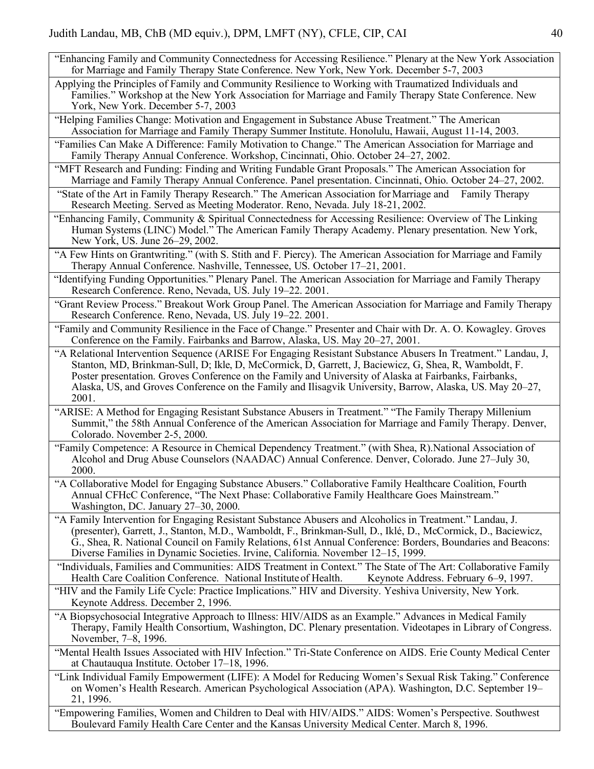- "Enhancing Family and Community Connectedness for Accessing Resilience." Plenary at the New York Association for Marriage and Family Therapy State Conference. New York, New York. December 5-7, 2003
- Applying the Principles of Family and Community Resilience to Working with Traumatized Individuals and Families." Workshop at the New York Association for Marriage and Family Therapy State Conference. New York, New York. December 5-7, 2003
- "Helping Families Change: Motivation and Engagement in Substance Abuse Treatment." The American Association for Marriage and Family Therapy Summer Institute. Honolulu, Hawaii, August 11-14, 2003.
- "Families Can Make A Difference: Family Motivation to Change." The American Association for Marriage and Family Therapy Annual Conference. Workshop, Cincinnati, Ohio. October 24–27, 2002.
- "MFT Research and Funding: Finding and Writing Fundable Grant Proposals." The American Association for Marriage and Family Therapy Annual Conference. Panel presentation. Cincinnati, Ohio. October 24–27, 2002.
- "State of the Art in Family Therapy Research." The American Association for Marriage and Family Therapy Research Meeting. Served as Meeting Moderator. Reno, Nevada. July 18-21, 2002.
- "Enhancing Family, Community & Spiritual Connectedness for Accessing Resilience: Overview of The Linking Human Systems (LINC) Model." The American Family Therapy Academy. Plenary presentation. New York, New York, US. June 26–29, 2002.
- "A Few Hints on Grantwriting." (with S. Stith and F. Piercy). The American Association for Marriage and Family Therapy Annual Conference. Nashville, Tennessee, US. October 17–21, 2001.
- "Identifying Funding Opportunities." Plenary Panel. The American Association for Marriage and Family Therapy Research Conference. Reno, Nevada, US. July 19–22. 2001.
- "Grant Review Process." Breakout Work Group Panel. The American Association for Marriage and Family Therapy Research Conference. Reno, Nevada, US. July 19–22. 2001.
- "Family and Community Resilience in the Face of Change." Presenter and Chair with Dr. A. O. Kowagley. Groves Conference on the Family. Fairbanks and Barrow, Alaska, US. May 20–27, 2001.
- "A Relational Intervention Sequence (ARISE For Engaging Resistant Substance Abusers In Treatment." Landau, J, Stanton, MD, Brinkman-Sull, D; Ikle, D, McCormick, D, Garrett, J, Baciewicz, G, Shea, R, Wamboldt, F. Poster presentation. Groves Conference on the Family and University of Alaska at Fairbanks, Fairbanks, Alaska, US, and Groves Conference on the Family and Ilisagvik University, Barrow, Alaska, US. May 20–27, 2001.
- "ARISE: A Method for Engaging Resistant Substance Abusers in Treatment." "The Family Therapy Millenium Summit," the 58th Annual Conference of the American Association for Marriage and Family Therapy. Denver, Colorado. November 2-5, 2000.
- "Family Competence: A Resource in Chemical Dependency Treatment." (with Shea, R).National Association of Alcohol and Drug Abuse Counselors (NAADAC) Annual Conference. Denver, Colorado. June 27–July 30, 2000.
- "A Collaborative Model for Engaging Substance Abusers." Collaborative Family Healthcare Coalition, Fourth Annual CFHcC Conference, "The Next Phase: Collaborative Family Healthcare Goes Mainstream." Washington, DC. January 27–30, 2000.
- "A Family Intervention for Engaging Resistant Substance Abusers and Alcoholics in Treatment." Landau, J. (presenter), Garrett, J., Stanton, M.D., Wamboldt, F., Brinkman-Sull, D., Iklé, D., McCormick, D., Baciewicz, G., Shea, R. National Council on Family Relations, 61st Annual Conference: Borders, Boundaries and Beacons: Diverse Families in Dynamic Societies. Irvine, California. November 12–15, 1999.

"Individuals, Families and Communities: AIDS Treatment in Context." The State of The Art: Collaborative Family Health Care Coalition Conference. National Institute of Health. Keynote Address. February 6–9, 1997.

- "HIV and the Family Life Cycle: Practice Implications." HIV and Diversity. Yeshiva University, New York. Keynote Address. December 2, 1996.
- "A Biopsychosocial Integrative Approach to Illness: HIV/AIDS as an Example." Advances in Medical Family Therapy, Family Health Consortium, Washington, DC. Plenary presentation. Videotapes in Library of Congress. November, 7–8, 1996.
- "Mental Health Issues Associated with HIV Infection." Tri-State Conference on AIDS. Erie County Medical Center at Chautauqua Institute. October 17–18, 1996.
- "Link Individual Family Empowerment (LIFE): A Model for Reducing Women's Sexual Risk Taking." Conference on Women's Health Research. American Psychological Association (APA). Washington, D.C. September 19– 21, 1996.
- "Empowering Families, Women and Children to Deal with HIV/AIDS." AIDS: Women's Perspective. Southwest Boulevard Family Health Care Center and the Kansas University Medical Center. March 8, 1996.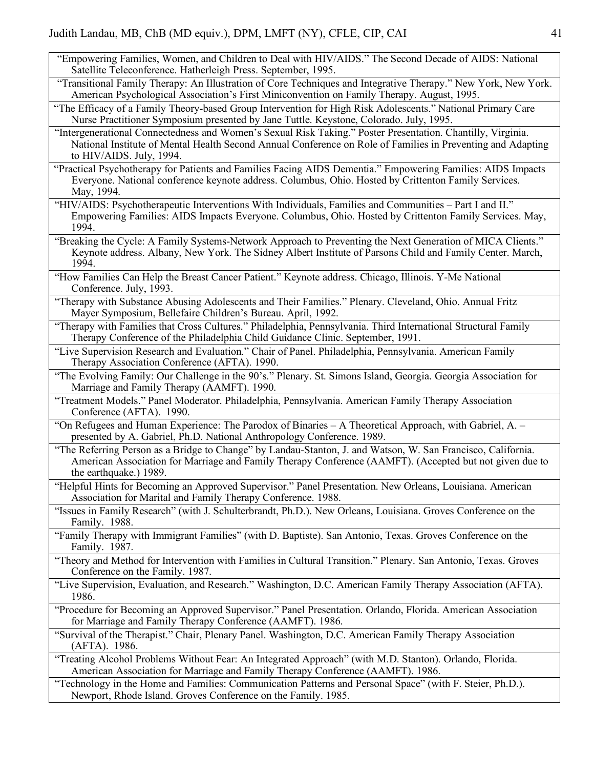- "Empowering Families, Women, and Children to Deal with HIV/AIDS." The Second Decade of AIDS: National Satellite Teleconference. Hatherleigh Press. September, 1995.
- "Transitional Family Therapy: An Illustration of Core Techniques and Integrative Therapy." New York, New York. American Psychological Association's First Miniconvention on Family Therapy. August, 1995.
- "The Efficacy of a Family Theory-based Group Intervention for High Risk Adolescents." National Primary Care Nurse Practitioner Symposium presented by Jane Tuttle. Keystone, Colorado. July, 1995.
- "Intergenerational Connectedness and Women's Sexual Risk Taking." Poster Presentation. Chantilly, Virginia. National Institute of Mental Health Second Annual Conference on Role of Families in Preventing and Adapting to HIV/AIDS. July, 1994.
- "Practical Psychotherapy for Patients and Families Facing AIDS Dementia." Empowering Families: AIDS Impacts Everyone. National conference keynote address. Columbus, Ohio. Hosted by Crittenton Family Services. May, 1994.
- "HIV/AIDS: Psychotherapeutic Interventions With Individuals, Families and Communities Part I and II." Empowering Families: AIDS Impacts Everyone. Columbus, Ohio. Hosted by Crittenton Family Services. May, 1994.
- "Breaking the Cycle: A Family Systems-Network Approach to Preventing the Next Generation of MICA Clients." Keynote address. Albany, New York. The Sidney Albert Institute of Parsons Child and Family Center. March, 1994.
- "How Families Can Help the Breast Cancer Patient." Keynote address. Chicago, Illinois. Y-Me National Conference. July, 1993.
- "Therapy with Substance Abusing Adolescents and Their Families." Plenary. Cleveland, Ohio. Annual Fritz Mayer Symposium, Bellefaire Children's Bureau. April, 1992.
- "Therapy with Families that Cross Cultures." Philadelphia, Pennsylvania. Third International Structural Family Therapy Conference of the Philadelphia Child Guidance Clinic. September, 1991.
- "Live Supervision Research and Evaluation." Chair of Panel. Philadelphia, Pennsylvania. American Family Therapy Association Conference (AFTA). 1990.
- "The Evolving Family: Our Challenge in the 90's." Plenary. St. Simons Island, Georgia. Georgia Association for Marriage and Family Therapy (AAMFT). 1990.
- "Treatment Models." Panel Moderator. Philadelphia, Pennsylvania. American Family Therapy Association Conference (AFTA). 1990.
- "On Refugees and Human Experience: The Parodox of Binaries A Theoretical Approach, with Gabriel, A. presented by A. Gabriel, Ph.D. National Anthropology Conference. 1989.
- "The Referring Person as a Bridge to Change" by Landau-Stanton, J. and Watson, W. San Francisco, California. American Association for Marriage and Family Therapy Conference (AAMFT). (Accepted but not given due to the earthquake.) 1989.
- "Helpful Hints for Becoming an Approved Supervisor." Panel Presentation. New Orleans, Louisiana. American Association for Marital and Family Therapy Conference. 1988.
- "Issues in Family Research" (with J. Schulterbrandt, Ph.D.). New Orleans, Louisiana. Groves Conference on the Family. 1988.
- "Family Therapy with Immigrant Families" (with D. Baptiste). San Antonio, Texas. Groves Conference on the Family. 1987.
- "Theory and Method for Intervention with Families in Cultural Transition." Plenary. San Antonio, Texas. Groves Conference on the Family. 1987.
- "Live Supervision, Evaluation, and Research." Washington, D.C. American Family Therapy Association (AFTA). 1986.
- "Procedure for Becoming an Approved Supervisor." Panel Presentation. Orlando, Florida. American Association for Marriage and Family Therapy Conference (AAMFT). 1986.
- "Survival of the Therapist." Chair, Plenary Panel. Washington, D.C. American Family Therapy Association (AFTA). 1986.
- "Treating Alcohol Problems Without Fear: An Integrated Approach" (with M.D. Stanton). Orlando, Florida. American Association for Marriage and Family Therapy Conference (AAMFT). 1986.
- "Technology in the Home and Families: Communication Patterns and Personal Space" (with F. Steier, Ph.D.). Newport, Rhode Island. Groves Conference on the Family. 1985.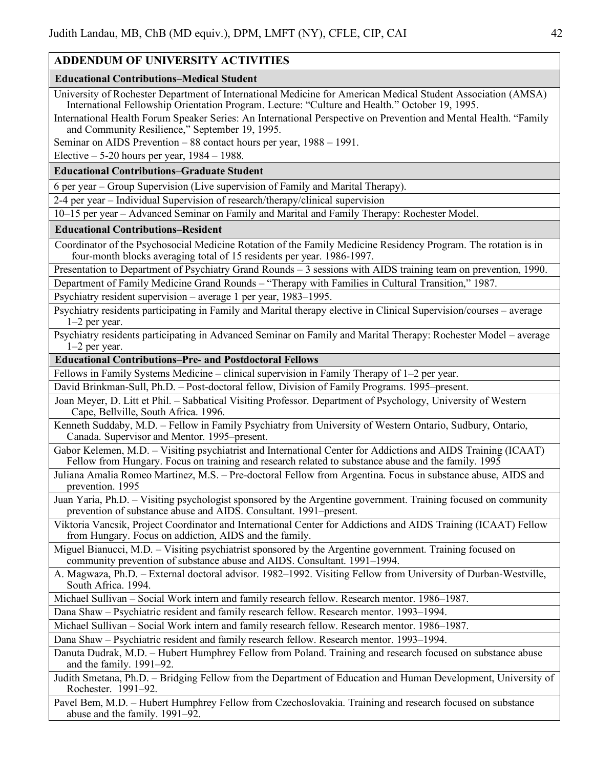## **ADDENDUM OF UNIVERSITY ACTIVITIES**

#### **Educational Contributions–Medical Student**

University of Rochester Department of International Medicine for American Medical Student Association (AMSA) International Fellowship Orientation Program. Lecture: "Culture and Health." October 19, 1995.

International Health Forum Speaker Series: An International Perspective on Prevention and Mental Health. "Family and Community Resilience," September 19, 1995.

Seminar on AIDS Prevention – 88 contact hours per year, 1988 – 1991.

Elective  $-5-20$  hours per year,  $1984 - 1988$ .

#### **Educational Contributions–Graduate Student**

6 per year – Group Supervision (Live supervision of Family and Marital Therapy).

2-4 per year – Individual Supervision of research/therapy/clinical supervision

10–15 per year – Advanced Seminar on Family and Marital and Family Therapy: Rochester Model.

#### **Educational Contributions–Resident**

Coordinator of the Psychosocial Medicine Rotation of the Family Medicine Residency Program. The rotation is in four-month blocks averaging total of 15 residents per year. 1986-1997.

Presentation to Department of Psychiatry Grand Rounds – 3 sessions with AIDS training team on prevention, 1990.

Department of Family Medicine Grand Rounds – "Therapy with Families in Cultural Transition," 1987.

Psychiatry resident supervision – average 1 per year, 1983–1995.

Psychiatry residents participating in Family and Marital therapy elective in Clinical Supervision/courses – average 1–2 per year.

Psychiatry residents participating in Advanced Seminar on Family and Marital Therapy: Rochester Model – average 1–2 per year.

#### **Educational Contributions–Pre- and Postdoctoral Fellows**

Fellows in Family Systems Medicine – clinical supervision in Family Therapy of 1–2 per year.

David Brinkman-Sull, Ph.D. – Post-doctoral fellow, Division of Family Programs. 1995–present.

Joan Meyer, D. Litt et Phil. – Sabbatical Visiting Professor. Department of Psychology, University of Western Cape, Bellville, South Africa. 1996.

Kenneth Suddaby, M.D. – Fellow in Family Psychiatry from University of Western Ontario, Sudbury, Ontario, Canada. Supervisor and Mentor. 1995–present.

Gabor Kelemen, M.D. – Visiting psychiatrist and International Center for Addictions and AIDS Training (ICAAT) Fellow from Hungary. Focus on training and research related to substance abuse and the family. 1995

Juliana Amalia Romeo Martinez, M.S. – Pre-doctoral Fellow from Argentina. Focus in substance abuse, AIDS and prevention. 1995

Juan Yaria, Ph.D. – Visiting psychologist sponsored by the Argentine government. Training focused on community prevention of substance abuse and AIDS. Consultant. 1991–present.

Viktoria Vancsik, Project Coordinator and International Center for Addictions and AIDS Training (ICAAT) Fellow from Hungary. Focus on addiction, AIDS and the family.

Miguel Bianucci, M.D. – Visiting psychiatrist sponsored by the Argentine government. Training focused on community prevention of substance abuse and AIDS. Consultant. 1991–1994.

A. Magwaza, Ph.D. – External doctoral advisor. 1982–1992. Visiting Fellow from University of Durban-Westville, South Africa. 1994.

Michael Sullivan – Social Work intern and family research fellow. Research mentor. 1986–1987.

Dana Shaw – Psychiatric resident and family research fellow. Research mentor. 1993–1994.

Michael Sullivan – Social Work intern and family research fellow. Research mentor. 1986–1987.

Dana Shaw – Psychiatric resident and family research fellow. Research mentor. 1993–1994.

Danuta Dudrak, M.D. – Hubert Humphrey Fellow from Poland. Training and research focused on substance abuse and the family. 1991–92.

Judith Smetana, Ph.D. – Bridging Fellow from the Department of Education and Human Development, University of Rochester. 1991–92.

Pavel Bem, M.D. – Hubert Humphrey Fellow from Czechoslovakia. Training and research focused on substance abuse and the family. 1991–92.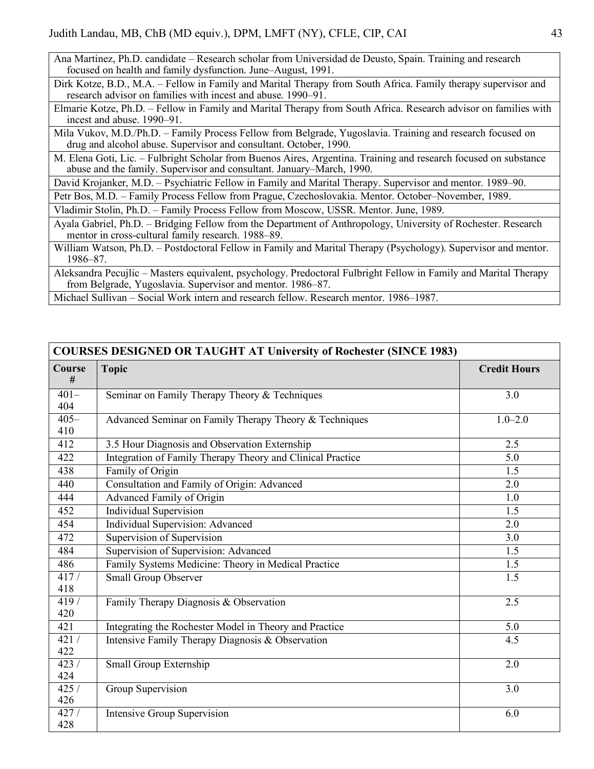Ana Martinez, Ph.D. candidate – Research scholar from Universidad de Deusto, Spain. Training and research focused on health and family dysfunction. June–August, 1991.

Dirk Kotze, B.D., M.A. – Fellow in Family and Marital Therapy from South Africa. Family therapy supervisor and research advisor on families with incest and abuse. 1990–91.

Elmarie Kotze, Ph.D. – Fellow in Family and Marital Therapy from South Africa. Research advisor on families with incest and abuse. 1990–91.

Mila Vukov, M.D./Ph.D. – Family Process Fellow from Belgrade, Yugoslavia. Training and research focused on drug and alcohol abuse. Supervisor and consultant. October, 1990.

M. Elena Goti, Lic. – Fulbright Scholar from Buenos Aires, Argentina. Training and research focused on substance abuse and the family. Supervisor and consultant. January–March, 1990.

David Krojanker, M.D. – Psychiatric Fellow in Family and Marital Therapy. Supervisor and mentor. 1989–90.

Petr Bos, M.D. – Family Process Fellow from Prague, Czechoslovakia. Mentor. October–November, 1989.

Vladimir Stolin, Ph.D. – Family Process Fellow from Moscow, USSR. Mentor. June, 1989.

Ayala Gabriel, Ph.D. – Bridging Fellow from the Department of Anthropology, University of Rochester. Research mentor in cross-cultural family research. 1988–89.

William Watson, Ph.D. – Postdoctoral Fellow in Family and Marital Therapy (Psychology). Supervisor and mentor. 1986–87.

Aleksandra Pecujlic – Masters equivalent, psychology. Predoctoral Fulbright Fellow in Family and Marital Therapy from Belgrade, Yugoslavia. Supervisor and mentor. 1986–87.

Michael Sullivan – Social Work intern and research fellow. Research mentor. 1986–1987.

**COURSES DESIGNED OR TAUGHT AT University of Rochester (SINCE 1983)**

| COURSES DESIGNED OR TAUGHT AT University of Rochester (SINCE 1983) |                                                            |                     |  |  |
|--------------------------------------------------------------------|------------------------------------------------------------|---------------------|--|--|
| Course<br>#                                                        | <b>Topic</b>                                               | <b>Credit Hours</b> |  |  |
| $401 -$                                                            | Seminar on Family Therapy Theory & Techniques              | 3.0                 |  |  |
| 404                                                                |                                                            |                     |  |  |
| $405 -$                                                            | Advanced Seminar on Family Therapy Theory & Techniques     | $1.0 - 2.0$         |  |  |
| 410                                                                |                                                            |                     |  |  |
| 412                                                                | 3.5 Hour Diagnosis and Observation Externship              | 2.5                 |  |  |
| 422                                                                | Integration of Family Therapy Theory and Clinical Practice | 5.0                 |  |  |
| 438                                                                | Family of Origin                                           | 1.5                 |  |  |
| 440                                                                | Consultation and Family of Origin: Advanced                | 2.0                 |  |  |
| 444                                                                | Advanced Family of Origin                                  | 1.0                 |  |  |
| 452                                                                | <b>Individual Supervision</b>                              | 1.5                 |  |  |
| 454                                                                | <b>Individual Supervision: Advanced</b>                    | 2.0                 |  |  |
| 472                                                                | Supervision of Supervision                                 | 3.0                 |  |  |
| 484                                                                | Supervision of Supervision: Advanced                       | 1.5                 |  |  |
| 486                                                                | Family Systems Medicine: Theory in Medical Practice        | 1.5                 |  |  |
| 417/                                                               | Small Group Observer                                       | 1.5                 |  |  |
| 418                                                                |                                                            |                     |  |  |
| 419/                                                               | Family Therapy Diagnosis & Observation                     | 2.5                 |  |  |
| 420                                                                |                                                            |                     |  |  |
| 421                                                                | Integrating the Rochester Model in Theory and Practice     | 5.0                 |  |  |
| 421/                                                               | Intensive Family Therapy Diagnosis & Observation           | 4.5                 |  |  |
| 422                                                                |                                                            |                     |  |  |
| 423/                                                               | Small Group Externship                                     | 2.0                 |  |  |
| 424                                                                |                                                            |                     |  |  |
| 425/<br>426                                                        | Group Supervision                                          | 3.0                 |  |  |
| 427/                                                               | <b>Intensive Group Supervision</b>                         | 6.0                 |  |  |
| 428                                                                |                                                            |                     |  |  |